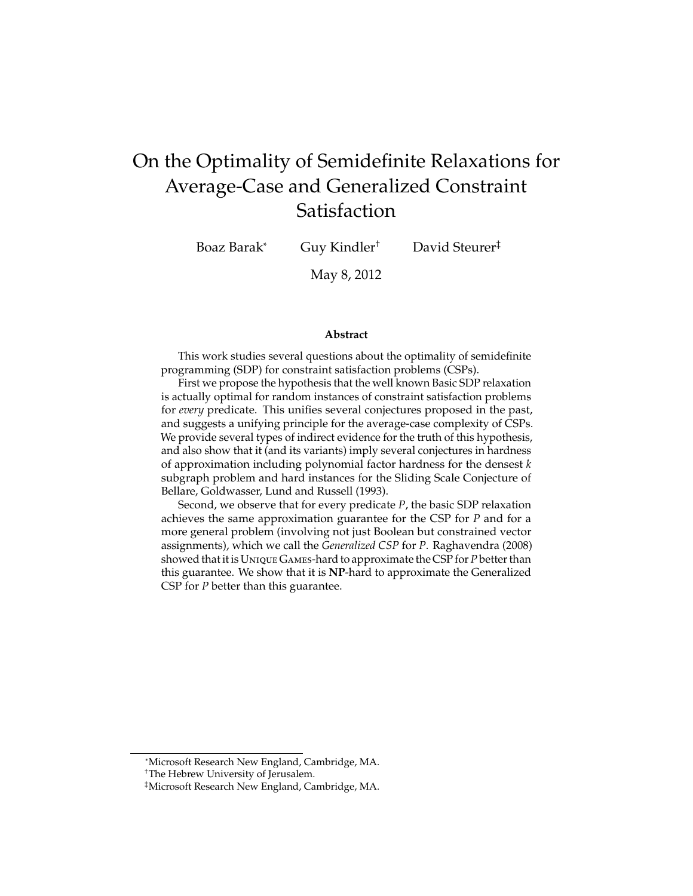# On the Optimality of Semidefinite Relaxations for Average-Case and Generalized Constraint Satisfaction

Boaz Barak<sup>∗</sup> Guy Kindler† David Steurer‡

May 8, 2012

#### **Abstract**

This work studies several questions about the optimality of semidefinite programming (SDP) for constraint satisfaction problems (CSPs).

First we propose the hypothesis that the well known Basic SDP relaxation is actually optimal for random instances of constraint satisfaction problems for *every* predicate. This unifies several conjectures proposed in the past, and suggests a unifying principle for the average-case complexity of CSPs. We provide several types of indirect evidence for the truth of this hypothesis, and also show that it (and its variants) imply several conjectures in hardness of approximation including polynomial factor hardness for the densest *k* subgraph problem and hard instances for the Sliding Scale Conjecture of Bellare, Goldwasser, Lund and Russell (1993).

Second, we observe that for every predicate *P*, the basic SDP relaxation achieves the same approximation guarantee for the CSP for *P* and for a more general problem (involving not just Boolean but constrained vector assignments), which we call the *Generalized CSP* for *P*. Raghavendra (2008) showed that it is Unique Games-hard to approximate the CSP for *P* better than this guarantee. We show that it is **NP**-hard to approximate the Generalized CSP for *P* better than this guarantee.

<sup>∗</sup>Microsoft Research New England, Cambridge, MA.

<sup>†</sup>The Hebrew University of Jerusalem.

<sup>‡</sup>Microsoft Research New England, Cambridge, MA.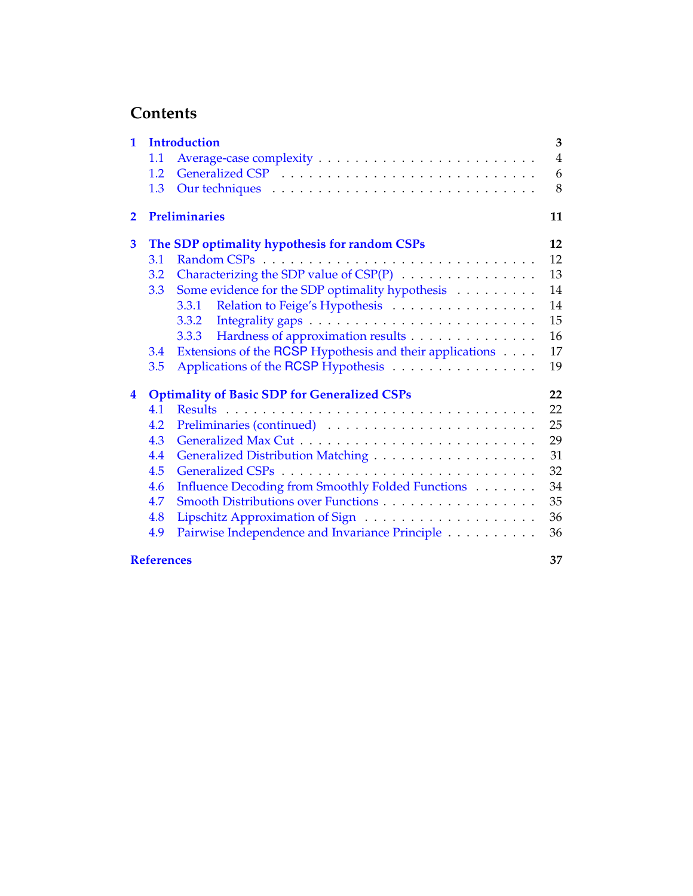## **Contents**

| 1                       | <b>Introduction</b>                                       |                                                          |                |  |  |  |
|-------------------------|-----------------------------------------------------------|----------------------------------------------------------|----------------|--|--|--|
|                         | 1.1                                                       |                                                          | $\overline{4}$ |  |  |  |
|                         | 1.2                                                       |                                                          | 6              |  |  |  |
|                         | 1.3                                                       |                                                          | 8              |  |  |  |
| $\overline{2}$          |                                                           | <b>Preliminaries</b>                                     | 11             |  |  |  |
| 3                       | The SDP optimality hypothesis for random CSPs             |                                                          |                |  |  |  |
|                         | 3.1                                                       |                                                          | 12             |  |  |  |
|                         | 3.2                                                       | Characterizing the SDP value of CSP(P)                   | 13             |  |  |  |
|                         | 3.3                                                       | Some evidence for the SDP optimality hypothesis          | 14             |  |  |  |
|                         |                                                           | Relation to Feige's Hypothesis<br>3.3.1                  | 14             |  |  |  |
|                         |                                                           | 3.3.2                                                    | 15             |  |  |  |
|                         |                                                           | Hardness of approximation results<br>3.3.3               | 16             |  |  |  |
|                         | 3.4                                                       | Extensions of the RCSP Hypothesis and their applications | 17             |  |  |  |
|                         | 3.5                                                       | Applications of the RCSP Hypothesis                      | 19             |  |  |  |
| $\overline{\mathbf{4}}$ | <b>Optimality of Basic SDP for Generalized CSPs</b><br>22 |                                                          |                |  |  |  |
|                         | 4.1                                                       |                                                          | 22             |  |  |  |
|                         | 4.2                                                       | Preliminaries (continued)                                | 25             |  |  |  |
|                         | 4.3                                                       |                                                          | 29             |  |  |  |
|                         | 4.4                                                       |                                                          | 31             |  |  |  |
|                         | 4.5                                                       |                                                          | 32             |  |  |  |
|                         | 4.6                                                       | Influence Decoding from Smoothly Folded Functions        | 34             |  |  |  |
|                         | 4.7                                                       | Smooth Distributions over Functions                      | 35             |  |  |  |
|                         | 4.8                                                       |                                                          | 36             |  |  |  |
|                         | 4.9                                                       | Pairwise Independence and Invariance Principle           | 36             |  |  |  |
|                         | <b>References</b>                                         |                                                          | 37             |  |  |  |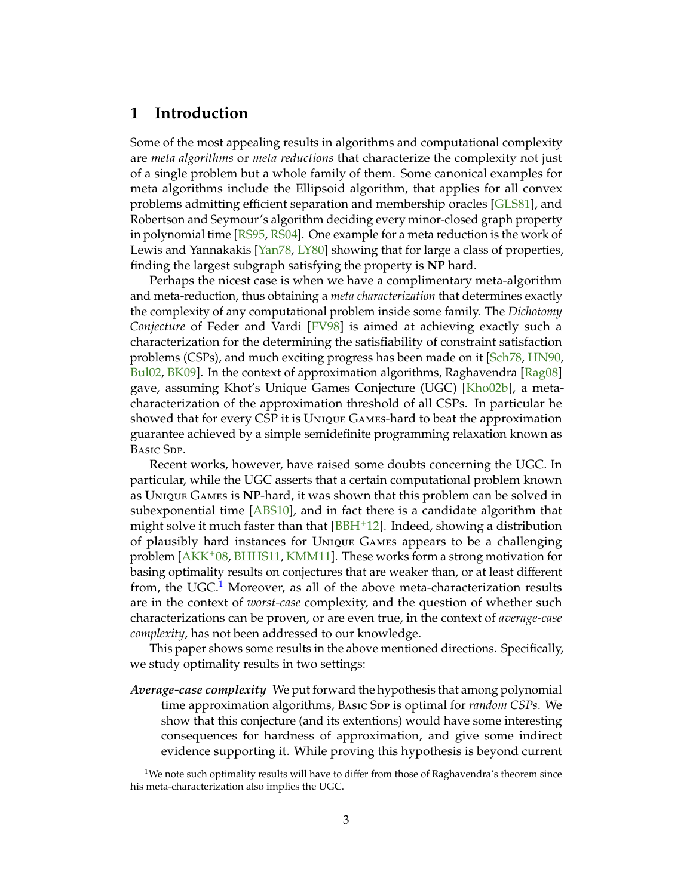## <span id="page-2-2"></span><span id="page-2-0"></span>**1 Introduction**

Some of the most appealing results in algorithms and computational complexity are *meta algorithms* or *meta reductions* that characterize the complexity not just of a single problem but a whole family of them. Some canonical examples for meta algorithms include the Ellipsoid algorithm, that applies for all convex problems admitting efficient separation and membership oracles [\[GLS81\]](#page-37-0), and Robertson and Seymour's algorithm deciding every minor-closed graph property in polynomial time [\[RS95,](#page-39-0) [RS04\]](#page-39-1). One example for a meta reduction is the work of Lewis and Yannakakis [\[Yan78,](#page-39-2) [LY80\]](#page-38-0) showing that for large a class of properties, finding the largest subgraph satisfying the property is **NP** hard.

Perhaps the nicest case is when we have a complimentary meta-algorithm and meta-reduction, thus obtaining a *meta characterization* that determines exactly the complexity of any computational problem inside some family. The *Dichotomy Conjecture* of Feder and Vardi [\[FV98\]](#page-37-1) is aimed at achieving exactly such a characterization for the determining the satisfiability of constraint satisfaction problems (CSPs), and much exciting progress has been made on it [\[Sch78,](#page-39-3) [HN90,](#page-38-1) [Bul02,](#page-37-2) [BK09\]](#page-37-3). In the context of approximation algorithms, Raghavendra [\[Rag08\]](#page-39-4) gave, assuming Khot's Unique Games Conjecture (UGC) [\[Kho02b\]](#page-38-2), a metacharacterization of the approximation threshold of all CSPs. In particular he showed that for every CSP it is Unique Games-hard to beat the approximation guarantee achieved by a simple semidefinite programming relaxation known as BASIC SDP.

Recent works, however, have raised some doubts concerning the UGC. In particular, while the UGC asserts that a certain computational problem known as Unique Games is **NP**-hard, it was shown that this problem can be solved in subexponential time [\[ABS10\]](#page-36-1), and in fact there is a candidate algorithm that might solve it much faster than that  $[BBH<sup>+</sup>12]$  $[BBH<sup>+</sup>12]$ . Indeed, showing a distribution of plausibly hard instances for Unique Games appears to be a challenging problem [\[AKK](#page-36-3)+08, [BHHS11,](#page-37-4) [KMM11\]](#page-38-3). These works form a strong motivation for basing optimality results on conjectures that are weaker than, or at least different from, the UGC. $<sup>1</sup>$  $<sup>1</sup>$  $<sup>1</sup>$  Moreover, as all of the above meta-characterization results</sup> are in the context of *worst-case* complexity, and the question of whether such characterizations can be proven, or are even true, in the context of *average-case complexity*, has not been addressed to our knowledge.

This paper shows some results in the above mentioned directions. Specifically, we study optimality results in two settings:

*Average-case complexity* We put forward the hypothesis that among polynomial time approximation algorithms, Basic Spp is optimal for *random CSPs*. We show that this conjecture (and its extentions) would have some interesting consequences for hardness of approximation, and give some indirect evidence supporting it. While proving this hypothesis is beyond current

<span id="page-2-1"></span><sup>&</sup>lt;sup>1</sup>We note such optimality results will have to differ from those of Raghavendra's theorem since his meta-characterization also implies the UGC.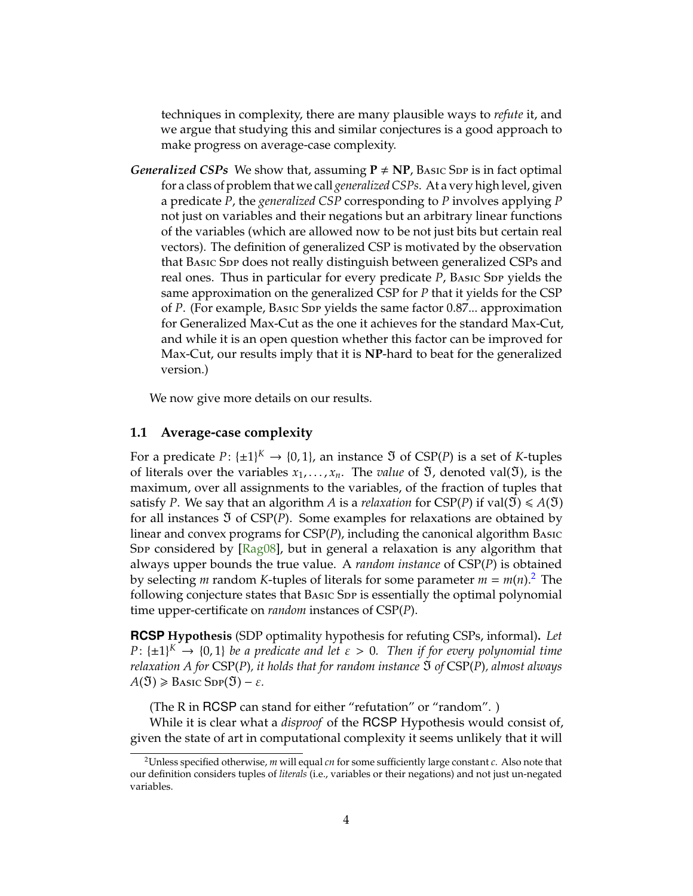<span id="page-3-2"></span>techniques in complexity, there are many plausible ways to *refute* it, and we argue that studying this and similar conjectures is a good approach to make progress on average-case complexity.

*Generalized CSPs* We show that, assuming  $P \neq NP$ , Basic Spp is in fact optimal for a class of problem that we call *generalized CSPs*. At a very high level, given a predicate *P*, the *generalized CSP* corresponding to *P* involves applying *P* not just on variables and their negations but an arbitrary linear functions of the variables (which are allowed now to be not just bits but certain real vectors). The definition of generalized CSP is motivated by the observation that BASIC SDP does not really distinguish between generalized CSPs and real ones. Thus in particular for every predicate *P*, Basic Spp yields the same approximation on the generalized CSP for *P* that it yields for the CSP of *P*. (For example, Basic Spp yields the same factor 0.87... approximation for Generalized Max-Cut as the one it achieves for the standard Max-Cut, and while it is an open question whether this factor can be improved for Max-Cut, our results imply that it is **NP**-hard to beat for the generalized version.)

We now give more details on our results.

## <span id="page-3-0"></span>**1.1 Average-case complexity**

For a predicate  $P: {\{\pm 1\}}^K \to \{0, 1\}$ , an instance  $\mathfrak I$  of CSP(*P*) is a set of *K*-tuples of literals over the variables  $x_1, \ldots, x_n$ . The *value* of  $\mathfrak{I}$ , denoted val( $\mathfrak{I}$ ), is the maximum, over all assignments to the variables, of the fraction of tuples that satisfy *P*. We say that an algorithm *A* is a *relaxation* for CSP(*P*) if val( $\mathfrak{I}$ )  $\leq$  *A*( $\mathfrak{I}$ ) for all instances  $\mathfrak I$  of CSP(*P*). Some examples for relaxations are obtained by linear and convex programs for CSP(*P*), including the canonical algorithm Basic Spp considered by  $[Rag08]$ , but in general a relaxation is any algorithm that always upper bounds the true value. A *random instance* of CSP(*P*) is obtained by selecting *m* random *K*-tuples of literals for some parameter *m* = *m*(*n*). [2](#page-3-1) The following conjecture states that Basic Spp is essentially the optimal polynomial time upper-certificate on *random* instances of CSP(*P*).

**RCSP Hypothesis** (SDP optimality hypothesis for refuting CSPs, informal)**.** *Let P*: { $\pm 1$ <sup>*K*</sup>  $\rightarrow$  {0, 1} *be a predicate and let*  $\varepsilon > 0$ *. Then if for every polynomial time relaxation*  $A$  *for*  $CSP(P)$ *, it holds that for random instance*  $\mathfrak{I}$  *of*  $CSP(P)$ *, almost always*  $A(\mathfrak{I}) \geqslant$  Basic Spp( $\mathfrak{I}$ ) –  $\varepsilon$ .

(The R in RCSP can stand for either "refutation" or "random". )

While it is clear what a *disproof* of the RCSP Hypothesis would consist of, given the state of art in computational complexity it seems unlikely that it will

<span id="page-3-1"></span><sup>2</sup>Unless specified otherwise, *m* will equal *cn* for some sufficiently large constant *c*. Also note that our definition considers tuples of *literals* (i.e., variables or their negations) and not just un-negated variables.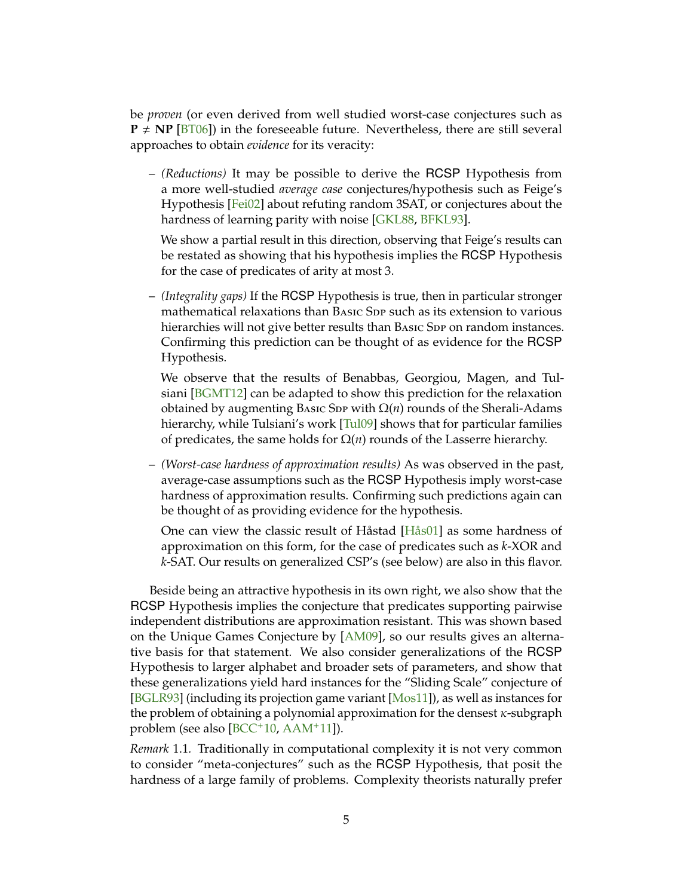<span id="page-4-0"></span>be *proven* (or even derived from well studied worst-case conjectures such as  $P \neq NP$  [\[BT06\]](#page-37-5)) in the foreseeable future. Nevertheless, there are still several approaches to obtain *evidence* for its veracity:

– *(Reductions)* It may be possible to derive the RCSP Hypothesis from a more well-studied *average case* conjectures/hypothesis such as Feige's Hypothesis [\[Fei02\]](#page-37-6) about refuting random 3SAT, or conjectures about the hardness of learning parity with noise [\[GKL88,](#page-37-7) [BFKL93\]](#page-37-8).

We show a partial result in this direction, observing that Feige's results can be restated as showing that his hypothesis implies the RCSP Hypothesis for the case of predicates of arity at most 3.

– *(Integrality gaps)* If the RCSP Hypothesis is true, then in particular stronger mathematical relaxations than BASIC SDP such as its extension to various hierarchies will not give better results than BASIC SDP on random instances. Confirming this prediction can be thought of as evidence for the RCSP Hypothesis.

We observe that the results of Benabbas, Georgiou, Magen, and Tulsiani [\[BGMT12\]](#page-37-9) can be adapted to show this prediction for the relaxation obtained by augmenting Basic Spp with  $Ω(n)$  rounds of the Sherali-Adams hierarchy, while Tulsiani's work [\[Tul09\]](#page-39-5) shows that for particular families of predicates, the same holds for  $\Omega(n)$  rounds of the Lasserre hierarchy.

– *(Worst-case hardness of approximation results)* As was observed in the past, average-case assumptions such as the RCSP Hypothesis imply worst-case hardness of approximation results. Confirming such predictions again can be thought of as providing evidence for the hypothesis.

One can view the classic result of Håstad [\[Hås01\]](#page-38-4) as some hardness of approximation on this form, for the case of predicates such as *k*-XOR and *k*-SAT. Our results on generalized CSP's (see below) are also in this flavor.

Beside being an attractive hypothesis in its own right, we also show that the RCSP Hypothesis implies the conjecture that predicates supporting pairwise independent distributions are approximation resistant. This was shown based on the Unique Games Conjecture by [\[AM09\]](#page-36-4), so our results gives an alternative basis for that statement. We also consider generalizations of the RCSP Hypothesis to larger alphabet and broader sets of parameters, and show that these generalizations yield hard instances for the "Sliding Scale" conjecture of [\[BGLR93\]](#page-37-10) (including its projection game variant [\[Mos11\]](#page-38-5)), as well as instances for the problem of obtaining a polynomial approximation for the densest κ-subgraph problem (see also [\[BCC](#page-36-5)+10, [AAM](#page-36-6)+11]).

*Remark* 1.1*.* Traditionally in computational complexity it is not very common to consider "meta-conjectures" such as the RCSP Hypothesis, that posit the hardness of a large family of problems. Complexity theorists naturally prefer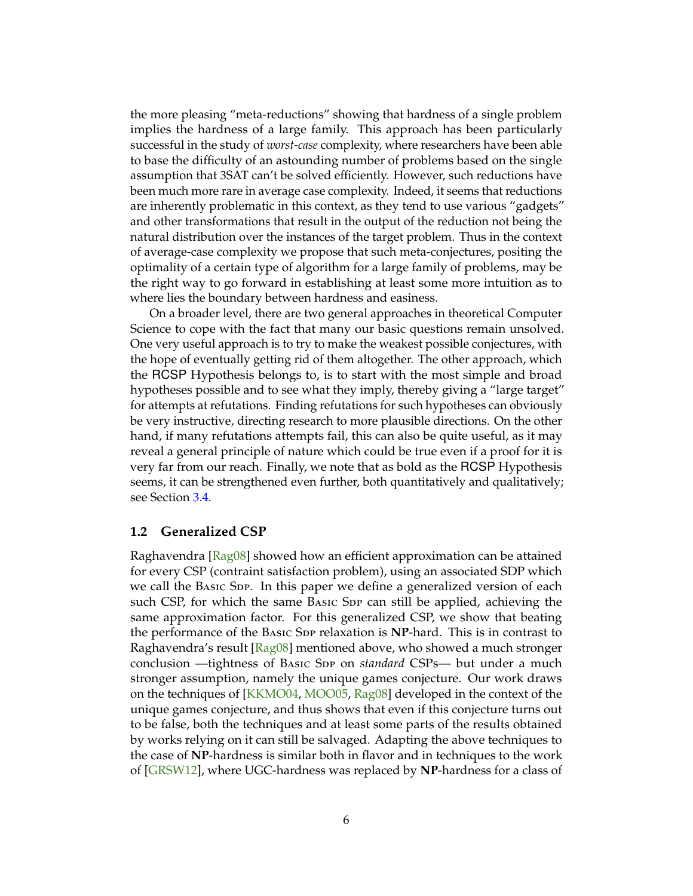<span id="page-5-1"></span>the more pleasing "meta-reductions" showing that hardness of a single problem implies the hardness of a large family. This approach has been particularly successful in the study of *worst-case* complexity, where researchers have been able to base the difficulty of an astounding number of problems based on the single assumption that 3SAT can't be solved efficiently. However, such reductions have been much more rare in average case complexity. Indeed, it seems that reductions are inherently problematic in this context, as they tend to use various "gadgets" and other transformations that result in the output of the reduction not being the natural distribution over the instances of the target problem. Thus in the context of average-case complexity we propose that such meta-conjectures, positing the optimality of a certain type of algorithm for a large family of problems, may be the right way to go forward in establishing at least some more intuition as to where lies the boundary between hardness and easiness.

On a broader level, there are two general approaches in theoretical Computer Science to cope with the fact that many our basic questions remain unsolved. One very useful approach is to try to make the weakest possible conjectures, with the hope of eventually getting rid of them altogether. The other approach, which the RCSP Hypothesis belongs to, is to start with the most simple and broad hypotheses possible and to see what they imply, thereby giving a "large target" for attempts at refutations. Finding refutations for such hypotheses can obviously be very instructive, directing research to more plausible directions. On the other hand, if many refutations attempts fail, this can also be quite useful, as it may reveal a general principle of nature which could be true even if a proof for it is very far from our reach. Finally, we note that as bold as the RCSP Hypothesis seems, it can be strengthened even further, both quantitatively and qualitatively; see Section [3.4.](#page-16-0)

## <span id="page-5-0"></span>**1.2 Generalized CSP**

Raghavendra [\[Rag08\]](#page-39-4) showed how an efficient approximation can be attained for every CSP (contraint satisfaction problem), using an associated SDP which we call the Basic Spp. In this paper we define a generalized version of each such CSP, for which the same Basic Spp can still be applied, achieving the same approximation factor. For this generalized CSP, we show that beating the performance of the Basic Spp relaxation is **NP**-hard. This is in contrast to Raghavendra's result [\[Rag08\]](#page-39-4) mentioned above, who showed a much stronger conclusion —tightness of Basic Spp on *standard* CSPs— but under a much stronger assumption, namely the unique games conjecture. Our work draws on the techniques of [\[KKMO04,](#page-38-6) [MOO05,](#page-38-7) [Rag08\]](#page-39-4) developed in the context of the unique games conjecture, and thus shows that even if this conjecture turns out to be false, both the techniques and at least some parts of the results obtained by works relying on it can still be salvaged. Adapting the above techniques to the case of **NP**-hardness is similar both in flavor and in techniques to the work of [\[GRSW12\]](#page-37-11), where UGC-hardness was replaced by **NP**-hardness for a class of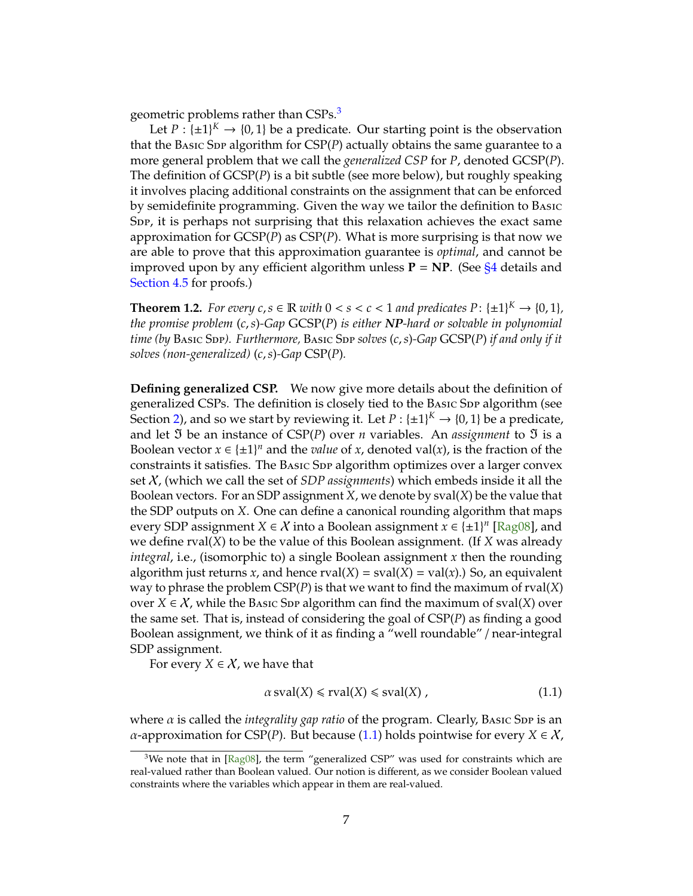<span id="page-6-3"></span>geometric problems rather than CSPs.<sup>[3](#page-6-0)</sup>

Let  $P: \mathbb{R}^N \to \{0,1\}$  be a predicate. Our starting point is the observation that the Basic Spp algorithm for  $CSP(P)$  actually obtains the same guarantee to a more general problem that we call the *generalized CSP* for *P*, denoted GCSP(*P*). The definition of GCSP(*P*) is a bit subtle (see more below), but roughly speaking it involves placing additional constraints on the assignment that can be enforced by semidefinite programming. Given the way we tailor the definition to Basic Spp, it is perhaps not surprising that this relaxation achieves the exact same approximation for GCSP(*P*) as CSP(*P*). What is more surprising is that now we are able to prove that this approximation guarantee is *optimal*, and cannot be improved upon by any efficient algorithm unless  $P = NP$ . (See  $\S4$  details and [Section 4.5](#page-31-0) for proofs.)

<span id="page-6-2"></span>**Theorem 1.2.** For every  $c, s \in \mathbb{R}$  with  $0 < s < c < 1$  and predicates  $P: \{\pm 1\}^K \rightarrow \{0, 1\}$ , *the promise problem* (*c*,*s*)*-Gap* GCSP(*P*) *is either NP-hard or solvable in polynomial time (by* Basic Spp). Furthermore, Basic Spp solves (c, s)-Gap GCSP(P) if and only if it *solves (non-generalized)* (*c*,*s*)*-Gap* CSP(*P*)*.*

**Defining generalized CSP.** We now give more details about the definition of generalized CSPs. The definition is closely tied to the BASIC SDP algorithm (see Section [2\)](#page-10-0), and so we start by reviewing it. Let  $P: \{\pm 1\}^K \to \{0, 1\}$  be a predicate, and let  $\Im$  be an instance of CSP(*P*) over *n* variables. An *assignment* to  $\Im$  is a Boolean vector  $x \in \{\pm 1\}^n$  and the *value* of *x*, denoted val(*x*), is the fraction of the constraints it satisfies. The Basic Spp algorithm optimizes over a larger convex set X, (which we call the set of *SDP assignments*) which embeds inside it all the Boolean vectors. For an SDP assignment *X*, we denote by sval(*X*) be the value that the SDP outputs on *X*. One can define a canonical rounding algorithm that maps every SDP assignment *X*  $\in$  *X* into a Boolean assignment  $x \in \{\pm 1\}^n$  [\[Rag08\]](#page-39-4), and we define rval(*X*) to be the value of this Boolean assignment. (If *X* was already *integral*, i.e., (isomorphic to) a single Boolean assignment *x* then the rounding algorithm just returns *x*, and hence  $rval(X) = val(X) = val(x)$ .) So, an equivalent way to phrase the problem CSP(*P*) is that we want to find the maximum of rval(*X*) over  $X \in \mathcal{X}$ , while the Basic Spp algorithm can find the maximum of sval(*X*) over the same set. That is, instead of considering the goal of CSP(*P*) as finding a good Boolean assignment, we think of it as finding a "well roundable" / near-integral SDP assignment.

For every *X*  $\in$  *X*, we have that

<span id="page-6-1"></span>
$$
\alpha \operatorname{sval}(X) \le \operatorname{rval}(X) \le \operatorname{sval}(X) \tag{1.1}
$$

where  $\alpha$  is called the *integrality gap ratio* of the program. Clearly, Basic Spp is an α-approximation for CSP(*P*). But because [\(1.1\)](#page-6-1) holds pointwise for every *X* ∈ X,

<span id="page-6-0"></span> $3$ We note that in [\[Rag08\]](#page-39-4), the term "generalized CSP" was used for constraints which are real-valued rather than Boolean valued. Our notion is different, as we consider Boolean valued constraints where the variables which appear in them are real-valued.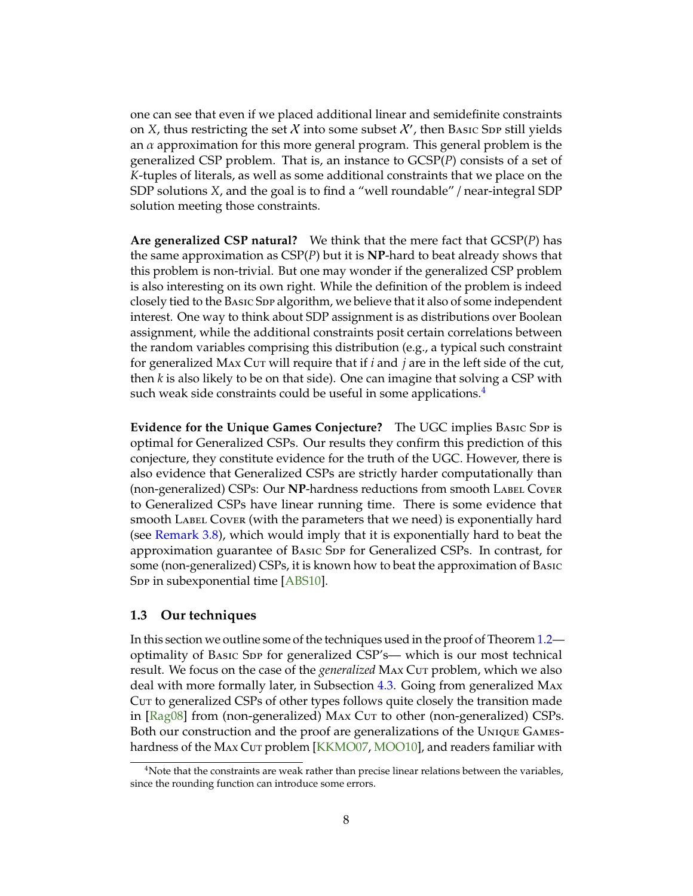<span id="page-7-2"></span>one can see that even if we placed additional linear and semidefinite constraints on *X*, thus restricting the set  $\mathcal X$  into some subset  $\mathcal X'$ , then Basic Spp still yields an  $\alpha$  approximation for this more general program. This general problem is the generalized CSP problem. That is, an instance to GCSP(*P*) consists of a set of *K*-tuples of literals, as well as some additional constraints that we place on the SDP solutions *X*, and the goal is to find a "well roundable" / near-integral SDP solution meeting those constraints.

**Are generalized CSP natural?** We think that the mere fact that GCSP(*P*) has the same approximation as CSP(*P*) but it is **NP**-hard to beat already shows that this problem is non-trivial. But one may wonder if the generalized CSP problem is also interesting on its own right. While the definition of the problem is indeed closely tied to the Basic Spp algorithm, we believe that it also of some independent interest. One way to think about SDP assignment is as distributions over Boolean assignment, while the additional constraints posit certain correlations between the random variables comprising this distribution (e.g., a typical such constraint for generalized Max Cut will require that if *i* and *j* are in the left side of the cut, then *k* is also likely to be on that side). One can imagine that solving a CSP with such weak side constraints could be useful in some applications.<sup>[4](#page-7-1)</sup>

**Evidence for the Unique Games Conjecture?** The UGC implies Basic Spp is optimal for Generalized CSPs. Our results they confirm this prediction of this conjecture, they constitute evidence for the truth of the UGC. However, there is also evidence that Generalized CSPs are strictly harder computationally than (non-generalized) CSPs: Our **NP**-hardness reductions from smooth LABEL COVER to Generalized CSPs have linear running time. There is some evidence that smooth LABEL COVER (with the parameters that we need) is exponentially hard (see [Remark 3.8\)](#page-20-0), which would imply that it is exponentially hard to beat the approximation guarantee of BASIC SDP for Generalized CSPs. In contrast, for some (non-generalized) CSPs, it is known how to beat the approximation of Basic Spp in subexponential time [\[ABS10\]](#page-36-1).

## <span id="page-7-0"></span>**1.3 Our techniques**

In this section we outline some of the techniques used in the proof of Theorem [1.2](#page-6-2) optimality of Basic Spp for generalized CSP's— which is our most technical result. We focus on the case of the *generalized* MAX Cur problem, which we also deal with more formally later, in Subsection [4.3.](#page-28-0) Going from generalized Max Cut to generalized CSPs of other types follows quite closely the transition made in  $[Rag08]$  from (non-generalized) Max Cut to other (non-generalized) CSPs. Both our construction and the proof are generalizations of the Unique Games-hardness of the MAX Cut problem [\[KKMO07,](#page-38-8) [MOO10\]](#page-38-9), and readers familiar with

<span id="page-7-1"></span><sup>&</sup>lt;sup>4</sup>Note that the constraints are weak rather than precise linear relations between the variables, since the rounding function can introduce some errors.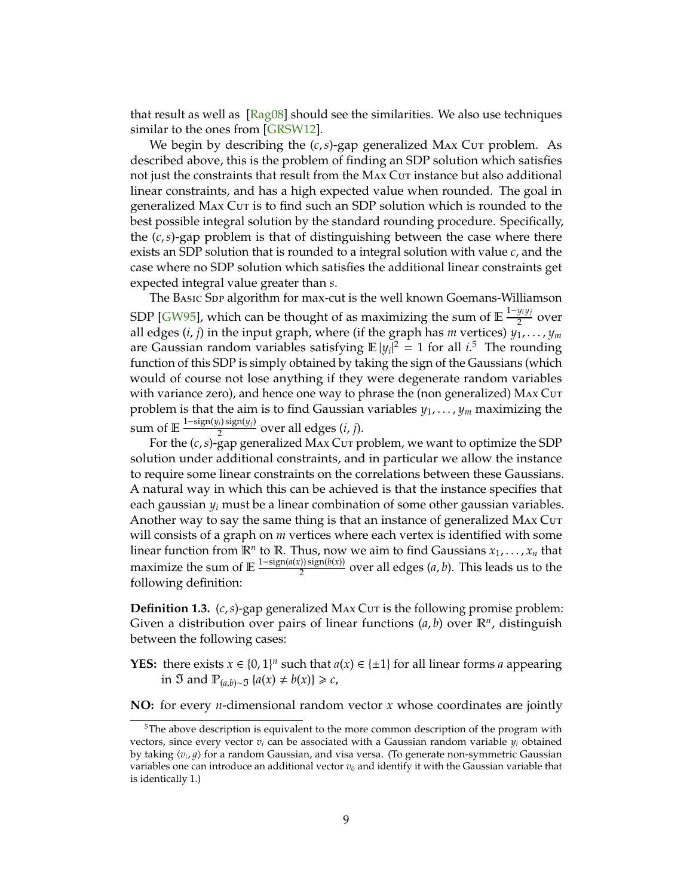<span id="page-8-1"></span>that result as well as  $[Rag08]$  should see the similarities. We also use techniques similar to the ones from [\[GRSW12\]](#page-37-11).

We begin by describing the (*c*,*s*)-gap generalized Max Cut problem. As described above, this is the problem of finding an SDP solution which satisfies not just the constraints that result from the MAX Cut instance but also additional linear constraints, and has a high expected value when rounded. The goal in generalized MAX Cut is to find such an SDP solution which is rounded to the best possible integral solution by the standard rounding procedure. Specifically, the (*c*,*s*)-gap problem is that of distinguishing between the case where there exists an SDP solution that is rounded to a integral solution with value *c*, and the case where no SDP solution which satisfies the additional linear constraints get expected integral value greater than *s*.

The Basic Spp algorithm for max-cut is the well known Goemans-Williamson SDP [\[GW95\]](#page-38-10), which can be thought of as maximizing the sum of  $\mathbb{E} \frac{1-y_iy_j}{2}$  $\frac{9191}{2}$  over all edges (*i*, *j*) in the input graph, where (if the graph has *m* vertices) *y*1, . . . , *y<sup>m</sup>* are Gaussian random variables satisfying  $\mathbb{E}|y_i|^2 = 1$  for all *i*.<sup>[5](#page-8-0)</sup> The rounding function of this SDP is simply obtained by taking the sign of the Gaussians (which would of course not lose anything if they were degenerate random variables with variance zero), and hence one way to phrase the (non generalized) MAX Cut problem is that the aim is to find Gaussian variables *y*1, . . . , *y<sup>m</sup>* maximizing the sum of  $\mathbb{E} \frac{1-\text{sign}(y_i)\text{sign}(y_j)}{2}$  $\frac{\frac{1}{2} \log \log n}{2}$  over all edges  $(i, j)$ .

For the  $(c, s)$ -gap generalized Max Cut problem, we want to optimize the SDP solution under additional constraints, and in particular we allow the instance to require some linear constraints on the correlations between these Gaussians. A natural way in which this can be achieved is that the instance specifies that each gaussian  $y_i$  must be a linear combination of some other gaussian variables. Another way to say the same thing is that an instance of generalized MAX Cut will consists of a graph on *m* vertices where each vertex is identified with some linear function from  $\mathbb{R}^n$  to  $\mathbb{R}$ . Thus, now we aim to find Gaussians  $x_1, \ldots, x_n$  that maximize the sum of  $\mathbb{E} \frac{1-\text{sign}(a(x)) \cdot \text{sign}(b(x))}{2}$  $\frac{\sum_{i=1}^{n} S_i}{2}$  over all edges  $(a, b)$ . This leads us to the following definition:

**Definition 1.3.** (*c*,*s*)-gap generalized MAX Cut is the following promise problem: Given a distribution over pairs of linear functions  $(a, b)$  over  $\mathbb{R}^n$ , distinguish between the following cases:

**YES:** there exists  $x \in \{0, 1\}^n$  such that  $a(x) \in \{\pm 1\}$  for all linear forms *a* appearing in  $\mathfrak{I}$  and  $\mathbb{P}_{(a,b)\sim \mathfrak{I}}\left\{a(x) \neq b(x)\right\} \geq c$ ,

**NO:** for every *n*-dimensional random vector *x* whose coordinates are jointly

<span id="page-8-0"></span> $5$ The above description is equivalent to the more common description of the program with vectors, since every vector  $v_i$  can be associated with a Gaussian random variable  $y_i$  obtained by taking  $\langle v_i, g \rangle$  for a random Gaussian, and visa versa. (To generate non-symmetric Gaussian variables one can introduce an additional vector  $v_0$  and identify it with the Gaussian variable that is identically 1.)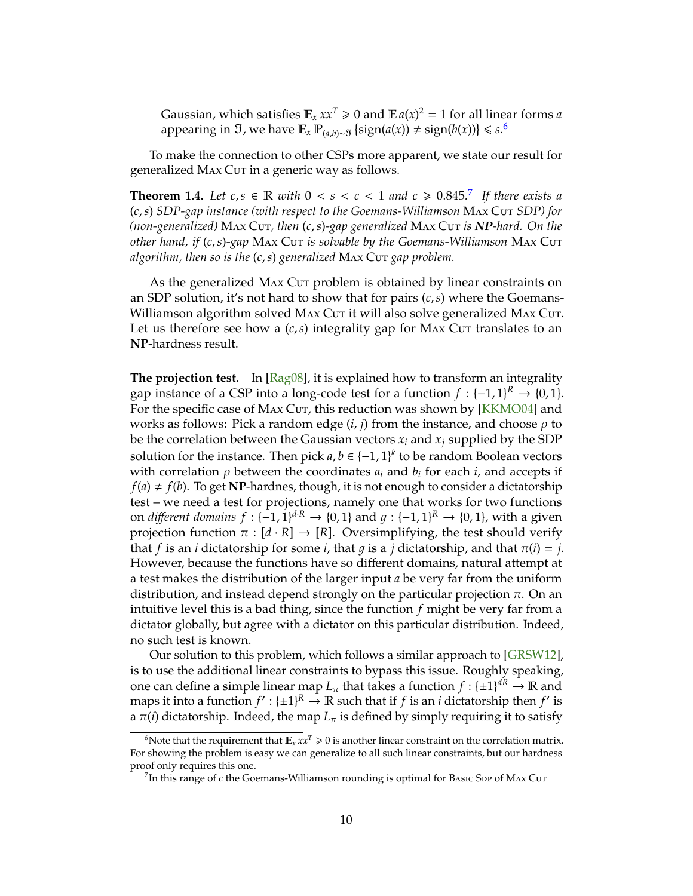<span id="page-9-2"></span>Gaussian, which satisfies  $\mathbb{E}_x$   $xx^T \geq 0$  and  $\mathbb{E} \, a(x)^2 = 1$  for all linear forms *a* appearing in  $\mathfrak{I}$ , we have  $\mathbb{E}_x \mathbb{P}_{(a,b)\sim \mathfrak{I}}$  {sign( $a(x)$ ) ≠ sign( $b(x)$ )} ≤ s.<sup>[6](#page-9-0)</sup>

To make the connection to other CSPs more apparent, we state our result for generalized MAX Cut in a generic way as follows.

**Theorem 1.4.** Let  $c, s \in \mathbb{R}$  with  $0 < s < c < 1$  and  $c \ge 0.845$ .<sup>[7](#page-9-1)</sup> If there exists a (*c*,*s*) *SDP-gap instance (with respect to the Goemans-Williamson* Max Cut *SDP) for (non-generalized)* Max Cut*, then* (*c*,*s*)*-gap generalized* Max Cut *is NP-hard. On the other hand, if* (*c*,*s*)-gap MAx Cut *is solvable by the Goemans-Williamson MAx Cut algorithm, then so is the (c, s) generalized* Max Cut *gap problem.* 

As the generalized M<sub>AX</sub> Cut problem is obtained by linear constraints on an SDP solution, it's not hard to show that for pairs (*c*,*s*) where the Goemans-Williamson algorithm solved Max Cut it will also solve generalized Max Cut. Let us therefore see how a  $(c, s)$  integrality gap for MAX Cu<sub>T</sub> translates to an **NP**-hardness result.

**The projection test.** In [\[Rag08\]](#page-39-4), it is explained how to transform an integrality gap instance of a CSP into a long-code test for a function  $f: \{-1,1\}^R \to \{0,1\}$ . For the specific case of MAx Cut, this reduction was shown by [\[KKMO04\]](#page-38-6) and works as follows: Pick a random edge  $(i, j)$  from the instance, and choose  $\rho$  to be the correlation between the Gaussian vectors  $x_i$  and  $x_j$  supplied by the SDP solution for the instance. Then pick  $a, b \in \{-1, 1\}^k$  to be random Boolean vectors with correlation  $\rho$  between the coordinates  $a_i$  and  $b_i$  for each *i*, and accepts if  $f(a) \neq f(b)$ . To get **NP**-hardnes, though, it is not enough to consider a dictatorship test – we need a test for projections, namely one that works for two functions on *different domains*  $f : \{-1, 1\}^{d \cdot R} \rightarrow \{0, 1\}$  and  $g : \{-1, 1\}^R \rightarrow \{0, 1\}$ , with a given projection function  $\pi : [d \cdot R] \rightarrow [R]$ . Oversimplifying, the test should verify that *f* is an *i* dictatorship for some *i*, that *g* is a *j* dictatorship, and that  $\pi(i) = j$ . However, because the functions have so different domains, natural attempt at a test makes the distribution of the larger input *a* be very far from the uniform distribution, and instead depend strongly on the particular projection  $\pi$ . On an intuitive level this is a bad thing, since the function *f* might be very far from a dictator globally, but agree with a dictator on this particular distribution. Indeed, no such test is known.

Our solution to this problem, which follows a similar approach to [\[GRSW12\]](#page-37-11), is to use the additional linear constraints to bypass this issue. Roughly speaking, one can define a simple linear map  $L_{\pi}$  that takes a function  $f: \{\pm 1\}^{d\tilde{R}} \to \mathbb{R}$  and maps it into a function  $f' : {\pm 1}^R \to \mathbb{R}$  such that if *f* is an *i* dictatorship then *f'* is a  $\pi(i)$  dictatorship. Indeed, the map  $L_{\pi}$  is defined by simply requiring it to satisfy

<span id="page-9-0"></span><sup>&</sup>lt;sup>6</sup>Note that the requirement that  $\mathbb{E}_x$  *xx<sup>T</sup>*  $\geq$  0 is another linear constraint on the correlation matrix. For showing the problem is easy we can generalize to all such linear constraints, but our hardness proof only requires this one.

<span id="page-9-1"></span> $7$ In this range of  $c$  the Goemans-Williamson rounding is optimal for Basic Spp of Max Cut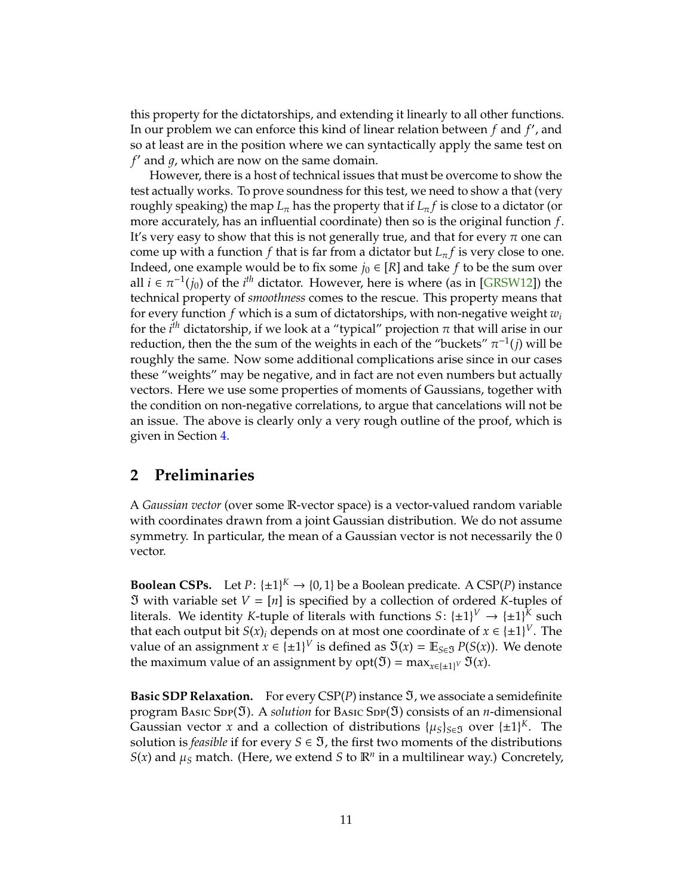<span id="page-10-1"></span>this property for the dictatorships, and extending it linearly to all other functions. In our problem we can enforce this kind of linear relation between  $f$  and  $f'$ , and so at least are in the position where we can syntactically apply the same test on  $f'$  and  $g$ , which are now on the same domain.

However, there is a host of technical issues that must be overcome to show the test actually works. To prove soundness for this test, we need to show a that (very roughly speaking) the map  $L_{\pi}$  has the property that if  $L_{\pi}f$  is close to a dictator (or more accurately, has an influential coordinate) then so is the original function *f*. It's very easy to show that this is not generally true, and that for every  $\pi$  one can come up with a function *f* that is far from a dictator but  $L_{\pi} f$  is very close to one. Indeed, one example would be to fix some  $j_0 \in [R]$  and take  $f$  to be the sum over all  $i \in \pi^{-1}(j_0)$  of the *i*<sup>th</sup> dictator. However, here is where (as in [\[GRSW12\]](#page-37-11)) the technical property of *smoothness* comes to the rescue. This property means that for every function *f* which is a sum of dictatorships, with non-negative weight *w<sup>i</sup>* for the *i th* dictatorship, if we look at a "typical" projection π that will arise in our reduction, then the the sum of the weights in each of the "buckets"  $\pi^{-1}(j)$  will be roughly the same. Now some additional complications arise since in our cases these "weights" may be negative, and in fact are not even numbers but actually vectors. Here we use some properties of moments of Gaussians, together with the condition on non-negative correlations, to argue that cancelations will not be an issue. The above is clearly only a very rough outline of the proof, which is given in Section [4.](#page-21-0)

## <span id="page-10-0"></span>**2 Preliminaries**

A *Gaussian vector* (over some R-vector space) is a vector-valued random variable with coordinates drawn from a joint Gaussian distribution. We do not assume symmetry. In particular, the mean of a Gaussian vector is not necessarily the 0 vector.

**Boolean CSPs.** Let  $P: {\pm 1}^K \to \{0, 1\}$  be a Boolean predicate. A CSP(*P*) instance  $\Im$  with variable set  $V = [n]$  is specified by a collection of ordered *K*-tuples of literals. We identity *K*-tuple of literals with functions  $S: \{\pm 1\}^V \to {\{\pm 1\}}^{\tilde{K}}$  such that each output bit  $S(x)_i$  depends on at most one coordinate of  $x \in {\pm 1}^V$ . The value of an assignment  $x \in \{ \pm 1 \}^V$  is defined as  $\mathfrak{I}(x) = \mathbb{E}_{S \in \mathfrak{I}} P(S(x))$ . We denote the maximum value of an assignment by  $opt(\mathfrak{I}) = \max_{x \in \{\pm 1\}^V} \mathfrak{I}(x)$ .

**Basic SDP Relaxation.** For every  $CSP(P)$  instance  $\mathfrak{I}$ , we associate a semidefinite program Basic Spp( $\mathfrak{I}$ ). A *solution* for Basic Spp( $\mathfrak{I}$ ) consists of an *n*-dimensional Gaussian vector *x* and a collection of distributions  $\{\mu_S\}_{S\in\mathfrak{V}}$  over  $\{\pm 1\}^K$ . The solution is *feasible* if for every  $S \in \mathfrak{I}$ , the first two moments of the distributions *S*(*x*) and  $\mu_S$  match. (Here, we extend *S* to  $\mathbb{R}^n$  in a multilinear way.) Concretely,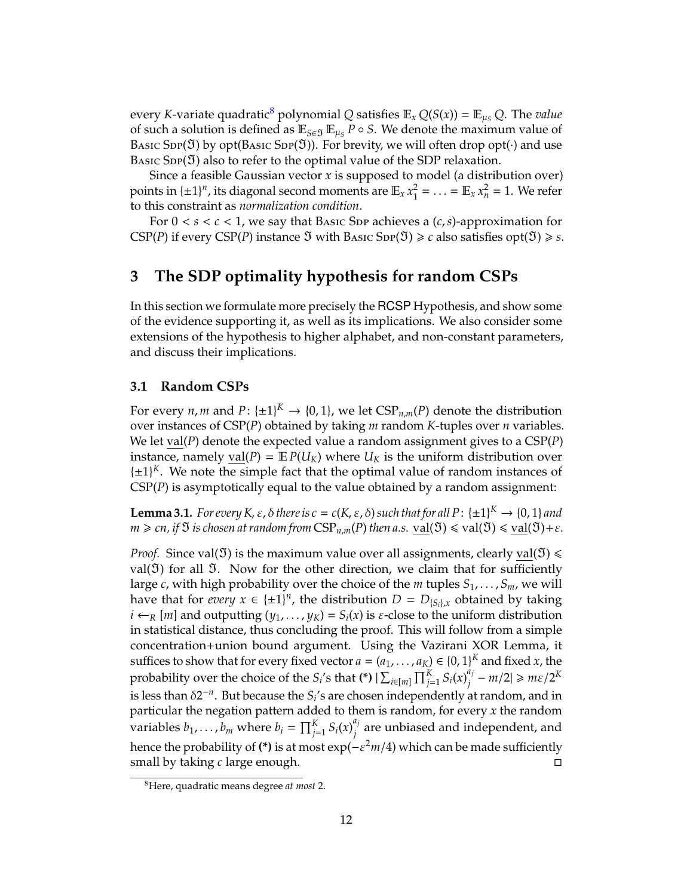every *K*-variate quadratic<sup>[8](#page-11-2)</sup> polynomial *Q* satisfies  $\mathbb{E}_x Q(S(x)) = \mathbb{E}_{\mu_s} Q$ . The *value* of such a solution is defined as  $\mathbb{E}_{S \in \mathfrak{I}} \mathbb{E}_{\mu_S} P \circ S$ . We denote the maximum value of Basic Spp( $\mathfrak{I}$ ) by opt(Basic Spp( $\mathfrak{I}$ )). For brevity, we will often drop opt( $\cdot$ ) and use Basic  $SDP(\mathfrak{I})$  also to refer to the optimal value of the SDP relaxation.

Since a feasible Gaussian vector *x* is supposed to model (a distribution over) points in  $\{\pm 1\}^n$ , its diagonal second moments are  $\mathbb{E}_x x_1^2$  $j_1^2 = \ldots = \mathbb{E}_x x_n^2 = 1$ . We refer to this constraint as *normalization condition*.

For  $0 < s < c < 1$ , we say that Basic Spp achieves a  $(c, s)$ -approximation for  $CSP(P)$  if every  $CSP(P)$  instance  $\Im$  with Basic  $SDP(\Im) \geq c$  also satisfies opt( $\Im$ )  $\geq s$ .

## <span id="page-11-0"></span>**3 The SDP optimality hypothesis for random CSPs**

In this section we formulate more precisely the RCSP Hypothesis, and show some of the evidence supporting it, as well as its implications. We also consider some extensions of the hypothesis to higher alphabet, and non-constant parameters, and discuss their implications.

## <span id="page-11-1"></span>**3.1 Random CSPs**

For every *n*, *m* and  $P: \{\pm 1\}^K \to \{0, 1\}$ , we let  $CSP_{n,m}(P)$  denote the distribution over instances of CSP(*P*) obtained by taking *m* random *K*-tuples over *n* variables. We let val(*P*) denote the expected value a random assignment gives to a CSP(*P*) instance, namely  $val(P) = E P(U_K)$  where  $U_K$  is the uniform distribution over  $\{\pm 1\}^K$ . We note the simple fact that the optimal value of random instances of CSP(*P*) is asymptotically equal to the value obtained by a random assignment:

<span id="page-11-3"></span>**Lemma 3.1.** *For every K, ε, δ there is*  $c = c(K, \varepsilon, \delta)$  *such that for all*  $P: \{\pm 1\}^K \to \{0, 1\}$  *and*  $m \geq c$ *n*, *if*  $\Im$  *is chosen at random from*  $CSP_{n,m}(P)$  *then a.s.* val $(\Im) \leq$  val $(\Im) \leq$  val $(\Im) + \varepsilon$ *.* 

*Proof.* Since val( $\mathfrak{I}$ ) is the maximum value over all assignments, clearly val( $\mathfrak{I}$ )  $\leq$ val( $\mathfrak{I}$ ) for all  $\mathfrak{I}$ . Now for the other direction, we claim that for sufficiently large *c*, with high probability over the choice of the *m* tuples  $S_1, \ldots, S_m$ , we will have that for *every*  $x \in {\pm 1}^n$ , the distribution  $D = D_{\{S_i\},x}$  obtained by taking  $i \leftarrow_R [m]$  and outputting  $(y_1, \ldots, y_K) = S_i(x)$  is  $\varepsilon$ -close to the uniform distribution in statistical distance, thus concluding the proof. This will follow from a simple concentration+union bound argument. Using the Vazirani XOR Lemma, it suffices to show that for every fixed vector  $a = (a_1, \ldots, a_K) \in \{0, 1\}^K$  and fixed *x*, the probability over the choice of the *S*<sub>*i*</sub>'s that (\*)  $|\sum_{i\in[m]} \prod_{j=1}^K S_i(x)_j^{a_j}$  $j^{a_j}$  – *m*/2 $\geq m\varepsilon/2^K$ is less than  $\delta 2^{-n}$ . But because the  $S_i$ 's are chosen independently at random, and in particular the negation pattern added to them is random, for every *x* the random variables  $b_1, \ldots, b_m$  where  $b_i = \prod_{j=1}^K S_i(x)_{j}^{a_j}$  $j$ <sup> $\prime$ </sup> are unbiased and independent, and hence the probability of (\*) is at most exp $(-\varepsilon^2 m/4)$  which can be made sufficiently small by taking *c* large enough.

<span id="page-11-2"></span><sup>8</sup>Here, quadratic means degree *at most* 2.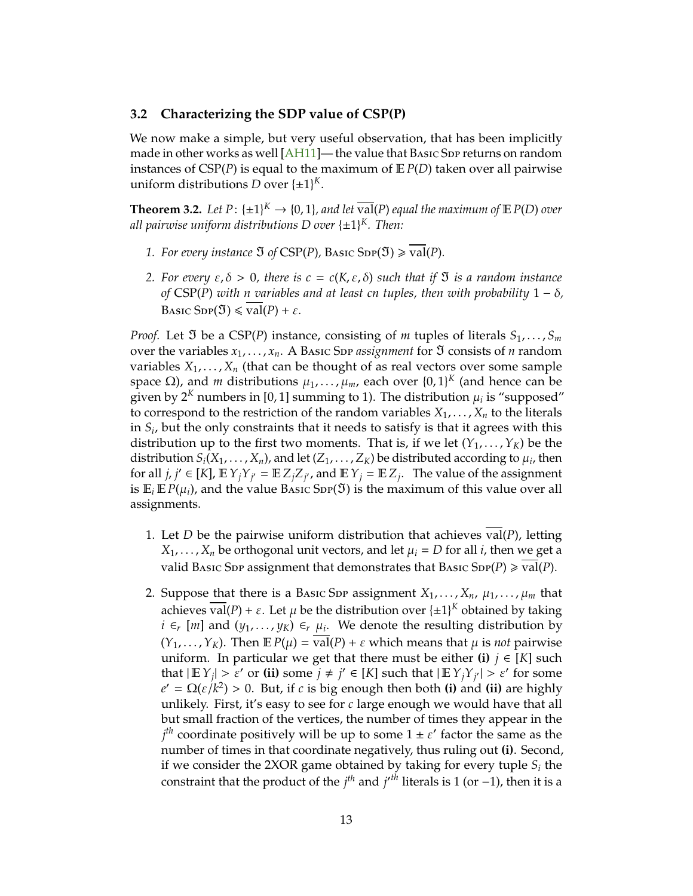### <span id="page-12-2"></span><span id="page-12-0"></span>**3.2 Characterizing the SDP value of CSP(P)**

We now make a simple, but very useful observation, that has been implicitly made in other works as well  $[AH11]$ — the value that Basic Spp returns on random instances of CSP(*P*) is equal to the maximum of E *P*(*D*) taken over all pairwise uniform distributions  $\overline{D}$  over  $\{\pm 1\}^K$ .

<span id="page-12-1"></span>**Theorem 3.2.** Let  $P: \{\pm 1\}^K \to \{0, 1\}$ , and let  $\overline{val}(P)$  equal the maximum of  $\mathbb{E} P(D)$  over *all pairwise uniform distributions D over* {±1} *<sup>K</sup>. Then:*

- *1. For every instance*  $\Im$  *of* CSP(*P*)*,* Basic Spp( $\Im$ )  $\geq$  val(*P*)*.*
- *2.* For every  $\varepsilon$ ,  $\delta > 0$ , there is  $c = c(K, \varepsilon, \delta)$  such that if  $\mathfrak I$  is a random instance *of*  $CSP(P)$  *with n variables and at least cn tuples, then with probability*  $1 - \delta$ *,* Basic  $SDP(\mathfrak{I}) \leq val(P) + \varepsilon$ .

*Proof.* Let  $\mathfrak I$  be a CSP(*P*) instance, consisting of *m* tuples of literals  $S_1, \ldots, S_m$ over the variables  $x_1, \ldots, x_n$ . A Basic Spp *assignment* for  $\mathfrak I$  consists of *n* random variables  $X_1, \ldots, X_n$  (that can be thought of as real vectors over some sample space Ω), and *m* distributions  $\mu_1, \ldots, \mu_m$ , each over  $\{0, 1\}^K$  (and hence can be given by 2<sup>K</sup> numbers in [0, 1] summing to 1). The distribution  $\mu_i$  is "supposed" to correspond to the restriction of the random variables  $X_1, \ldots, X_n$  to the literals in *S<sup>i</sup>* , but the only constraints that it needs to satisfy is that it agrees with this distribution up to the first two moments. That is, if we let  $(Y_1, \ldots, Y_K)$  be the distribution  $S_i(X_1,\ldots,X_n)$ , and let  $(Z_1,\ldots,Z_K)$  be distributed according to  $\mu_i$ , then for all  $j, j' \in [K]$ ,  $\mathbb{E} Y_j Y_{j'} = \mathbb{E} Z_j Z_{j'}$ , and  $\mathbb{E} Y_j = \mathbb{E} Z_j$ . The value of the assignment is  $\mathbb{E}_i \mathbb{E} P(\mu_i)$ , and the value Basic Spp( $\mathfrak{I}$ ) is the maximum of this value over all assignments.

- 1. Let *D* be the pairwise uniform distribution that achieves val(*P*), letting  $X_1, \ldots, X_n$  be orthogonal unit vectors, and let  $\mu_i = D$  for all *i*, then we get a valid Basic Spp assignment that demonstrates that Basic Spp $(P) \geq \text{val}(P)$ .
- 2. Suppose that there is a Basic Spp assignment  $X_1, \ldots, X_n$ ,  $\mu_1, \ldots, \mu_m$  that achieves  $\overline{val}(P) + \varepsilon$ . Let  $\mu$  be the distribution over  $\{\pm 1\}^K$  obtained by taking *i* ∈*r* [*m*] and  $(y_1, ..., y_K)$  ∈*r*  $\mu_i$ . We denote the resulting distribution by  $(Y_1, \ldots, Y_K)$ . Then  $\mathbb{E} P(\mu) = \text{val}(P) + \varepsilon$  which means that  $\mu$  is *not* pairwise uniform. In particular we get that there must be either **(i)**  $j \in [K]$  such that  $|E(Y_j| > \varepsilon'$  or (ii) some  $j \neq j' \in [K]$  such that  $|E(Y_j| > \varepsilon'$  for some  $e' = \Omega(\varepsilon/k^2) > 0$ . But, if *c* is big enough then both **(i)** and **(ii)** are highly unlikely. First, it's easy to see for *c* large enough we would have that all but small fraction of the vertices, the number of times they appear in the  $j<sup>th</sup>$  coordinate positively will be up to some  $1 \pm \varepsilon'$  factor the same as the number of times in that coordinate negatively, thus ruling out **(i)**. Second, if we consider the 2XOR game obtained by taking for every tuple  $S_i$  the constraint that the product of the *j*<sup>th</sup> and *j*<sup>th</sup> literals is 1 (or −1), then it is a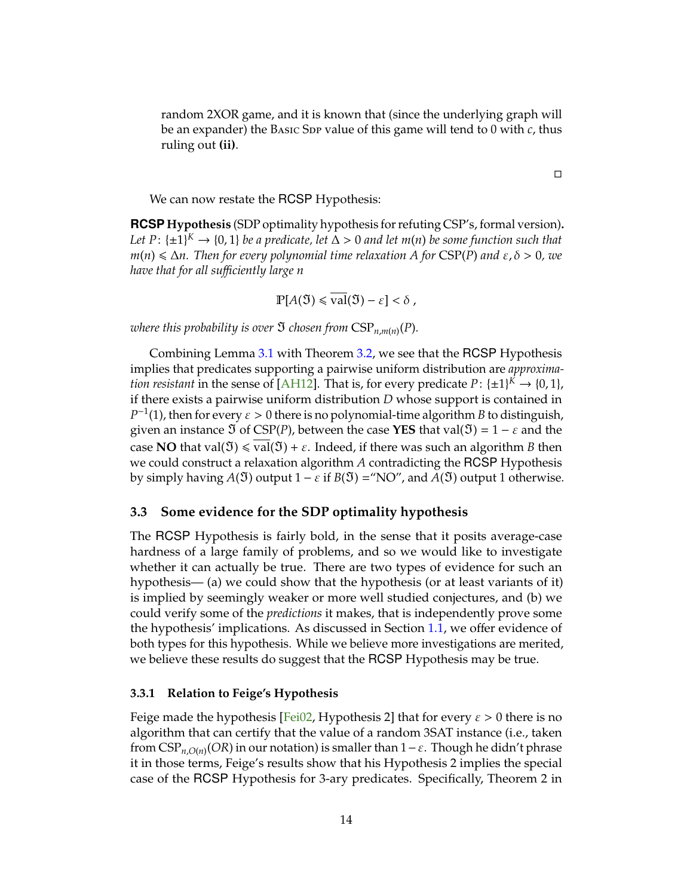<span id="page-13-2"></span>random 2XOR game, and it is known that (since the underlying graph will be an expander) the Basic Spp value of this game will tend to 0 with *c*, thus ruling out **(ii)**.

We can now restate the RCSP Hypothesis:

**RCSP Hypothesis** (SDP optimality hypothesis for refuting CSP's, formal version)**.** *Let*  $P: \{\pm 1\}^K \to \{0, 1\}$  *be a predicate, let*  $\Delta > 0$  *and let*  $m(n)$  *be some function such that*  $m(n) \le \Delta n$ . Then for every polynomial time relaxation A for CSP(P) and  $\varepsilon$ ,  $\delta > 0$ , we *have that for all su*ffi*ciently large n*

$$
\mathbb{P}[A(\mathfrak{I}) \leq \overline{\mathrm{val}}(\mathfrak{I}) - \varepsilon] < \delta \, ,
$$

where this probability is over  $\mathfrak I$  chosen from  $\mathrm{CSP}_{n,m(n)}(P)$ .

Combining Lemma [3.1](#page-11-3) with Theorem [3.2,](#page-12-1) we see that the RCSP Hypothesis implies that predicates supporting a pairwise uniform distribution are *approximation resistant* in the sense of [\[AH12\]](#page-36-8). That is, for every predicate  $P: {\{\pm 1\}}^K \rightarrow \{0, 1\}$ , if there exists a pairwise uniform distribution *D* whose support is contained in  $P^{-1}(1)$ , then for every  $\varepsilon > 0$  there is no polynomial-time algorithm *B* to distinguish, given an instance  $\Im$  of CSP(*P*), between the case **YES** that val( $\Im$ ) = 1 –  $\varepsilon$  and the case **NO** that val( $\mathfrak{I}$ )  $\leq$  val( $\mathfrak{I}$ ) +  $\varepsilon$ . Indeed, if there was such an algorithm *B* then we could construct a relaxation algorithm *A* contradicting the RCSP Hypothesis by simply having  $A(3)$  output  $1 - \varepsilon$  if  $B(3) = NO''$ , and  $A(3)$  output 1 otherwise.

## <span id="page-13-0"></span>**3.3 Some evidence for the SDP optimality hypothesis**

The RCSP Hypothesis is fairly bold, in the sense that it posits average-case hardness of a large family of problems, and so we would like to investigate whether it can actually be true. There are two types of evidence for such an hypothesis— (a) we could show that the hypothesis (or at least variants of it) is implied by seemingly weaker or more well studied conjectures, and (b) we could verify some of the *predictions* it makes, that is independently prove some the hypothesis' implications. As discussed in Section [1.1,](#page-3-0) we offer evidence of both types for this hypothesis. While we believe more investigations are merited, we believe these results do suggest that the RCSP Hypothesis may be true.

#### <span id="page-13-1"></span>**3.3.1 Relation to Feige's Hypothesis**

Feige made the hypothesis [\[Fei02,](#page-37-6) Hypothesis 2] that for every  $\varepsilon > 0$  there is no algorithm that can certify that the value of a random 3SAT instance (i.e., taken from  $\text{CSP}_{n,O(n)}(OR)$  in our notation) is smaller than  $1-\varepsilon$ . Though he didn't phrase it in those terms, Feige's results show that his Hypothesis 2 implies the special case of the RCSP Hypothesis for 3-ary predicates. Specifically, Theorem 2 in

 $\Box$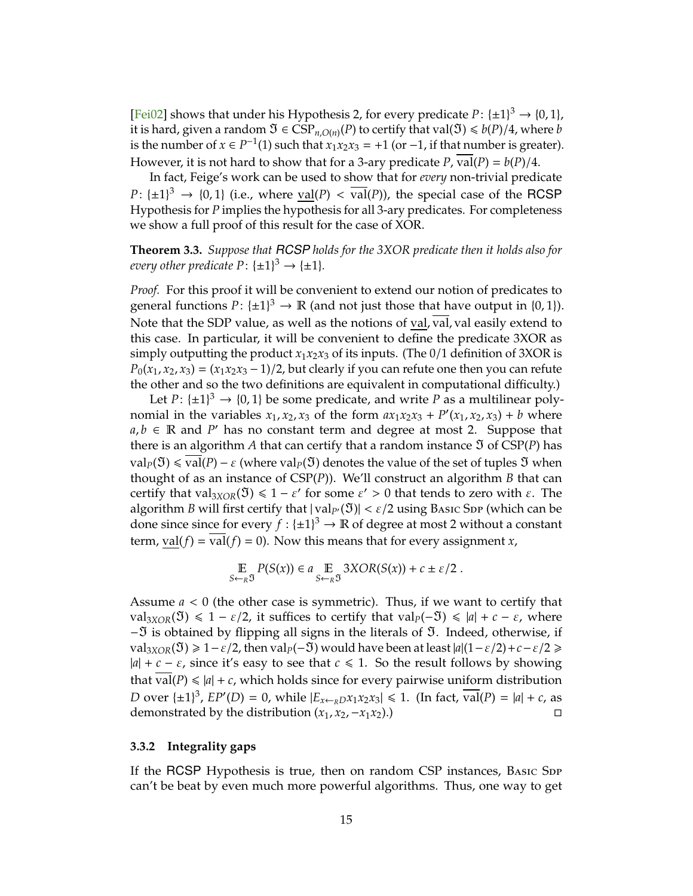<span id="page-14-1"></span>[\[Fei02\]](#page-37-6) shows that under his Hypothesis 2, for every predicate  $P: \{\pm 1\}^3 \rightarrow \{0, 1\}$ , it is hard, given a random  $\mathfrak{I} \in \widehat{\mathrm{CSP}}_{n,O(n)}(P)$  to certify that val $(\mathfrak{I}) \leqslant b(P)/4$ , where  $b$ is the number of *x* ∈ *P*<sup>-1</sup>(1) such that *x*<sub>1</sub>*x*<sub>2</sub>*x*<sub>3</sub> = +1 (or −1, if that number is greater). However, it is not hard to show that for a 3-ary predicate  $P$ ,  $\overline{val}(P) = b(P)/4$ .

In fact, Feige's work can be used to show that for *every* non-trivial predicate *P*: { $\pm 1$ }<sup>3</sup>  $\rightarrow$  {0, 1} (i.e., where <u>val</u>(*P*) <  $\overline{val}(P)$ ), the special case of the RCSP Hypothesis for *P* implies the hypothesis for all 3-ary predicates. For completeness we show a full proof of this result for the case of XOR.

**Theorem 3.3.** *Suppose that* RCSP *holds for the 3XOR predicate then it holds also for every other predicate*  $P: \{\pm 1\}^3 \rightarrow \{\pm 1\}.$ 

*Proof.* For this proof it will be convenient to extend our notion of predicates to general functions  $P: {\pm 1}^3 \rightarrow \mathbb{R}$  (and not just those that have output in {0, 1}). Note that the SDP value, as well as the notions of val,  $\overline{val}$ , val easily extend to this case. In particular, it will be convenient to define the predicate 3XOR as simply outputting the product  $x_1x_2x_3$  of its inputs. (The  $0/1$  definition of 3XOR is  $P_0(x_1, x_2, x_3) = (x_1x_2x_3 - 1)/2$ , but clearly if you can refute one then you can refute the other and so the two definitions are equivalent in computational difficulty.)

Let  $P: \{\pm 1\}^3 \rightarrow \{0, 1\}$  be some predicate, and write  $P$  as a multilinear polynomial in the variables  $x_1, x_2, x_3$  of the form  $ax_1x_2x_3 + P'(x_1, x_2, x_3) + b$  where  $a, b \in \mathbb{R}$  and *P*<sup>'</sup> has no constant term and degree at most 2. Suppose that there is an algorithm *A* that can certify that a random instance  $\mathfrak{I}$  of CSP(*P*) has  $val_P(\mathfrak{I}) \leq val(P) - \varepsilon$  (where val<sub>*P*</sub>( $\mathfrak{I}$ ) denotes the value of the set of tuples  $\mathfrak{I}$  when thought of as an instance of CSP(*P*)). We'll construct an algorithm *B* that can certify that val<sub>3XOR</sub>( $\mathfrak{I}$ )  $\leq 1 - \varepsilon'$  for some  $\varepsilon' > 0$  that tends to zero with  $\varepsilon$ . The algorithm *B* will first certify that  $|{\rm val}_{P'}(\mathfrak{I})| < \varepsilon/2$  using Basic Spp (which can be done since since for every  $f: \{\pm 1\}^3 \to \mathbb{R}$  of degree at most 2 without a constant term, val( $f$ ) = val( $f$ ) = 0). Now this means that for every assignment *x*,

$$
\mathop{\mathbb{E}}_{S \leftarrow_R S} P(S(x)) \in a \mathop{\mathbb{E}}_{S \leftarrow_R S} 3XOR(S(x)) + c \pm \varepsilon/2.
$$

Assume *a* < 0 (the other case is symmetric). Thus, if we want to certify that val<sub>3XOR</sub>( $\mathfrak{I}$ )  $\leq 1 - \varepsilon/2$ , it suffices to certify that val<sub>*P*</sub>(- $\mathfrak{I}$ )  $\leq$  |*a*| + *c* −  $\varepsilon$ , where − $\mathfrak I$  is obtained by flipping all signs in the literals of  $\mathfrak I$ . Indeed, otherwise, if  $\text{val}_{3XOR}(\mathfrak{I}) \geq 1-\varepsilon/2$ , then  $\text{val}_P(-\mathfrak{I})$  would have been at least  $|a|(1-\varepsilon/2)+c-\varepsilon/2 \geq 0$ | $a$ | + *c* −  $\varepsilon$ , since it's easy to see that *c* ≤ 1. So the result follows by showing that  $\overline{val}(P) \le |a| + c$ , which holds since for every pairwise uniform distribution *D* over  $\{\pm 1\}^3$ ,  $EP'(D) = 0$ , while  $|E_{x \leftarrow_R D} x_1 x_2 x_3| \le 1$ . (In fact,  $\overline{val}(P) = |a| + c$ , as demonstrated by the distribution  $(x_1, x_2, -x_1x_2)$ .) □

## <span id="page-14-0"></span>**3.3.2 Integrality gaps**

If the RCSP Hypothesis is true, then on random CSP instances, BASIC SDP can't be beat by even much more powerful algorithms. Thus, one way to get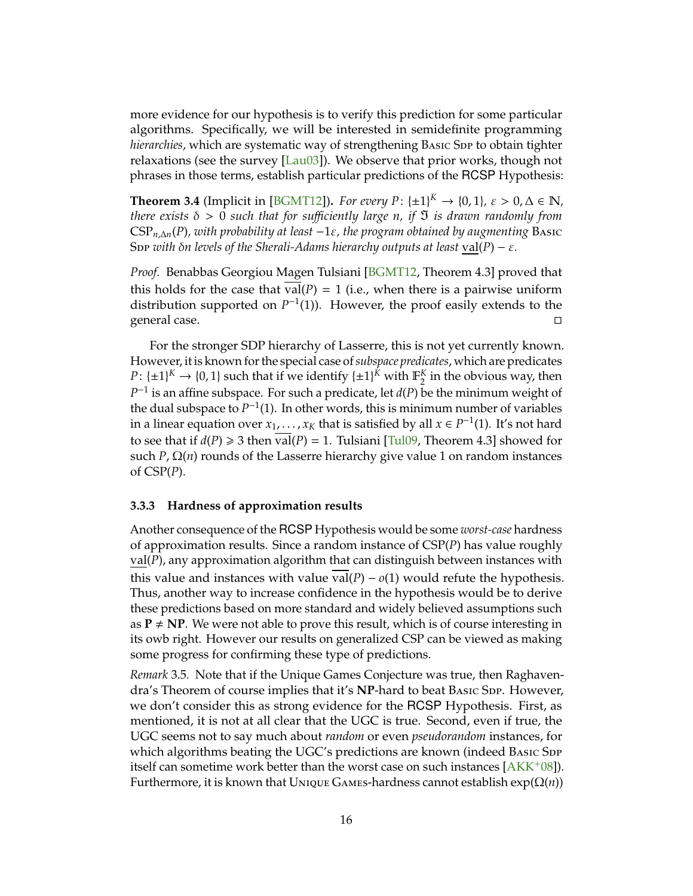<span id="page-15-1"></span>more evidence for our hypothesis is to verify this prediction for some particular algorithms. Specifically, we will be interested in semidefinite programming *hierarchies*, which are systematic way of strengthening Basic Spp to obtain tighter relaxations (see the survey [\[Lau03\]](#page-38-11)). We observe that prior works, though not phrases in those terms, establish particular predictions of the RCSP Hypothesis:

**Theorem 3.4** (Implicit in [\[BGMT12\]](#page-37-9)). *For every*  $P: \{\pm 1\}^K \to \{0, 1\}$ ,  $\varepsilon > 0$ ,  $\Delta \in \mathbb{N}$ , *there exists*  $\delta > 0$  *such that for sufficiently large n, if*  $\mathfrak{I}$  *is drawn randomly from* CSP*n*,∆*n*(*P*)*, with probability at least* −1ε*, the program obtained by augmenting* Basic SDP *with δn levels of the Sherali-Adams hierarchy outputs at least*  $val(P) - ε$ *.*</u>

*Proof.* Benabbas Georgiou Magen Tulsiani [\[BGMT12,](#page-37-9) Theorem 4.3] proved that this holds for the case that val $(P) = 1$  (i.e., when there is a pairwise uniform distribution supported on  $P^{-1}(1)$ ). However, the proof easily extends to the general case.  $\Box$ 

For the stronger SDP hierarchy of Lasserre, this is not yet currently known. However, it is known for the special case of*subspace predicates*, which are predicates *P*: { $\pm 1$ <sup>*K*</sup>  $\rightarrow$  {0, 1} such that if we identify { $\pm 1$ <sup>*K*</sup> with **F**<sup>*K*</sup><sub>2</sub>  $\frac{1}{2}$  in the obvious way, then *P*<sup>−1</sup> is an affine subspace. For such a predicate, let *d*(*P*) be the minimum weight of the dual subspace to  $P^{-1}(1)$ . In other words, this is minimum number of variables in a linear equation over  $x_1, ..., x_K$  that is satisfied by all  $x \in P^{-1}(1)$ . It's not hard to see that if  $d(P) \geq 3$  then val $(P) = 1$ . Tulsiani [\[Tul09,](#page-39-5) Theorem 4.3] showed for such *P*,  $\Omega(n)$  rounds of the Lasserre hierarchy give value 1 on random instances of CSP(*P*).

#### <span id="page-15-0"></span>**3.3.3 Hardness of approximation results**

Another consequence of the RCSP Hypothesis would be some *worst-case* hardness of approximation results. Since a random instance of CSP(*P*) has value roughly val(*P*), any approximation algorithm that can distinguish between instances with this value and instances with value val $(P) - o(1)$  would refute the hypothesis. Thus, another way to increase confidence in the hypothesis would be to derive these predictions based on more standard and widely believed assumptions such as  $P \neq NP$ . We were not able to prove this result, which is of course interesting in its owb right. However our results on generalized CSP can be viewed as making some progress for confirming these type of predictions.

*Remark* 3.5*.* Note that if the Unique Games Conjecture was true, then Raghavendra's Theorem of course implies that it's NP-hard to beat Basic Spp. However, we don't consider this as strong evidence for the RCSP Hypothesis. First, as mentioned, it is not at all clear that the UGC is true. Second, even if true, the UGC seems not to say much about *random* or even *pseudorandom* instances, for which algorithms beating the UGC's predictions are known (indeed Basic Spp) itself can sometime work better than the worst case on such instances  $[AKK^+08]$  $[AKK^+08]$ . Furthermore, it is known that Unique Games-hardness cannot establish exp(Ω(*n*))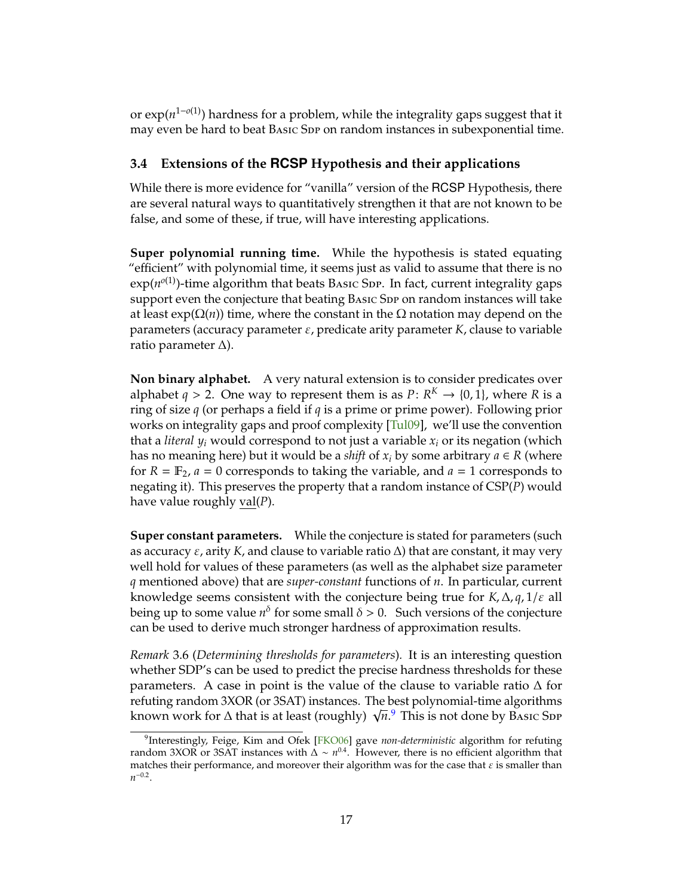<span id="page-16-2"></span>or exp(*n* <sup>1</sup>−*o*(1)) hardness for a problem, while the integrality gaps suggest that it may even be hard to beat Basic Spp on random instances in subexponential time.

## <span id="page-16-0"></span>**3.4 Extensions of the RCSP Hypothesis and their applications**

While there is more evidence for "vanilla" version of the RCSP Hypothesis, there are several natural ways to quantitatively strengthen it that are not known to be false, and some of these, if true, will have interesting applications.

**Super polynomial running time.** While the hypothesis is stated equating "efficient" with polynomial time, it seems just as valid to assume that there is no exp(n<sup>o(1)</sup>)-time algorithm that beats BASIC SDP. In fact, current integrality gaps support even the conjecture that beating Basic Spp on random instances will take at least  $exp(\Omega(n))$  time, where the constant in the  $\Omega$  notation may depend on the parameters (accuracy parameter ε, predicate arity parameter *K*, clause to variable ratio parameter  $\Delta$ ).

**Non binary alphabet.** A very natural extension is to consider predicates over alphabet  $q > 2$ . One way to represent them is as  $P: R^K \to \{0, 1\}$ , where R is a ring of size *q* (or perhaps a field if *q* is a prime or prime power). Following prior works on integrality gaps and proof complexity [\[Tul09\]](#page-39-5), we'll use the convention that a *literal*  $y_i$  would correspond to not just a variable  $x_i$  or its negation (which has no meaning here) but it would be a *shift* of  $x_i$  by some arbitrary  $a \in R$  (where for  $R = \mathbb{F}_2$ ,  $a = 0$  corresponds to taking the variable, and  $a = 1$  corresponds to negating it). This preserves the property that a random instance of CSP(*P*) would have value roughly val(*P*).

**Super constant parameters.** While the conjecture is stated for parameters (such as accuracy  $\varepsilon$ , arity *K*, and clause to variable ratio  $\Delta$ ) that are constant, it may very well hold for values of these parameters (as well as the alphabet size parameter *q* mentioned above) that are *super-constant* functions of *n*. In particular, current knowledge seems consistent with the conjecture being true for  $K$ ,  $\Delta$ ,  $q$ ,  $1/\varepsilon$  all being up to some value  $n^{\delta}$  for some small  $\delta > 0$ . Such versions of the conjecture can be used to derive much stronger hardness of approximation results.

*Remark* 3.6 (*Determining thresholds for parameters*)*.* It is an interesting question whether SDP's can be used to predict the precise hardness thresholds for these parameters. A case in point is the value of the clause to variable ratio  $\Delta$  for refuting random 3XOR (or 3SAT) instances. The best polynomial-time algorithms refuting random 3XOR (or 3SAT) instances. The best polynomial-time algorithms<br>known work for ∆ that is at least (roughly) √n.<sup>[9](#page-16-1)</sup> This is not done by BAsic Spr

<span id="page-16-1"></span><sup>9</sup> Interestingly, Feige, Kim and Ofek [\[FKO06\]](#page-37-12) gave *non-deterministic* algorithm for refuting random 3XOR or 3SAT instances with  $\Delta \sim n^{0.4}$ . However, there is no efficient algorithm that matches their performance, and moreover their algorithm was for the case that  $\varepsilon$  is smaller than *n*<sup>−0.2</sup>.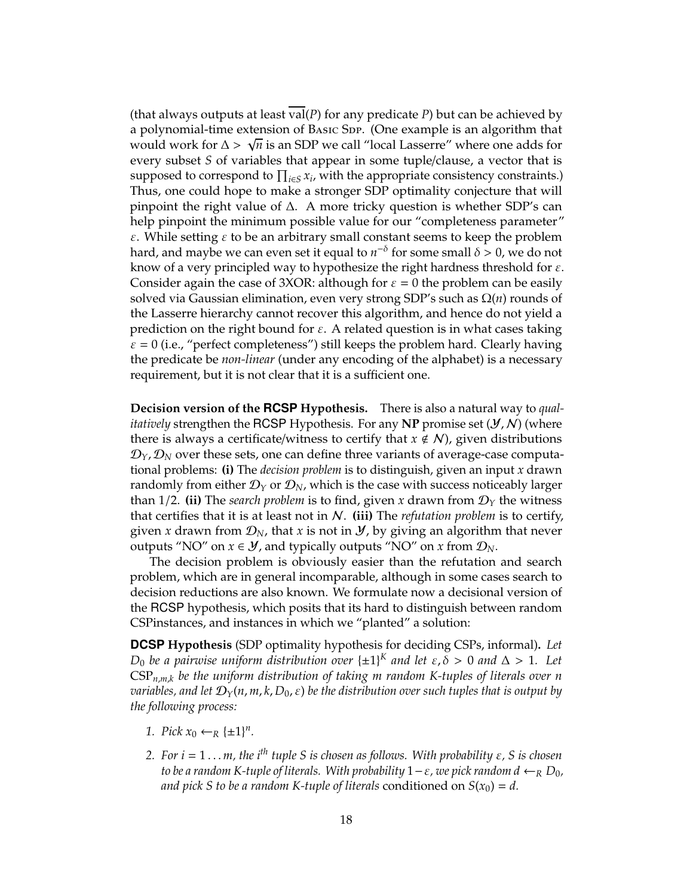(that always outputs at least val(*P*) for any predicate *P*) but can be achieved by a polynomial-time extension of BASIC SDP. (One example is an algorithm that would work for ∆ > *n* is an SDP we call "local Lasserre" where one adds for every subset *S* of variables that appear in some tuple/clause, a vector that is supposed to correspond to  $\prod_{i\in S} x_i$ , with the appropriate consistency constraints.) Thus, one could hope to make a stronger SDP optimality conjecture that will pinpoint the right value of  $Δ$ . A more tricky question is whether SDP's can help pinpoint the minimum possible value for our "completeness parameter" ε. While setting ε to be an arbitrary small constant seems to keep the problem hard, and maybe we can even set it equal to  $n^{-\delta}$  for some small  $\delta > 0$ , we do not know of a very principled way to hypothesize the right hardness threshold for  $\varepsilon$ . Consider again the case of 3XOR: although for  $\varepsilon = 0$  the problem can be easily solved via Gaussian elimination, even very strong SDP's such as Ω(*n*) rounds of the Lasserre hierarchy cannot recover this algorithm, and hence do not yield a prediction on the right bound for  $\varepsilon$ . A related question is in what cases taking  $\varepsilon = 0$  (i.e., "perfect completeness") still keeps the problem hard. Clearly having the predicate be *non-linear* (under any encoding of the alphabet) is a necessary requirement, but it is not clear that it is a sufficient one.

**Decision version of the RCSP Hypothesis.** There is also a natural way to *qualitatively* strengthen the RCSP Hypothesis. For any NP promise set  $(\mathcal{Y}, \mathcal{N})$  (where there is always a certificate/witness to certify that  $x \notin \mathcal{N}$ , given distributions  $\mathcal{D}_Y$ ,  $\mathcal{D}_N$  over these sets, one can define three variants of average-case computational problems: **(i)** The *decision problem* is to distinguish, given an input *x* drawn randomly from either  $\mathcal{D}_Y$  or  $\mathcal{D}_N$ , which is the case with success noticeably larger than 1/2. **(ii)** The *search problem* is to find, given *x* drawn from  $\mathcal{D}_Y$  the witness that certifies that it is at least not in N. **(iii)** The *refutation problem* is to certify, given *x* drawn from  $\mathcal{D}_N$ , that *x* is not in *Y*, by giving an algorithm that never outputs "NO" on *x* ∈ *Y*, and typically outputs "NO" on *x* from  $D<sub>N</sub>$ .

The decision problem is obviously easier than the refutation and search problem, which are in general incomparable, although in some cases search to decision reductions are also known. We formulate now a decisional version of the RCSP hypothesis, which posits that its hard to distinguish between random CSPinstances, and instances in which we "planted" a solution:

**DCSP Hypothesis** (SDP optimality hypothesis for deciding CSPs, informal)**.** *Let*  $D_0$  *be a pairwise uniform distribution over*  $\{\pm 1\}^K$  *and let*  $\varepsilon, \delta > 0$  *and*  $\Delta > 1$ *. Let* CSP*n*,*m*,*<sup>k</sup> be the uniform distribution of taking m random K-tuples of literals over n variables, and let*  $\mathcal{D}_Y(n, m, k, D_0, \varepsilon)$  *be the distribution over such tuples that is output by the following process:*

- *1. Pick*  $x_0$  ←  $R$  {±1}<sup>*n*</sup>.
- *2. For i* = 1 . . . *m, the i th tuple S is chosen as follows. With probability* ε*, S is chosen to be a random K-tuple of literals. With probability* 1−ε*, we pick random d* ←*<sup>R</sup> D*0*, and pick S to be a random K-tuple of literals* conditioned on  $S(x_0) = d$ .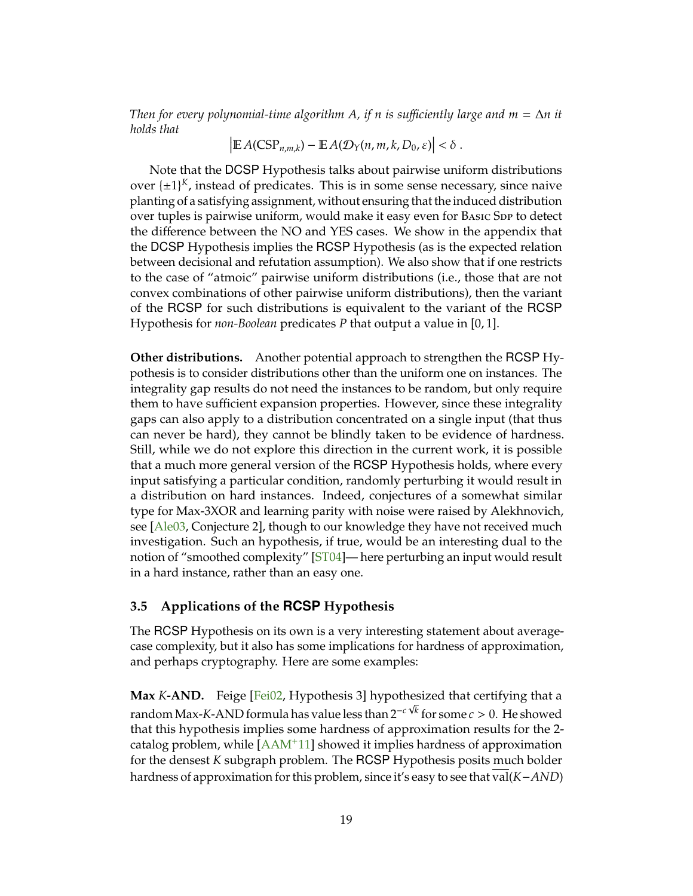<span id="page-18-1"></span>*Then for every polynomial-time algorithm A, if <i>n* is sufficiently large and  $m = \Delta n$  it *holds that*

$$
\left| \mathbb{E} A(\mathrm{CSP}_{n,m,k}) - \mathbb{E} A(\mathcal{D}_Y(n,m,k,D_0,\varepsilon)) \right| < \delta.
$$

Note that the DCSP Hypothesis talks about pairwise uniform distributions over {±1}<sup>K</sup>, instead of predicates. This is in some sense necessary, since naive planting of a satisfying assignment, without ensuring that the induced distribution over tuples is pairwise uniform, would make it easy even for Basic Spp to detect the difference between the NO and YES cases. We show in the appendix that the DCSP Hypothesis implies the RCSP Hypothesis (as is the expected relation between decisional and refutation assumption). We also show that if one restricts to the case of "atmoic" pairwise uniform distributions (i.e., those that are not convex combinations of other pairwise uniform distributions), then the variant of the RCSP for such distributions is equivalent to the variant of the RCSP Hypothesis for *non-Boolean* predicates *P* that output a value in [0, 1].

**Other distributions.** Another potential approach to strengthen the RCSP Hypothesis is to consider distributions other than the uniform one on instances. The integrality gap results do not need the instances to be random, but only require them to have sufficient expansion properties. However, since these integrality gaps can also apply to a distribution concentrated on a single input (that thus can never be hard), they cannot be blindly taken to be evidence of hardness. Still, while we do not explore this direction in the current work, it is possible that a much more general version of the RCSP Hypothesis holds, where every input satisfying a particular condition, randomly perturbing it would result in a distribution on hard instances. Indeed, conjectures of a somewhat similar type for Max-3XOR and learning parity with noise were raised by Alekhnovich, see [\[Ale03,](#page-36-9) Conjecture 2], though to our knowledge they have not received much investigation. Such an hypothesis, if true, would be an interesting dual to the notion of "smoothed complexity" [\[ST04\]](#page-39-6)— here perturbing an input would result in a hard instance, rather than an easy one.

## <span id="page-18-0"></span>**3.5 Applications of the RCSP Hypothesis**

The RCSP Hypothesis on its own is a very interesting statement about averagecase complexity, but it also has some implications for hardness of approximation, and perhaps cryptography. Here are some examples:

**Max** *K***-AND.** Feige [\[Fei02,](#page-37-6) Hypothesis 3] hypothesized that certifying that a random Max-*K*-AND formula has value less than 2 −*c k* for some *c* > 0. He showed that this hypothesis implies some hardness of approximation results for the 2 catalog problem, while  $[AAM<sup>+</sup>11]$  $[AAM<sup>+</sup>11]$  showed it implies hardness of approximation for the densest *K* subgraph problem. The RCSP Hypothesis posits much bolder hardness of approximation for this problem, since it's easy to see that val(*K*−*AND*)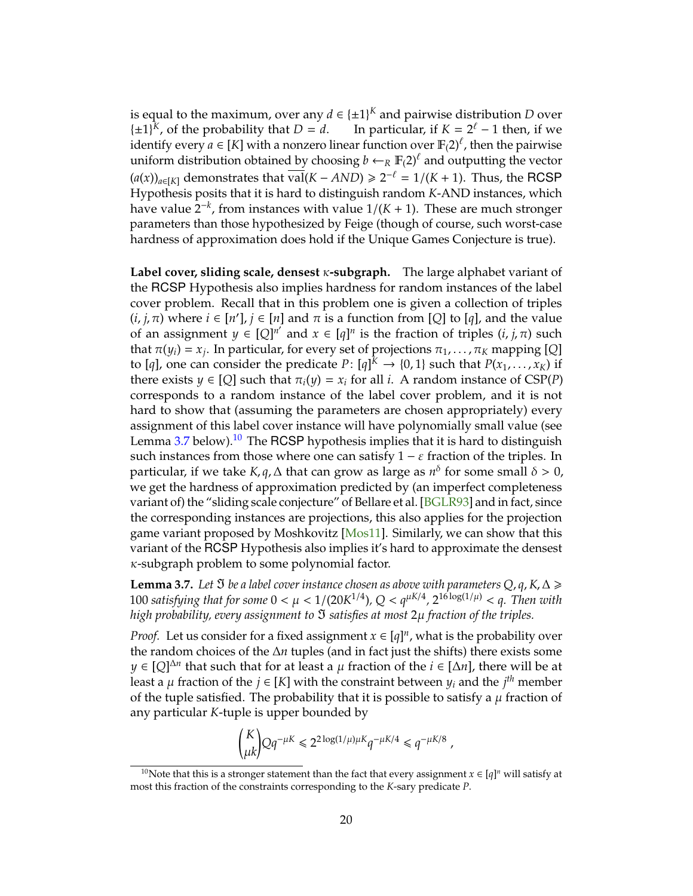<span id="page-19-2"></span>is equal to the maximum*,* over any  $d \in \{\pm 1\}^K$  and pairwise distribution  $D$  over  ${\{\pm 1\}}^{\tilde{k}}$ , of the probability that *D* = *d*. In particular, if *K* =  $2^{\ell}$  – 1 then, if we identify every  $a \in [K]$  with a nonzero linear function over  $\mathbb{F}_{2}^{(2)^\ell}$ , then the pairwise uniform distribution obtained by choosing  $b \leftarrow_R \mathbb{F}(2)^\ell$  and outputting the vector  $(a(x))_{a \in [K]}$  demonstrates that  $\overline{val}(K - AND) \ge 2^{-\ell} = 1/(K + 1)$ . Thus, the RCSP Hypothesis posits that it is hard to distinguish random *K*-AND instances, which have value  $2^{-k}$ , from instances with value  $1/(K + 1)$ . These are much stronger parameters than those hypothesized by Feige (though of course, such worst-case hardness of approximation does hold if the Unique Games Conjecture is true).

**Label cover, sliding scale, densest** κ**-subgraph.** The large alphabet variant of the RCSP Hypothesis also implies hardness for random instances of the label cover problem. Recall that in this problem one is given a collection of triples  $(i, j, \pi)$  where  $i \in [n'], j \in [n]$  and  $\pi$  is a function from [Q] to [q], and the value of an assignment  $y \in [Q]^{n'}$  and  $x \in [q]^n$  is the fraction of triples  $(i, j, \pi)$  such that  $\pi(y_i) = x_j$ . In particular, for every set of projections  $\pi_1, \ldots, \pi_K$  mapping [Q] to [*q*], one can consider the predicate  $P: [q]^{\bar{k}} \to \{0,1\}$  such that  $P(x_1, \ldots, x_K)$  if there exists  $y \in [Q]$  such that  $\pi_i(y) = x_i$  for all *i*. A random instance of CSP(*P*) corresponds to a random instance of the label cover problem, and it is not hard to show that (assuming the parameters are chosen appropriately) every assignment of this label cover instance will have polynomially small value (see Lemma [3.7](#page-19-0) below).<sup>[10](#page-19-1)</sup> The RCSP hypothesis implies that it is hard to distinguish such instances from those where one can satisfy  $1 - \varepsilon$  fraction of the triples. In particular, if we take *K*, *q*,  $\Delta$  that can grow as large as  $n^{\delta}$  for some small  $\delta > 0$ , we get the hardness of approximation predicted by (an imperfect completeness variant of) the "sliding scale conjecture" of Bellare et al. [\[BGLR93\]](#page-37-10) and in fact, since the corresponding instances are projections, this also applies for the projection game variant proposed by Moshkovitz [\[Mos11\]](#page-38-5). Similarly, we can show that this variant of the RCSP Hypothesis also implies it's hard to approximate the densest  $\kappa$ -subgraph problem to some polynomial factor.

<span id="page-19-0"></span>**Lemma 3.7.** *Let*  $\Im$  *be a label cover instance chosen as above with parameters*  $Q$ ,  $q$ ,  $K$ ,  $\Delta \geq$ 100 satisfying that for some  $0 < \mu < 1/(20K^{1/4})$ ,  $Q < q^{\mu K/4}$ ,  $2^{16 \log(1/\mu)} < q$ . Then with *high probability, every assignment to*  $\Im$  *satisfies at most*  $2\mu$  *fraction of the triples.* 

*Proof.* Let us consider for a fixed assignment  $x \in [q]^n$ , what is the probability over the random choices of the ∆*n* tuples (and in fact just the shifts) there exists some *y* ∈ [*Q*] ∆*n* that such that for at least a µ fraction of the *i* ∈ [∆*n*], there will be at least a  $\mu$  fraction of the  $j \in [K]$  with the constraint between  $y_i$  and the  $j^{th}$  member of the tuple satisfied. The probability that it is possible to satisfy a  $\mu$  fraction of any particular *K*-tuple is upper bounded by

$$
\binom{K}{\mu k} Q q^{-\mu K} \leq 2^{2 \log(1/\mu) \mu K} q^{-\mu K/4} \leq q^{-\mu K/8} \;,
$$

<span id="page-19-1"></span><sup>&</sup>lt;sup>10</sup>Note that this is a stronger statement than the fact that every assignment  $x \in [q]^n$  will satisfy at most this fraction of the constraints corresponding to the *K*-sary predicate *P*.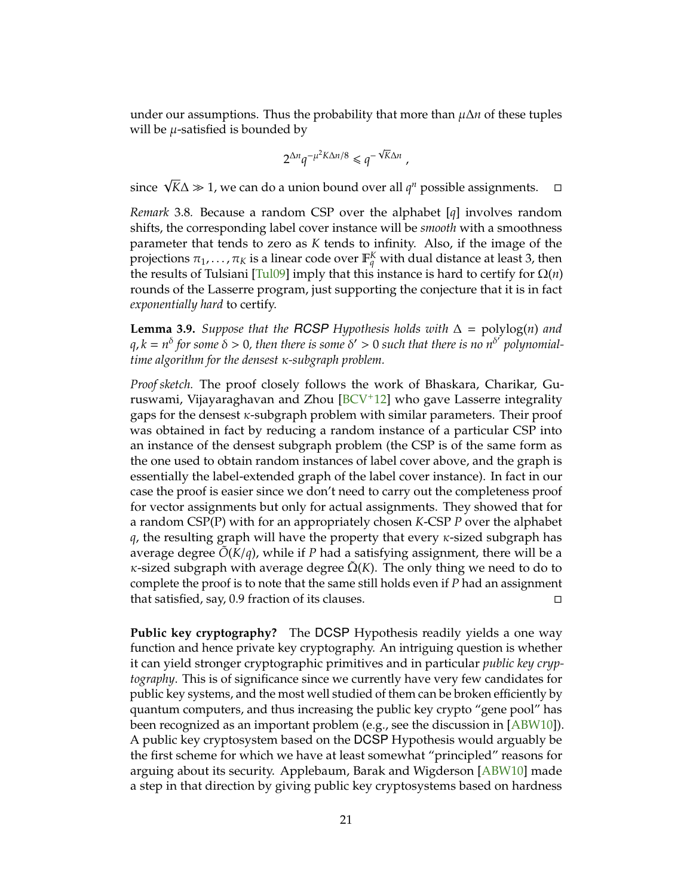<span id="page-20-1"></span>under our assumptions. Thus the probability that more than µ∆*n* of these tuples will be  $\mu$ -satisfied is bounded by

$$
2^{\Delta n}q^{-\mu^2 K \Delta n/8} \leq q^{-\sqrt{K} \Delta n} \; ,
$$

since <sup>√</sup> *K*∆ 1, we can do a union bound over all *q <sup>n</sup>* possible assignments.

<span id="page-20-0"></span>*Remark* 3.8*.* Because a random CSP over the alphabet [*q*] involves random shifts, the corresponding label cover instance will be *smooth* with a smoothness parameter that tends to zero as *K* tends to infinity. Also, if the image of the projections  $\pi_1, \ldots, \pi_K$  is a linear code over  $\mathbb{F}_q^K$  with dual distance at least 3, then the results of Tulsiani [\[Tul09\]](#page-39-5) imply that this instance is hard to certify for Ω(*n*) rounds of the Lasserre program, just supporting the conjecture that it is in fact *exponentially hard* to certify.

**Lemma 3.9.** *Suppose that the RCSP Hypothesis holds with*  $\Delta$  = polylog(*n*) *and*  $q, k = n^{\delta}$  for some  $\delta > 0$ , then there is some  $\delta' > 0$  such that there is no  $n^{\delta'}$  polynomial*time algorithm for the densest* κ*-subgraph problem.*

*Proof sketch.* The proof closely follows the work of Bhaskara, Charikar, Guruswami, Vijayaraghavan and Zhou [\[BCV](#page-36-10)+12] who gave Lasserre integrality gaps for the densest κ-subgraph problem with similar parameters. Their proof was obtained in fact by reducing a random instance of a particular CSP into an instance of the densest subgraph problem (the CSP is of the same form as the one used to obtain random instances of label cover above, and the graph is essentially the label-extended graph of the label cover instance). In fact in our case the proof is easier since we don't need to carry out the completeness proof for vector assignments but only for actual assignments. They showed that for a random CSP(P) with for an appropriately chosen *K*-CSP *P* over the alphabet *q*, the resulting graph will have the property that every κ-sized subgraph has average degree  $\tilde{O}(K/q)$ , while if *P* had a satisfying assignment, there will be a  $κ$ -sized subgraph with average degree  $\Omega(K)$ . The only thing we need to do to complete the proof is to note that the same still holds even if *P* had an assignment that satisfied, say, 0.9 fraction of its clauses.

**Public key cryptography?** The DCSP Hypothesis readily yields a one way function and hence private key cryptography. An intriguing question is whether it can yield stronger cryptographic primitives and in particular *public key cryptography*. This is of significance since we currently have very few candidates for public key systems, and the most well studied of them can be broken efficiently by quantum computers, and thus increasing the public key crypto "gene pool" has been recognized as an important problem (e.g., see the discussion in [\[ABW10\]](#page-36-11)). A public key cryptosystem based on the DCSP Hypothesis would arguably be the first scheme for which we have at least somewhat "principled" reasons for arguing about its security. Applebaum, Barak and Wigderson [\[ABW10\]](#page-36-11) made a step in that direction by giving public key cryptosystems based on hardness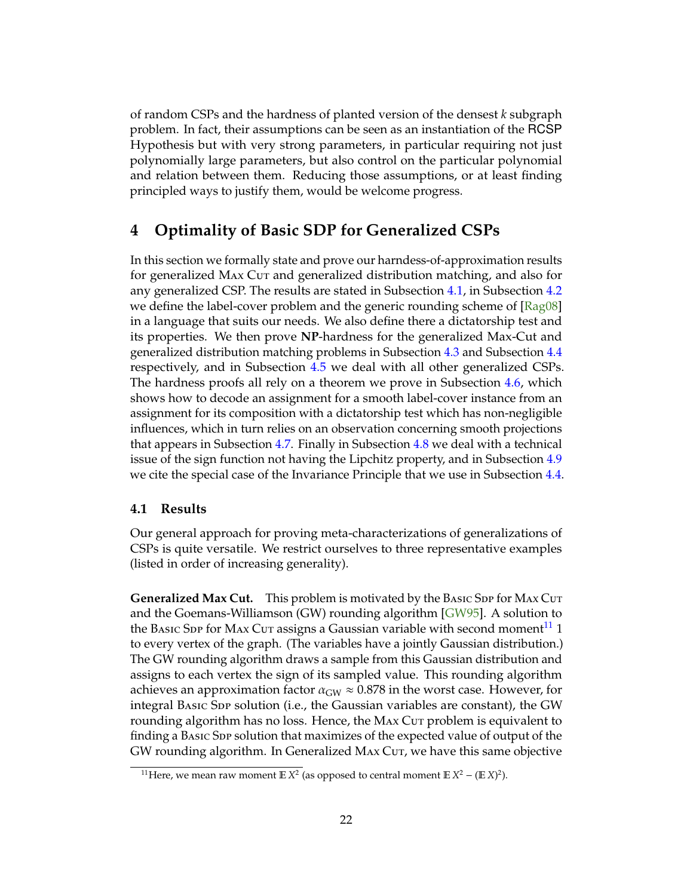<span id="page-21-3"></span>of random CSPs and the hardness of planted version of the densest *k* subgraph problem. In fact, their assumptions can be seen as an instantiation of the RCSP Hypothesis but with very strong parameters, in particular requiring not just polynomially large parameters, but also control on the particular polynomial and relation between them. Reducing those assumptions, or at least finding principled ways to justify them, would be welcome progress.

## <span id="page-21-0"></span>**4 Optimality of Basic SDP for Generalized CSPs**

In this section we formally state and prove our harndess-of-approximation results for generalized M<sub>AX</sub> C<sub>UT</sub> and generalized distribution matching, and also for any generalized CSP. The results are stated in Subsection [4.1,](#page-21-1) in Subsection [4.2](#page-24-0) we define the label-cover problem and the generic rounding scheme of [\[Rag08\]](#page-39-4) in a language that suits our needs. We also define there a dictatorship test and its properties. We then prove **NP**-hardness for the generalized Max-Cut and generalized distribution matching problems in Subsection [4.3](#page-28-0) and Subsection [4.4](#page-30-0) respectively, and in Subsection [4.5](#page-31-0) we deal with all other generalized CSPs. The hardness proofs all rely on a theorem we prove in Subsection [4.6,](#page-33-0) which shows how to decode an assignment for a smooth label-cover instance from an assignment for its composition with a dictatorship test which has non-negligible influences, which in turn relies on an observation concerning smooth projections that appears in Subsection [4.7.](#page-34-0) Finally in Subsection [4.8](#page-35-0) we deal with a technical issue of the sign function not having the Lipchitz property, and in Subsection [4.9](#page-35-1) we cite the special case of the Invariance Principle that we use in Subsection [4.4.](#page-30-0)

## <span id="page-21-1"></span>**4.1 Results**

Our general approach for proving meta-characterizations of generalizations of CSPs is quite versatile. We restrict ourselves to three representative examples (listed in order of increasing generality).

**Generalized Max Cut.** This problem is motivated by the Basic Spp for Max Cut and the Goemans-Williamson (GW) rounding algorithm [\[GW95\]](#page-38-10). A solution to the Basic Spp for Max Cut assigns a Gaussian variable with second moment<sup>[11](#page-21-2)</sup> 1 to every vertex of the graph. (The variables have a jointly Gaussian distribution.) The GW rounding algorithm draws a sample from this Gaussian distribution and assigns to each vertex the sign of its sampled value. This rounding algorithm achieves an approximation factor  $\alpha_{GW} \approx 0.878$  in the worst case. However, for integral Basic Spp solution (i.e., the Gaussian variables are constant), the GW rounding algorithm has no loss. Hence, the MAX Cut problem is equivalent to finding a Basic Spp solution that maximizes of the expected value of output of the GW rounding algorithm. In Generalized MAX Cut, we have this same objective

<span id="page-21-2"></span><sup>&</sup>lt;sup>11</sup>Here, we mean raw moment  $\mathbb{E} X^2$  (as opposed to central moment  $\mathbb{E} X^2 - (\mathbb{E} X)^2$ ).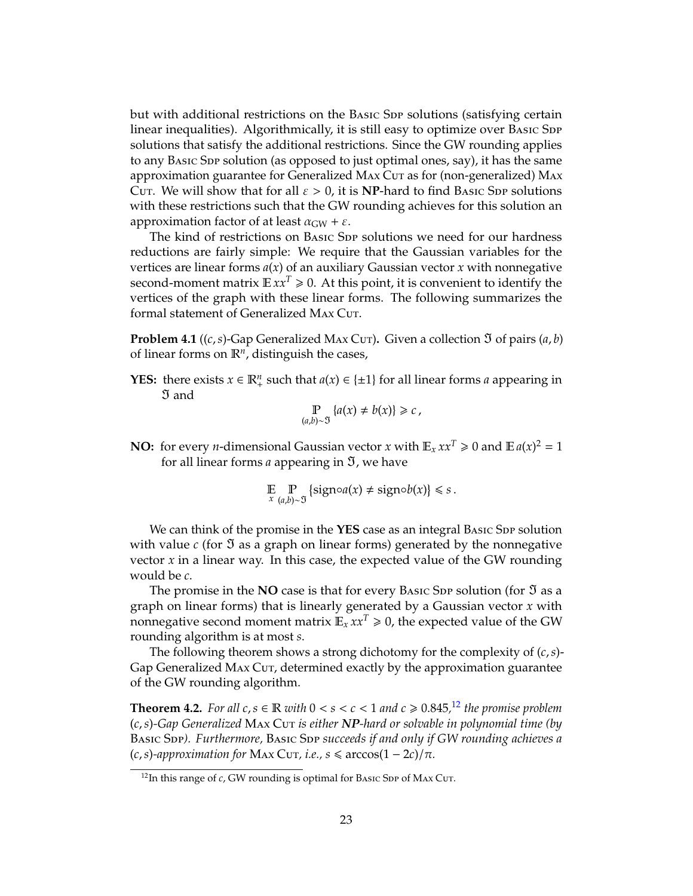but with additional restrictions on the Basic Spp solutions (satisfying certain linear inequalities). Algorithmically, it is still easy to optimize over BASIC SDP solutions that satisfy the additional restrictions. Since the GW rounding applies to any Basic Spp solution (as opposed to just optimal ones, say), it has the same approximation guarantee for Generalized MAX Cut as for (non-generalized) MAX Cut. We will show that for all  $\varepsilon > 0$ , it is **NP**-hard to find Basic Spp solutions with these restrictions such that the GW rounding achieves for this solution an approximation factor of at least  $\alpha_{\rm GW} + \varepsilon$ .

The kind of restrictions on Basic Spp solutions we need for our hardness reductions are fairly simple: We require that the Gaussian variables for the vertices are linear forms  $a(x)$  of an auxiliary Gaussian vector  $x$  with nonnegative second-moment matrix  $\mathbb{E} xx^T \geq 0$ . At this point, it is convenient to identify the vertices of the graph with these linear forms. The following summarizes the formal statement of Generalized MAX Cut.

**Problem 4.1** ((*c*,*s*)-Gap Generalized Max Cut). Given a collection  $\Im$  of pairs (*a*, *b*) of linear forms on R*<sup>n</sup>* , distinguish the cases,

**YES:** there exists  $x \in \mathbb{R}^n_+$  such that  $a(x) \in \{\pm 1\}$  for all linear forms *a* appearing in  $\mathfrak{I}$  and

$$
\mathop{\mathbb{P}}_{(a,b)\sim \mathfrak{I}}\left\{a(x)\neq b(x)\right\}\geq c\,,
$$

**NO:** for every *n*-dimensional Gaussian vector *x* with  $\mathbb{E}_x$  *xx*<sup>*T*</sup>  $\geq 0$  and  $\mathbb{E} a(x)^2 = 1$ for all linear forms *a* appearing in  $\mathfrak{I}$ , we have

$$
\mathbb{E} \underset{x}{\mathbb{P}} \underset{(a,b)\sim \mathfrak{I}}{\mathbb{P}} \left\{ \text{sign}\circ a(x) \neq \text{sign}\circ b(x) \right\} \leq s \, .
$$

We can think of the promise in the **YES** case as an integral Basic Spp solution with value  $c$  (for  $\mathfrak I$  as a graph on linear forms) generated by the nonnegative vector *x* in a linear way. In this case, the expected value of the GW rounding would be *c*.

The promise in the  $NO$  case is that for every Basic Spp solution (for  $\mathfrak I$  as a graph on linear forms) that is linearly generated by a Gaussian vector *x* with nonnegative second moment matrix  $\mathbb{E}_x$  *xx*<sup>*T*</sup>  $\geq$  0, the expected value of the GW rounding algorithm is at most *s*.

The following theorem shows a strong dichotomy for the complexity of (*c*,*s*)- Gap Generalized MAx Cut, determined exactly by the approximation guarantee of the GW rounding algorithm.

<span id="page-22-1"></span>**Theorem 4.2.** For all  $c, s \in \mathbb{R}$  with  $0 < s < c < 1$  and  $c \ge 0.845$ , <sup>[12](#page-22-0)</sup> the promise problem (*c*,*s*)*-Gap Generalized* Max Cut *is either NP-hard or solvable in polynomial time (by* Basic Spp). Furthermore, Basic Spp succeeds if and only if GW rounding achieves a  $(c, s)$ -approximation for Max Cut, i.e.,  $s \leq \arccos(1 - 2c)/\pi$ .

<span id="page-22-0"></span> $12$ In this range of  $c$ , GW rounding is optimal for Basic Spp of Max Cut.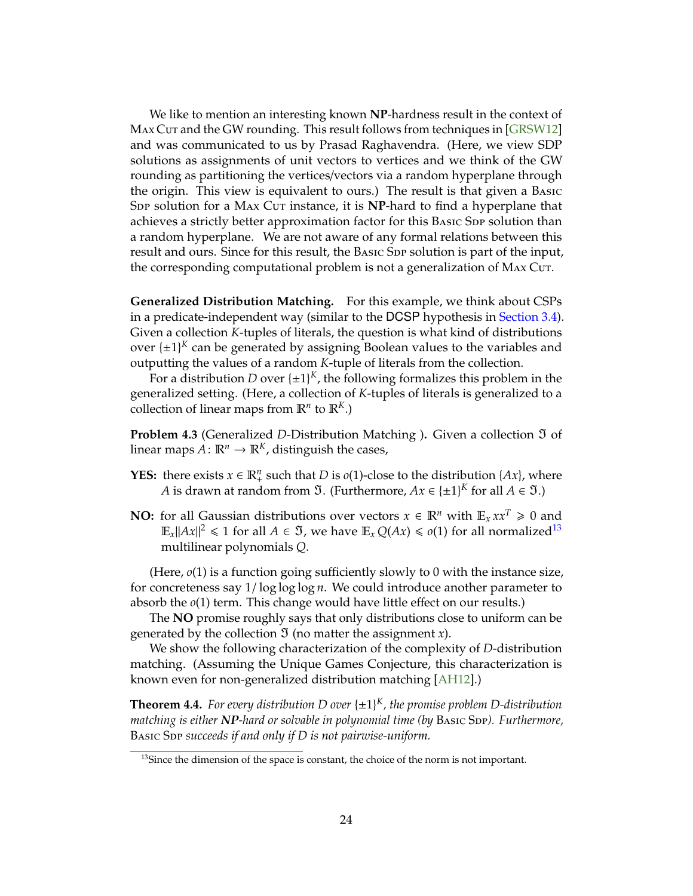<span id="page-23-3"></span>We like to mention an interesting known **NP**-hardness result in the context of Max Cut and the GW rounding. This result follows from techniques in [\[GRSW12\]](#page-37-11) and was communicated to us by Prasad Raghavendra. (Here, we view SDP solutions as assignments of unit vectors to vertices and we think of the GW rounding as partitioning the vertices/vectors via a random hyperplane through the origin. This view is equivalent to ours.) The result is that given a Basic Spp solution for a Max Cut instance, it is **NP**-hard to find a hyperplane that achieves a strictly better approximation factor for this Basic Spp solution than a random hyperplane. We are not aware of any formal relations between this result and ours. Since for this result, the Basic Spp solution is part of the input, the corresponding computational problem is not a generalization of Max Cut.

**Generalized Distribution Matching.** For this example, we think about CSPs in a predicate-independent way (similar to the DCSP hypothesis in [Section 3.4\)](#page-16-0). Given a collection *K*-tuples of literals, the question is what kind of distributions over {±1}<sup>K</sup> can be generated by assigning Boolean values to the variables and outputting the values of a random *K*-tuple of literals from the collection.

For a distribution *D* over  $\{\pm 1\}^K$ , the following formalizes this problem in the generalized setting. (Here, a collection of *K*-tuples of literals is generalized to a collection of linear maps from  $\mathbb{R}^n$  to  $\mathbb{R}^K$ .)

<span id="page-23-1"></span>**Problem 4.3** (Generalized *D*-Distribution Matching ). Given a collection  $\mathfrak I$  of linear maps  $A: \mathbb{R}^n \to \mathbb{R}^k$ , distinguish the cases,

- **YES:** there exists  $x \in \mathbb{R}^n_+$  such that *D* is *o*(1)-close to the distribution {*Ax*}, where *A* is drawn at random from  $\mathfrak{I}$ . (Furthermore,  $Ax \in {\pm 1}^K$  for all  $A \in \mathfrak{I}$ .)
- **NO:** for all Gaussian distributions over vectors  $x \in \mathbb{R}^n$  with  $\mathbb{E}_x$  *xx*<sup>*T*</sup>  $\geq 0$  and  $\mathbb{E}_x ||Ax||^2 \leq 1$  for all  $A \in \mathfrak{I}$ , we have  $\mathbb{E}_x Q(Ax) \leqslant o(1)$  for all normalized<sup>[13](#page-23-0)</sup> multilinear polynomials *Q*.

(Here, *o*(1) is a function going sufficiently slowly to 0 with the instance size, for concreteness say 1/ log log log *n*. We could introduce another parameter to absorb the *o*(1) term. This change would have little effect on our results.)

The **NO** promise roughly says that only distributions close to uniform can be generated by the collection  $\Im$  (no matter the assignment *x*).

We show the following characterization of the complexity of *D*-distribution matching. (Assuming the Unique Games Conjecture, this characterization is known even for non-generalized distribution matching [\[AH12\]](#page-36-8).)

<span id="page-23-2"></span>**Theorem 4.4.** *For every distribution D over* {±1} *<sup>K</sup>, the promise problem D-distribution matching is either NP-hard or solvable in polynomial time (by Basic Spp). Furthermore,* Basic Spp *succeeds if and only if D is not pairwise-uniform*.

<span id="page-23-0"></span><sup>&</sup>lt;sup>13</sup>Since the dimension of the space is constant, the choice of the norm is not important.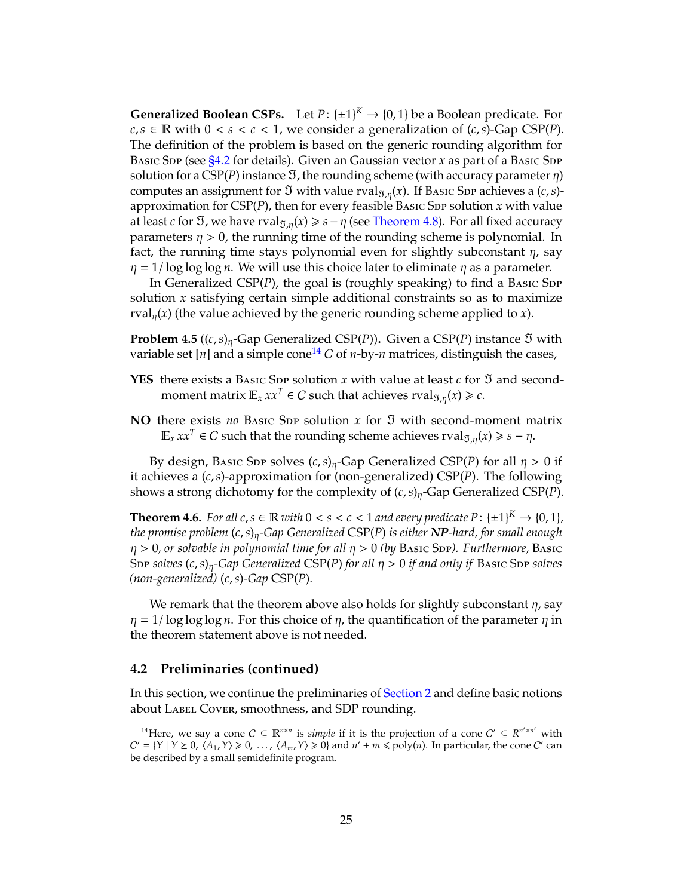**Generalized Boolean CSPs.** Let  $P: \{\pm 1\}^K \to \{0, 1\}$  be a Boolean predicate. For *c*, *s* ∈ **R** with 0 < *s* < *c* < 1, we consider a generalization of  $(c, s)$ -Gap CSP(*P*). The definition of the problem is based on the generic rounding algorithm for Basic Spp (see  $\S 4.2$  for details). Given an Gaussian vector *x* as part of a Basic Spp solution for a CSP(*P*) instance  $\mathfrak{I}$ , the rounding scheme (with accuracy parameter  $\eta$ ) computes an assignment for  $\mathfrak I$  with value rval<sub> $\mathfrak I_{\mathfrak I,\eta}(x)$ . If Basic Spp achieves a  $(c,s)$ -</sub> approximation for  $CSP(P)$ , then for every feasible Basic Spp solution  $x$  with value at least *c* for  $\Im$ , we have rval<sub> $\Im_{\Pi}(x) \geqslant s - \eta$  (see [Theorem 4.8\)](#page-26-0). For all fixed accuracy</sub> parameters  $\eta > 0$ , the running time of the rounding scheme is polynomial. In fact, the running time stays polynomial even for slightly subconstant  $\eta$ , say  $\eta = 1/\log \log \log n$ . We will use this choice later to eliminate  $\eta$  as a parameter.

In Generalized  $CSP(P)$ , the goal is (roughly speaking) to find a Basic Spp solution *x* satisfying certain simple additional constraints so as to maximize  $rval_n(x)$  (the value achieved by the generic rounding scheme applied to *x*).

<span id="page-24-3"></span>**Problem 4.5** ( $(c, s)_{\eta}$ -Gap Generalized CSP(*P*)). Given a CSP(*P*) instance  $\mathfrak{I}$  with variable set  $[n]$  and a simple cone<sup>[14](#page-24-1)</sup> C of *n*-by-*n* matrices, distinguish the cases,

- **YES** there exists a Basic Spp solution *x* with value at least *c* for  $\mathfrak I$  and secondmoment matrix  $\mathbb{E}_x$   $xx^T \in C$  such that achieves  $rval_{\mathfrak{I},n}(x) \geq c$ .
- **NO** there exists *no* Basic Spp solution  $x$  for  $\mathfrak I$  with second-moment matrix  $\mathbb{E}_x$  *xx*<sup>*T*</sup>  $\in$  *C* such that the rounding scheme achieves rval<sub> $\mathfrak{I}_{,\eta}(x) \geq s - \eta$ .</sub>

By design, Basic Spp solves  $(c, s)_{\eta}$ -Gap Generalized CSP(*P*) for all  $\eta > 0$  if it achieves a (*c*,*s*)-approximation for (non-generalized) CSP(*P*). The following shows a strong dichotomy for the complexity of (*c*,*s*)η-Gap Generalized CSP(*P*).

<span id="page-24-2"></span>**Theorem 4.6.** For all  $c, s \in \mathbb{R}$  with  $0 < s < c < 1$  and every predicate  $P: \{\pm 1\}^K \to \{0, 1\}$ , *the promise problem* (*c*,*s*)η*-Gap Generalized* CSP(*P*) *is either NP-hard, for small enough*  $η$  > 0, *or solvable in polynomial time for all*  $η$  > 0 *(by Basic Spr). Furthermore, Basic* Spp *solves*  $(c, s)$ <sub>n</sub>-Gap Generalized CSP(*P*) for all  $\eta > 0$  if and only if BASIC Spp *solves (non-generalized)* (*c*,*s*)*-Gap* CSP(*P*)*.*

We remark that the theorem above also holds for slightly subconstant  $\eta$ , say  $\eta = 1/\log \log \log n$ . For this choice of  $\eta$ , the quantification of the parameter  $\eta$  in the theorem statement above is not needed.

## <span id="page-24-0"></span>**4.2 Preliminaries (continued)**

In this section, we continue the preliminaries of [Section 2](#page-10-0) and define basic notions about LABEL COVER, smoothness, and SDP rounding.

<span id="page-24-1"></span><sup>&</sup>lt;sup>14</sup>Here, we say a cone  $C \subseteq \mathbb{R}^{n \times n}$  is *simple* if it is the projection of a cone  $C' \subseteq R^{n' \times n'}$  with  $C' = \{Y \mid Y \ge 0, \langle A_1, Y \rangle \ge 0, \ldots, \langle A_m, Y \rangle \ge 0\}$  and  $n' + m \le \text{poly}(n)$ . In particular, the cone C' can be described by a small semidefinite program.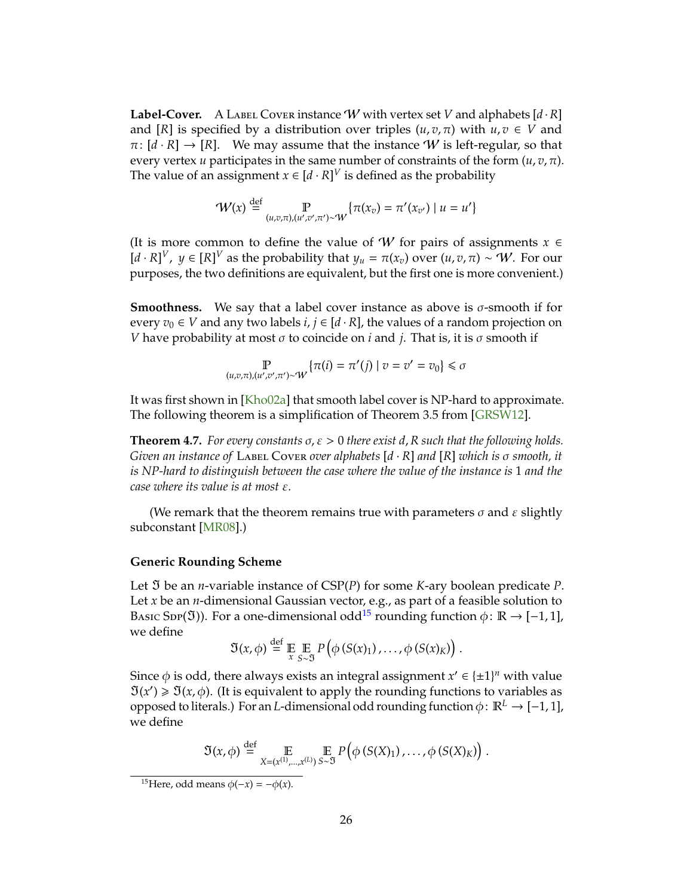<span id="page-25-1"></span>**Label-Cover.** A LABEL COVER instance W with vertex set V and alphabets  $[d \cdot R]$ and [*R*] is specified by a distribution over triples  $(u, v, \pi)$  with  $u, v \in V$  and  $\pi: [d \cdot R] \to [R]$ . We may assume that the instance W is left-regular, so that every vertex *u* participates in the same number of constraints of the form  $(u, v, \pi)$ . The value of an assignment  $x \in [d \cdot R]^V$  is defined as the probability

$$
W(x) \stackrel{\text{def}}{=} \Pr_{(u,v,\pi),(u',v',\pi') \sim W} \{ \pi(x_v) = \pi'(x_{v'}) \mid u = u' \}
$$

(It is more common to define the value of *W* for pairs of assignments *x* ∈  $[d \cdot R]^V$ ,  $y \in [R]^V$  as the probability that  $y_u = \pi(x_v)$  over  $(u, v, \pi) \sim W$ . For our purposes, the two definitions are equivalent, but the first one is more convenient.)

**Smoothness.** We say that a label cover instance as above is  $\sigma$ -smooth if for every  $v_0 \in V$  and any two labels  $i, j \in [d \cdot R]$ , the values of a random projection on *V* have probability at most  $\sigma$  to coincide on *i* and *j*. That is, it is  $\sigma$  smooth if

$$
\underset{(u,v,\pi),(u',v',\pi')\sim W}{\mathbb{P}}\{\pi(i)=\pi'(j)\mid v=v'=v_0\}\leq \sigma
$$

It was first shown in [\[Kho02a\]](#page-38-12) that smooth label cover is NP-hard to approximate. The following theorem is a simplification of Theorem 3.5 from [\[GRSW12\]](#page-37-11).

**Theorem 4.7.** *For every constants*  $\sigma$ ,  $\varepsilon > 0$  *there exist d*, *R such that the following holds. Given an instance of* Label Cover *over alphabets* [*d* · *R*] *and* [*R*] *which is* σ *smooth, it is NP-hard to distinguish between the case where the value of the instance is* 1 *and the case where its value is at most* ε*.*

(We remark that the theorem remains true with parameters  $\sigma$  and  $\varepsilon$  slightly subconstant [\[MR08\]](#page-39-7).)

## **Generic Rounding Scheme**

Let  $\Im$  be an *n*-variable instance of CSP(*P*) for some *K*-ary boolean predicate *P*. Let *x* be an *n*-dimensional Gaussian vector, e.g., as part of a feasible solution to Basic Spp( $\mathfrak{I}$ )). For a one-dimensional odd<sup>[15](#page-25-0)</sup> rounding function  $\phi \colon \mathbb{R} \to [-1, 1]$ , we define

$$
\mathfrak{I}(x,\phi) \stackrel{\text{def}}{=} \mathbb{E} \mathop{\mathbb{E}}_{x} \mathop{\mathbb{E}}_{S \sim \mathfrak{I}} P(\phi(S(x)_1), \ldots, \phi(S(x)_K)).
$$

Since  $\phi$  is odd, there always exists an integral assignment  $x' \in \{\pm 1\}^n$  with value  $\mathfrak{I}(x') \ge \mathfrak{I}(x, \phi)$ . (It is equivalent to apply the rounding functions to variables as opposed to literals.) For an *L*-dimensional odd rounding function φ: R*<sup>L</sup>* → [−1, 1], we define

$$
\mathfrak{I}(x,\phi) \stackrel{\text{def}}{=} \mathop{\mathbb{E}}_{X=(x^{(1)},...,x^{(L)})} \mathop{\mathbb{E}}_{S \sim \mathfrak{I}} P(\phi(S(X)_1),..., \phi(S(X)_K)).
$$

<span id="page-25-0"></span><sup>&</sup>lt;sup>15</sup>Here, odd means  $\phi(-x) = -\phi(x)$ .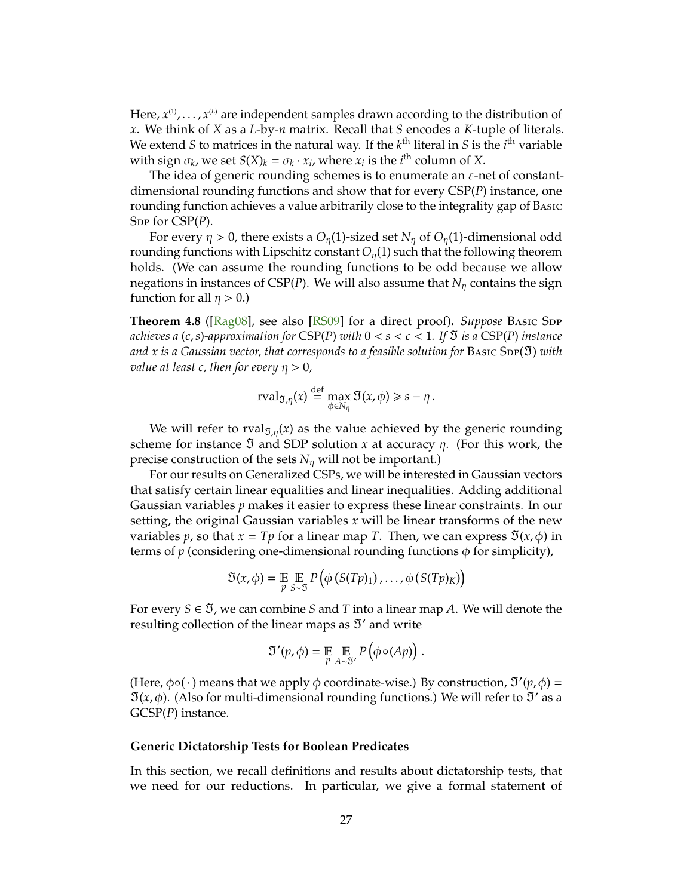<span id="page-26-1"></span>Here*, x*<sup>(1)</sup>, . . . , *x*<sup>(L)</sup> are independent samples drawn according to the distribution of *x*. We think of *X* as a *L*-by-*n* matrix. Recall that *S* encodes a *K*-tuple of literals. We extend *S* to matrices in the natural way. If the *k*<sup>th</sup> literal in *S* is the *i*<sup>th</sup> variable with sign  $\sigma_k$ , we set  $S(X)_k = \sigma_k \cdot x_i$ , where  $x_i$  is the *i*<sup>th</sup> column of *X*.

The idea of generic rounding schemes is to enumerate an  $\varepsilon$ -net of constantdimensional rounding functions and show that for every CSP(*P*) instance, one rounding function achieves a value arbitrarily close to the integrality gap of Basic Spp for  $CSP(P)$ .

For every  $\eta > 0$ , there exists a  $O_n(1)$ -sized set  $N_n$  of  $O_n(1)$ -dimensional odd rounding functions with Lipschitz constant  $O_n(1)$  such that the following theorem holds. (We can assume the rounding functions to be odd because we allow negations in instances of CSP(*P*). We will also assume that  $N_{\eta}$  contains the sign function for all  $\eta > 0$ .)

<span id="page-26-0"></span>**Theorem 4.8** ([\[Rag08\]](#page-39-4), see also [\[RS09\]](#page-39-8) for a direct proof). *Suppose* Basic Spp *achieves a*  $(c, s)$ -approximation for CSP(*P*) *with*  $0 < s < c < 1$ . If  $\Im$  *is a* CSP(*P*) *instance and*  $x$  *is a Gaussian vector, that corresponds to a feasible solution for Basic SDP(* $\mathfrak{I}$ *) with value at least c, then for every*  $\eta > 0$ ,

$$
\operatorname{rval}_{\mathfrak{I},\eta}(x)\stackrel{\text{def}}{=}\max_{\phi\in N_{\eta}}\mathfrak{I}(x,\phi)\geq s-\eta\,.
$$

We will refer to rval $g_n(x)$  as the value achieved by the generic rounding scheme for instance  $\Im$  and SDP solution *x* at accuracy  $\eta$ . (For this work, the precise construction of the sets  $N_{\eta}$  will not be important.)

For our results on Generalized CSPs, we will be interested in Gaussian vectors that satisfy certain linear equalities and linear inequalities. Adding additional Gaussian variables *p* makes it easier to express these linear constraints. In our setting, the original Gaussian variables *x* will be linear transforms of the new variables *p*, so that  $x = Tp$  for a linear map *T*. Then, we can express  $\mathfrak{I}(x, \phi)$  in terms of  $p$  (considering one-dimensional rounding functions  $\phi$  for simplicity),

$$
\mathfrak{I}(x,\phi) = \mathop{\mathbb{E}}_{p} \mathop{\mathbb{E}}_{S \sim \mathfrak{V}} P(\phi(S(Tp)_1), \ldots, \phi(S(Tp)_K))
$$

For every  $S \in \mathfrak{I}$ , we can combine *S* and *T* into a linear map *A*. We will denote the resulting collection of the linear maps as  $\mathfrak{I}'$  and write

$$
\mathfrak{I}'(p,\phi) = \mathop{\mathbb{E}}_{p} \mathop{\mathbb{E}}_{A \sim \mathfrak{I}'} P(\phi \circ (Ap)).
$$

(Here,  $\phi \circ (\cdot)$  means that we apply  $\phi$  coordinate-wise.) By construction,  $\Im'(p, \phi)$  =  $\mathfrak{I}(x,\phi)$ . (Also for multi-dimensional rounding functions.) We will refer to  $\mathfrak{I}'$  as a GCSP(*P*) instance.

#### **Generic Dictatorship Tests for Boolean Predicates**

In this section, we recall definitions and results about dictatorship tests, that we need for our reductions. In particular, we give a formal statement of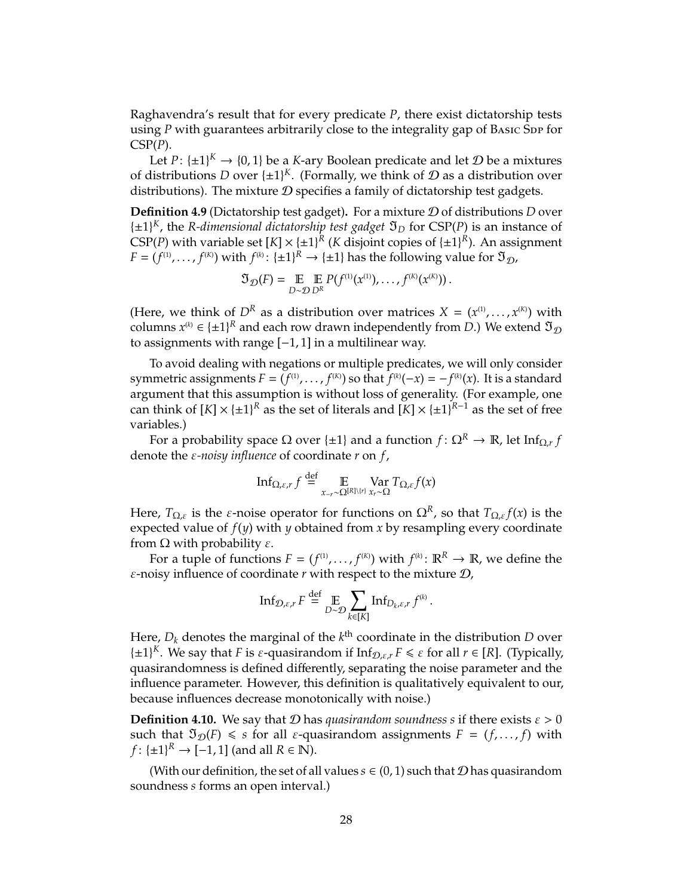Raghavendra's result that for every predicate *P*, there exist dictatorship tests using *P* with guarantees arbitrarily close to the integrality gap of BASIC SDP for CSP(*P*).

Let  $P: {\{\pm 1\}}^K \rightarrow \{0, 1\}$  be a K-ary Boolean predicate and let  $D$  be a mixtures of distributions *D* over  $\{\pm 1\}^K$ . (Formally, we think of *D* as a distribution over distributions). The mixture  $D$  specifies a family of dictatorship test gadgets.

<span id="page-27-0"></span>**Definition 4.9** (Dictatorship test gadget)**.** For a mixture D of distributions *D* over  $\{\pm 1\}^K$ , the *R-dimensional dictatorship test gadget*  $\mathfrak{I}_D$  for CSP(*P*) is an instance of CSP(*P*) with variable set  $[K] \times {\pm 1}^R$  (*K* disjoint copies of  ${\pm 1}^R$ ). An assignment  $F = (f^{(1)}, \dots, f^{(K)})$  with  $f^{(k)}$ : {±1}<sup>*R*</sup> → {±1} has the following value for  $\mathfrak{I}_{\mathcal{D}}$ ,

$$
\mathfrak{I}_{\mathcal{D}}(F)=\mathop{\mathbb{E}}_{D\sim\mathcal{D}}\mathop{\mathbb{E}}_{D^R}P(f^{(1)}(x^{(1)}),\ldots,f^{(K)}(x^{(K)}))\,.
$$

(Here, we think of  $D^R$  as a distribution over matrices  $X = (x^{(1)}, \ldots, x^{(K)})$  with columns  $x^{(k)} \in \{\pm 1\}^R$  and each row drawn independently from *D*.) We extend  $\mathfrak{I}_\mathcal{D}$ to assignments with range [−1, 1] in a multilinear way.

To avoid dealing with negations or multiple predicates, we will only consider symmetric assignments  $F = (f^{(1)}, \ldots, f^{(K)})$  so that  $f^{(k)}(-x) = -f^{(k)}(x)$ . It is a standard argument that this assumption is without loss of generality. (For example, one can think of  $[K] \times {\{\pm 1\}}^R$  as the set of literals and  $[K] \times {\{\pm 1\}}^{R-1}$  as the set of free variables.)

For a probability space Ω over {±1} and a function  $f \colon \Omega^R \to \mathbb{R}$ , let Inf<sub>Ω,r</sub> f denote the ε*-noisy influence* of coordinate *r* on *f*,

$$
\mathrm{Inf}_{\Omega,\varepsilon,r} f \stackrel{\mathrm{def}}{=} \mathop{\mathbb{E}}_{x_{-r} \sim \Omega^{[R]\setminus \{r\}}} \mathrm{Var} \, T_{\Omega,\varepsilon} f(x)
$$

Here,  $T_{\Omega,\varepsilon}$  is the  $\varepsilon$ -noise operator for functions on  $\Omega^R$ , so that  $T_{\Omega,\varepsilon}f(x)$  is the expected value of  $f(y)$  with  $y$  obtained from  $x$  by resampling every coordinate from  $Ω$  with probability  $ε$ .

For a tuple of functions  $F = (f^{(1)}, \dots, f^{(K)})$  with  $f^{(k)}: \mathbb{R}^R \to \mathbb{R}$ , we define the ε-noisy influence of coordinate *r* with respect to the mixture D,

$$
\mathrm{Inf}_{\mathcal{D},\varepsilon,r} F \stackrel{\mathrm{def}}{=} \mathop{\mathbb{E}}_{D \sim \mathcal{D}} \sum_{k \in [K]} \mathrm{Inf}_{D_k,\varepsilon,r} f^{(k)}.
$$

Here, *D<sup>k</sup>* denotes the marginal of the *k* th coordinate in the distribution *D* over  $\{\pm 1\}^K$ . We say that *F* is *ε*-quasirandom if  $\text{Inf}_{\mathcal{D},\varepsilon,r} F \leq \varepsilon$  for all  $r \in [R]$ . (Typically, quasirandomness is defined differently, separating the noise parameter and the influence parameter. However, this definition is qualitatively equivalent to our, because influences decrease monotonically with noise.)

**Definition 4.10.** We say that D has *quasirandom soundness s* if there exists  $\varepsilon > 0$ such that  $\mathfrak{I}_D(F) \leq s$  for all  $\varepsilon$ -quasirandom assignments  $F = (f, \ldots, f)$  with  $f: \{\pm 1\}^R \to [-1, 1]$  (and all  $R \in \overline{\mathbb{N}}$ ).

(With our definition, the set of all values  $s \in (0,1)$  such that  $D$  has quasirandom soundness *s* forms an open interval.)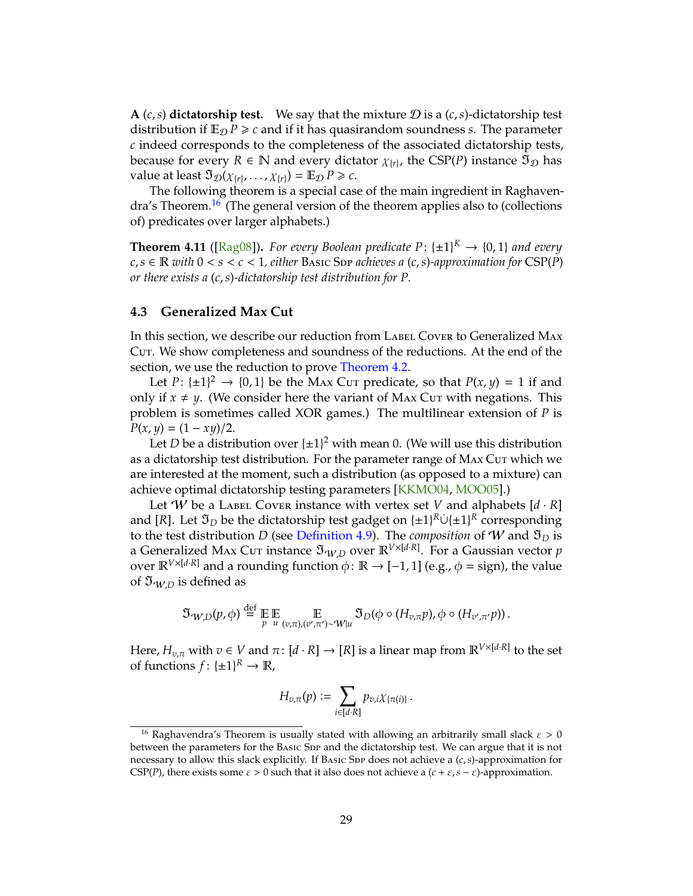<span id="page-28-3"></span>**A** (*c*,*s*) **dictatorship test.** We say that the mixture  $D$  is a (*c*,*s*)-dictatorship test distribution if  $\mathbb{E}_{\mathcal{D}} P \geq c$  and if it has quasirandom soundness *s*. The parameter *c* indeed corresponds to the completeness of the associated dictatorship tests, because for every  $R \in \mathbb{N}$  and every dictator  $\chi_{\{r\}}$ , the CSP(*P*) instance  $\tilde{\mathfrak{I}}_{\mathcal{D}}$  has value at least  $\mathfrak{I}_{\mathcal{D}}(\chi_{\{r\}}, \dots, \chi_{\{r\}}) = \mathbb{E}_{\mathcal{D}} P \geq c$ .

The following theorem is a special case of the main ingredient in Raghaven- $dra's Theorem<sup>16</sup>$  $dra's Theorem<sup>16</sup>$  $dra's Theorem<sup>16</sup>$  (The general version of the theorem applies also to (collections of) predicates over larger alphabets.)

<span id="page-28-2"></span>**Theorem 4.11** ([\[Rag08\]](#page-39-4)). For every Boolean predicate  $P: \{\pm 1\}^K \rightarrow \{0, 1\}$  and every  $c, s \in \mathbb{R}$  *with*  $0 \le s \le c \le 1$ , either Basic Spp *achieves a (c, s)*-approximation for CSP(*P*) *or there exists a* (*c*,*s*)*-dictatorship test distribution for P.*

## <span id="page-28-0"></span>**4.3 Generalized Max Cut**

In this section, we describe our reduction from LABEL Cover to Generalized MAX Cut. We show completeness and soundness of the reductions. At the end of the section, we use the reduction to prove [Theorem 4.2.](#page-22-1)

Let  $P: {\pm 1}^2 \rightarrow {0, 1}$  be the Max Cur predicate, so that  $P(x, y) = 1$  if and only if  $x \neq y$ . (We consider here the variant of Max Cut with negations. This problem is sometimes called XOR games.) The multilinear extension of *P* is  $P(x, y) = (1 - xy)/2.$ 

Let *D* be a distribution over  $\{\pm 1\}^2$  with mean 0. (We will use this distribution as a dictatorship test distribution. For the parameter range of MAx Cur which we are interested at the moment, such a distribution (as opposed to a mixture) can achieve optimal dictatorship testing parameters [\[KKMO04,](#page-38-6) [MOO05\]](#page-38-7).)

Let *W* be a LABEL COVER instance with vertex set *V* and alphabets  $[d \cdot R]$ and [R]. Let  $\mathfrak{I}_D$  be the dictatorship test gadget on {±1}<sup>R</sup>∪{±1}<sup>R</sup> corresponding to the test distribution *D* (see [Definition 4.9\)](#page-27-0). The *composition* of *W* and  $\mathfrak{I}_D$  is a Generalized Max Cur instance  $\mathfrak{I}_{W,D}$  over  $\mathbb{R}^{V\times [d\cdot R]}$ . For a Gaussian vector  $p$ over  $\mathbb{R}^{V\times [d\cdot R]}$  and a rounding function  $\phi: \mathbb{R} \to [-1,1]$  (e.g.,  $\phi = \text{sign}$ ), the value of  $\mathfrak{I}_{W,D}$  is defined as

$$
\mathfrak{I}_{W,D}(p,\phi) \stackrel{\text{def}}{=} \mathop{\mathbb{E}}_{p} \mathop{\mathbb{E}}_{u} \mathop{\mathbb{E}}_{(v,\pi),(v',\pi') \sim W|u} \mathfrak{I}_{D}(\phi \circ (H_{v,\pi}p),\phi \circ (H_{v',\pi'}p)).
$$

Here,  $H_{v,\pi}$  with  $v \in V$  and  $\pi \colon [d \cdot R] \to [R]$  is a linear map from  $\mathbb{R}^{V \times [d \cdot R]}$  to the set of functions  $f: \{\pm 1\}^R \to \mathbb{R}$ ,

$$
H_{v,\pi}(p) := \sum_{i \in [d \cdot R]} p_{v,i} \chi_{\{\pi(i)\}}.
$$

<span id="page-28-1"></span><sup>&</sup>lt;sup>16</sup> Raghavendra's Theorem is usually stated with allowing an arbitrarily small slack  $\varepsilon > 0$ between the parameters for the Basic Spp and the dictatorship test. We can argue that it is not necessary to allow this slack explicitly. If Basic Spp does not achieve a  $(c, s)$ -approximation for CSP(*P*), there exists some  $\varepsilon > 0$  such that it also does not achieve a ( $c + \varepsilon$ ,  $s - \varepsilon$ )-approximation.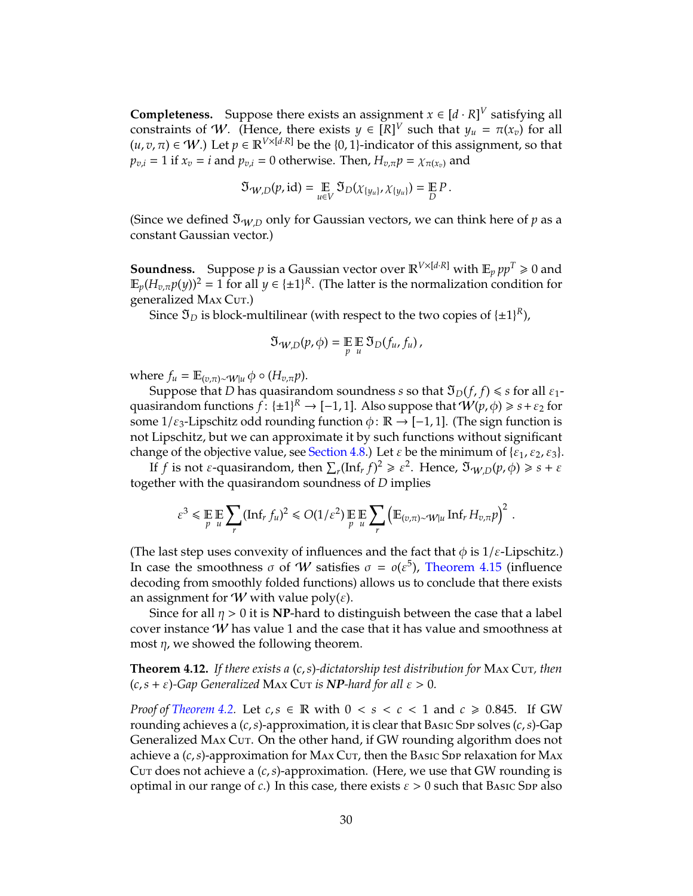**Completeness.** Suppose there exists an assignment  $x \in [d \cdot R]^V$  satisfying all constraints of *W*. (Hence, there exists  $y \in [R]^V$  such that  $y_u = \pi(x_v)$  for all  $(u, v, \pi) \in W$ .) Let  $p \in \mathbb{R}^{V \times [d \cdot R]}$  be the {0, 1}-indicator of this assignment, so that  $p_{v,i} = 1$  if  $x_v = i$  and  $p_{v,i} = 0$  otherwise. Then,  $H_{v,\pi} p = \chi_{\pi(x_v)}$  and

$$
\mathfrak{I}_{\cdot W,D}(p,\mathrm{id})=\mathop{\mathbb{E}}\limits_{u\in V}\mathfrak{I}_D(\chi_{\{y_u\}},\chi_{\{y_u\}})=\mathop{\mathbb{E}}\limits_{D}P\,.
$$

(Since we defined  $\mathfrak{I}_{\mathcal{W},D}$  only for Gaussian vectors, we can think here of *p* as a constant Gaussian vector.)

**Soundness.** Suppose *p* is a Gaussian vector over  $\mathbb{R}^{V \times [d \cdot R]}$  with  $\mathbb{E}_p pp^T \ge 0$  and  $\mathbb{E}_p(H_{v,\pi}p(y))^2 = 1$  for all  $y \in \{\pm 1\}^R$ . (The latter is the normalization condition for generalized MAX Cut.)

Since  $\mathfrak{I}_D$  is block-multilinear (with respect to the two copies of  $\{\pm 1\}^R$ ),

$$
\mathfrak{I}_{W,D}(p,\phi)=\mathop{\mathbb{E}}_{p}\mathop{\mathbb{E}}_{u}\mathfrak{I}_{D}(f_{u},f_{u}),
$$

where  $f_u = \mathbb{E}_{(v,\pi) \sim W|u} \phi \circ (H_{v,\pi}p)$ .

Suppose that *D* has quasirandom soundness *s* so that  $\mathfrak{I}_D(f, f) \leq s$  for all  $\varepsilon_1$ quasirandom functions  $f: \{\pm 1\}^R \to [-1, 1]$ . Also suppose that  $W(p, \phi) \geq s + \varepsilon_2$  for some  $1/\varepsilon_3$ -Lipschitz odd rounding function  $\phi : \mathbb{R} \to [-1,1]$ . (The sign function is not Lipschitz, but we can approximate it by such functions without significant change of the objective value, see [Section 4.8.](#page-35-0)) Let  $\varepsilon$  be the minimum of  $\{\varepsilon_1, \varepsilon_2, \varepsilon_3\}$ .

If *f* is not  $\varepsilon$ -quasirandom, then  $\sum_r (\text{Inf}_r f)^2 \geq \varepsilon^2$ . Hence,  $\mathfrak{I}_{W,D}(p,\phi) \geq s + \varepsilon$ together with the quasirandom soundness of *D* implies

$$
\varepsilon^3 \leq \mathop{\mathbb{E}}_{p} \mathop{\mathbb{E}}_{u} \sum_r (\text{Inf}_r f_u)^2 \leq O(1/\varepsilon^2) \mathop{\mathbb{E}}_{p} \mathop{\mathbb{E}}_{u} \sum_r (\mathop{\mathbb{E}}_{(v,\pi)\sim W|u} \text{Inf}_r H_{v,\pi} p)^2.
$$

(The last step uses convexity of influences and the fact that  $\phi$  is  $1/\varepsilon$ -Lipschitz.) In case the smoothness  $\sigma$  of *W* satisfies  $\sigma = o(\varepsilon^5)$ , [Theorem 4.15](#page-33-1) (influence decoding from smoothly folded functions) allows us to conclude that there exists an assignment for *W* with value poly( $\varepsilon$ ).

Since for all  $\eta > 0$  it is **NP**-hard to distinguish between the case that a label cover instance W has value 1 and the case that it has value and smoothness at most  $\eta$ , we showed the following theorem.

**Theorem 4.12.** *If there exists a* (*c*,*s*)*-dictatorship test distribution for* Max Cut*, then*  $(c, s + \varepsilon)$ -Gap Generalized Max Cut *is* **NP**-hard for all  $\varepsilon > 0$ .

*Proof of [Theorem 4.2.](#page-22-1)* Let  $c, s \in \mathbb{R}$  with  $0 \le s \le c \le 1$  and  $c \ge 0.845$ . If GW rounding achieves a  $(c, s)$ -approximation, it is clear that Basic Spp solves  $(c, s)$ -Gap Generalized MAX Cut. On the other hand, if GW rounding algorithm does not achieve a  $(c, s)$ -approximation for M<sub>AX</sub> C<sub>UT</sub>, then the B<sub>ASIC</sub> S<sub>DP</sub> relaxation for M<sub>AX</sub> Cut does not achieve a  $(c, s)$ -approximation. (Here, we use that GW rounding is optimal in our range of  $c$ .) In this case, there exists  $\varepsilon > 0$  such that BASIC SDP also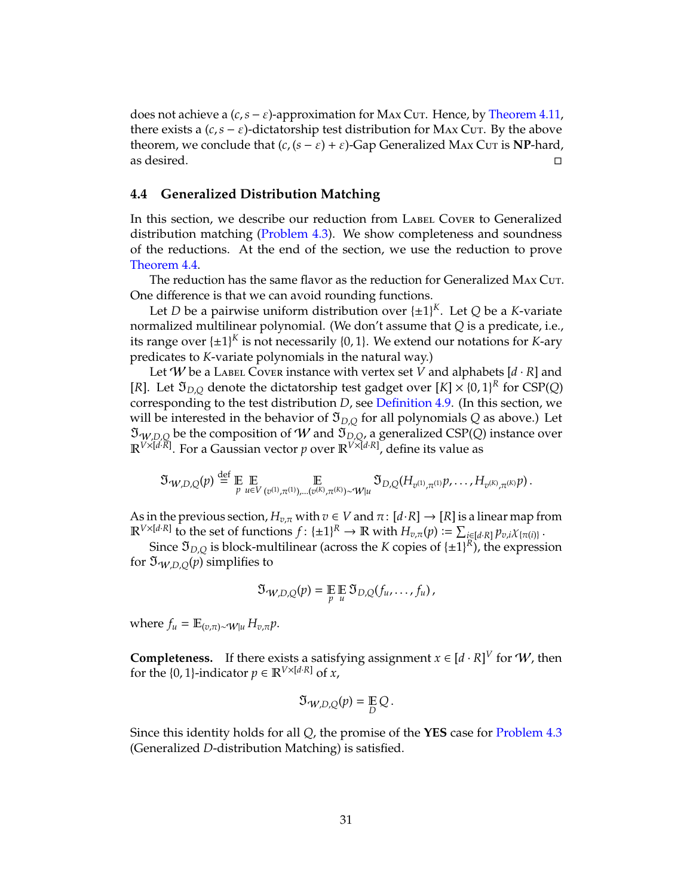does not achieve a  $(c, s - \varepsilon)$ -approximation for M<sub>AX</sub> Cu<sub>T</sub>. Hence, by [Theorem 4.11,](#page-28-2) there exists a  $(c, s - \varepsilon)$ -dictatorship test distribution for MAx Cut. By the above theorem, we conclude that  $(c, (s - \varepsilon) + \varepsilon)$ -Gap Generalized Max Cur is **NP**-hard, as desired.  $\Box$ 

## <span id="page-30-0"></span>**4.4 Generalized Distribution Matching**

In this section, we describe our reduction from LABEL Cover to Generalized distribution matching [\(Problem 4.3\)](#page-23-1). We show completeness and soundness of the reductions. At the end of the section, we use the reduction to prove [Theorem 4.4.](#page-23-2)

The reduction has the same flavor as the reduction for Generalized MAx Cut. One difference is that we can avoid rounding functions.

Let *D* be a pairwise uniform distribution over {±1} *<sup>K</sup>*. Let *Q* be a *K*-variate normalized multilinear polynomial. (We don't assume that *Q* is a predicate, i.e., its range over {±1} *<sup>K</sup>* is not necessarily {0, 1}. We extend our notations for *K*-ary predicates to *K*-variate polynomials in the natural way.)

Let  $W$  be a LABEL COVER instance with vertex set  $V$  and alphabets  $[d \cdot R]$  and [*R*]. Let  $\mathfrak{I}_{D,Q}$  denote the dictatorship test gadget over  $[K] \times \{0,1\}^R$  for CSP(*Q*) corresponding to the test distribution *D*, see [Definition 4.9.](#page-27-0) (In this section, we will be interested in the behavior of  $\mathfrak{I}_{D,Q}$  for all polynomials *Q* as above.) Let  $\mathfrak{I}_{W,D,Q}$  be the composition of  $W$  and  $\mathfrak{I}_{D,Q}$ , a generalized CSP(*Q*) instance over R*V*×[*d*·*R*] . For a Gaussian vector *p* over R*V*×[*d*·*R*] , define its value as

$$
\mathfrak{I}_{W,D,Q}(p) \stackrel{\text{def}}{=} \mathbb{E}_{p} \mathbb{E}_{u \in V(v^{(1)}, \pi^{(1)}) \dots (v^{(K)}, \pi^{(K)}) \sim W | u} \mathfrak{I}_{D,Q}(H_{v^{(1)}, \pi^{(1)}} p, \dots, H_{v^{(K)}, \pi^{(K)}} p).
$$

As in the previous section,  $H_{v,\pi}$  with  $v \in V$  and  $\pi$ :  $[d \cdot R] \to [R]$  is a linear map from  $\mathbb{R}^{V\times[d\cdot R]}$  to the set of functions  $f: \{\pm 1\}^R \to \mathbb{R}$  with  $H_{v,\pi}(p) := \sum_{i\in[d\cdot R]} p_{v,i}\chi_{\{\pi(i)\}}$ .

Since  $\mathfrak{I}_{D,Q}$  is block-multilinear (across the *K* copies of  $\{\pm 1\}^R$ ), the expression for  $\mathfrak{I}_{W,D,O}(p)$  simplifies to

$$
\mathfrak{I}_{W,D,Q}(p) = \mathop{\mathbb{E}}_{p} \mathop{\mathbb{E}}_{u} \mathfrak{I}_{D,Q}(f_u, \ldots, f_u),
$$

where  $f_u = \mathbb{E}_{(v,\pi) \sim W|u} H_{v,\pi} p$ .

**Completeness.** If there exists a satisfying assignment  $x \in [d \cdot R]^V$  for  $W$ , then for the {0, 1}-indicator  $p \in \mathbb{R}^{V \times [d \cdot R]}$  of *x*,

$$
\mathfrak{I}_{W,D,Q}(p) = \mathop{\mathbb{E}}_D Q \, .
$$

Since this identity holds for all *Q*, the promise of the **YES** case for [Problem 4.3](#page-23-1) (Generalized *D*-distribution Matching) is satisfied.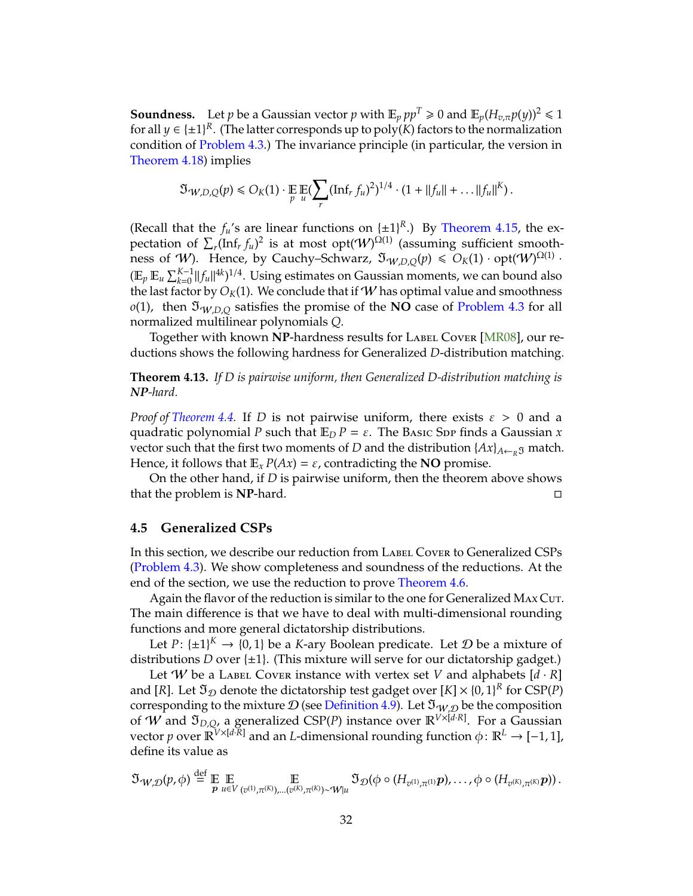<span id="page-31-1"></span>**Soundness.** Let *p* be a Gaussian vector *p* with  $\mathbb{E}_p pp^T \ge 0$  and  $\mathbb{E}_p(H_{v,\pi}p(y))^2 \le 1$ for all  $y \in \{\pm 1\}^R$ . (The latter corresponds up to poly(*K*) factors to the normalization condition of [Problem 4.3.](#page-23-1)) The invariance principle (in particular, the version in [Theorem 4.18\)](#page-35-2) implies

$$
\mathfrak{I}_{W,D,Q}(p) \leq O_K(1) \cdot \mathop{\mathbb{E}}_{p} \mathop{\mathbb{E}}_{u} (\sum_r (\mathrm{Inf}_r \, f_u)^2)^{1/4} \cdot (1 + ||f_u|| + \dots ||f_u||^K).
$$

(Recall that the  $f_u$ 's are linear functions on  $\{\pm 1\}^R$ .) By [Theorem 4.15,](#page-33-1) the expectation of  $\sum_{r}(\text{Inf}_r f_u)^2$  is at most opt $(\mathcal{W})^{\Omega(1)}$  (assuming sufficient smoothness of *W*). Hence, by Cauchy–Schwarz,  $\mathfrak{I}_{W,D,Q}(p) \leqslant O_K(1) \cdot \mathrm{opt}(W)^{\Omega(1)}$ .  $(E_p E_u \sum_{k=0}^{K-1} ||f_u||^{4k})^{1/4}$ . Using estimates on Gaussian moments, we can bound also the last factor by  $O_K(1)$ . We conclude that if W has optimal value and smoothness  $o(1)$ , then  $\mathfrak{I}_{W,D,O}$  satisfies the promise of the **NO** case of [Problem 4.3](#page-23-1) for all normalized multilinear polynomials *Q*.

Together with known **NP**-hardness results for LABEL Cover [\[MR08\]](#page-39-7), our reductions shows the following hardness for Generalized *D*-distribution matching.

**Theorem 4.13.** *If D is pairwise uniform, then Generalized D-distribution matching is NP-hard.*

*Proof of [Theorem 4.4.](#page-23-2)* If *D* is not pairwise uniform, there exists  $\varepsilon > 0$  and a quadratic polynomial *P* such that  $\mathbb{E}_D P = \varepsilon$ . The Basic Spr finds a Gaussian *x* vector such that the first two moments of *D* and the distribution  ${A x}_{A \leftarrow R}$  match. Hence, it follows that  $\mathbb{E}_x P(Ax) = \varepsilon$ , contradicting the **NO** promise.

On the other hand, if *D* is pairwise uniform, then the theorem above shows that the problem is **NP**-hard.

### <span id="page-31-0"></span>**4.5 Generalized CSPs**

In this section, we describe our reduction from LABEL COVER to Generalized CSPs [\(Problem 4.3\)](#page-23-1). We show completeness and soundness of the reductions. At the end of the section, we use the reduction to prove [Theorem 4.6.](#page-24-2)

Again the flavor of the reduction is similar to the one for Generalized MAX Cut. The main difference is that we have to deal with multi-dimensional rounding functions and more general dictatorship distributions.

Let  $P: {\{\pm 1\}}^K \rightarrow {0,1}$  be a *K*-ary Boolean predicate. Let  $D$  be a mixture of distributions *D* over  $\{\pm 1\}$ . (This mixture will serve for our dictatorship gadget.)

Let *W* be a LABEL COVER instance with vertex set *V* and alphabets  $[d \cdot R]$ and [R]. Let  $\mathfrak{I}_\mathcal{D}$  denote the dictatorship test gadget over [K]  $\times$  {0, 1}<sup>R</sup> for CSP(P) corresponding to the mixture  $D$  (see [Definition 4.9\)](#page-27-0). Let  $\mathfrak{I}_{W,D}$  be the composition of  $W$  and  $\mathfrak{I}_{D,Q}^{\vee}$ , a generalized CSP(*P*) instance over  $\mathbb{R}^{V\times[\widetilde{d}\cdot R]}$ . For a Gaussian vector *p* over  $\mathbb{R}^{V\times [d\cdot\mathbb{R}]}$  and an *L*-dimensional rounding function  $\phi\colon \mathbb{R}^L \to [-1,1]$ , define its value as

$$
\mathfrak{I}_{W,D}(p,\phi) \stackrel{\text{def}}{=} \mathop{\mathbb{E}}_{\boldsymbol{p}} \mathop{\mathbb{E}}_{u \in V(v^{(1)},\pi^{(K)})\ldots(v^{(K)},\pi^{(K)}) \sim W|u} \mathfrak{I}_{D}(\phi \circ (H_{v^{(1)},\pi^{(1)}}\boldsymbol{p}),\ldots,\phi \circ (H_{v^{(K)},\pi^{(K)}}\boldsymbol{p})).
$$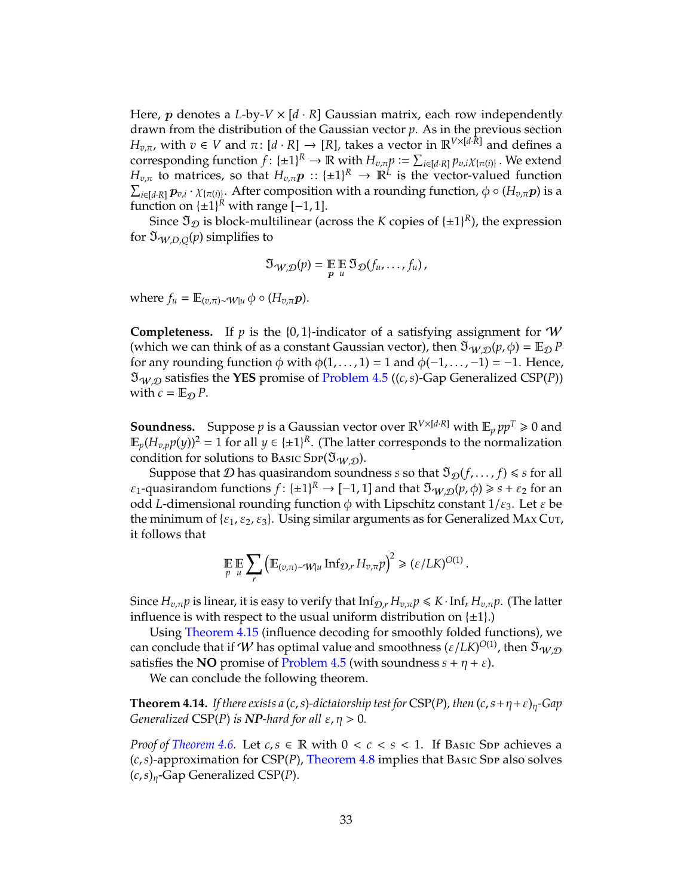Here, p denotes a  $L$ -by- $V \times [d \cdot R]$  Gaussian matrix, each row independently drawn from the distribution of the Gaussian vector *p*. As in the previous section *H*<sub>*v*</sub>, $\pi$ , with  $v \in V$  and  $\pi$ :  $[d \cdot R] \rightarrow [R]$ , takes a vector in  $\mathbb{R}^{V \times [d \cdot \hat{R}]}$  and defines a corresponding function  $f: \{\pm 1\}^R \to \mathbb{R}$  with  $H_{v,\pi}p := \sum_{i \in [d \cdot R]} p_{v,i} \chi_{\{\pi(i)\}}$ . We extend  $H_{v,\pi}$  to matrices, so that  $H_{v,\pi}$  $p$  :: { $\pm 1$ }<sup>*R*</sup>  $\rightarrow$  *R<sup>L</sup>* is the vector-valued function  $\sum_{i\in [d\cdot R]} p_{v,i}\cdot \chi_{\{\pi(i)\}}.$  After composition with a rounding function,  $\phi\circ (H_{v,\pi} p)$  is a function on  $\{\pm 1\}^{\hat{R}}$  with range  $[-1, 1]$ .

Since  $\mathfrak{I}_\mathcal{D}$  is block-multilinear (across the *K* copies of  $\{\pm 1\}^R$ ), the expression for  $\mathfrak{I}_{W,D,Q}(p)$  simplifies to

$$
\mathfrak{I}_{W,D}(p) = \mathop{\mathbb{E}}_{p} \mathop{\mathbb{E}}_{u} \mathfrak{I}_{D}(f_u, \ldots, f_u),
$$

where  $f_u = \mathbb{E}_{(\nu,\pi) \sim \mathcal{W}|u} \phi \circ (H_{\nu,\pi} \mathbf{p}).$ 

**Completeness.** If *p* is the  $\{0, 1\}$ -indicator of a satisfying assignment for W (which we can think of as a constant Gaussian vector), then  $\mathfrak{I}_{W,D}(p,\phi) = \mathbb{E}_{D} P$ for any rounding function  $\phi$  with  $\phi(1, \ldots, 1) = 1$  and  $\phi(-1, \ldots, -1) = -1$ . Hence,  $\mathfrak{I}_{W,D}$  satisfies the **YES** promise of [Problem 4.5](#page-24-3) ((*c*, *s*)-Gap Generalized CSP(*P*)) with  $c = \mathbb{E}_{\mathcal{D}} P$ .

**Soundness.** Suppose *p* is a Gaussian vector over  $\mathbb{R}^{V\times [d \cdot R]}$  with  $\mathbb{E}_p pp^T \ge 0$  and  $\mathbb{E}_p(H_{v,p}p(y))^2 = 1$  for all  $y \in \{\pm 1\}^R$ . (The latter corresponds to the normalization condition for solutions to Basic Spp( $\mathfrak{I}_{W,D}$ ).

Suppose that D has quasirandom soundness *s* so that  $\mathfrak{I}_p(f, \ldots, f) \leq s$  for all  $\varepsilon_1$ -quasirandom functions  $f: \{\pm 1\}^R \to [-1,1]$  and that  $\mathfrak{I}_{W,D}(p,\phi) \geq s + \varepsilon_2$  for an odd *L*-dimensional rounding function  $\phi$  with Lipschitz constant 1/ $\varepsilon_3$ . Let  $\varepsilon$  be the minimum of  $\{\varepsilon_1, \varepsilon_2, \varepsilon_3\}$ . Using similar arguments as for Generalized MAx Cut, it follows that

$$
\mathbb{E} \mathbb{E} \sum_{p} \left( \mathbb{E}_{(v,\pi) \sim W|u} \operatorname{Inf}_{\mathcal{D},r} H_{v,\pi} p \right)^2 \geqslant (\varepsilon / LK)^{O(1)}.
$$

Since  $H_{v,\pi}p$  is linear, it is easy to verify that  $\text{Inf}_{\mathcal{D},r}H_{v,\pi}p \leq K \cdot \text{Inf}_r H_{v,\pi}p$ . (The latter influence is with respect to the usual uniform distribution on  $\{\pm 1\}$ .)

Using [Theorem 4.15](#page-33-1) (influence decoding for smoothly folded functions), we can conclude that if  $W$  has optimal value and smoothness  $(\varepsilon/LK)^{O(1)}$ , then  $\mathfrak{I}_{W,D}$ satisfies the **NO** promise of [Problem 4.5](#page-24-3) (with soundness  $s + \eta + \varepsilon$ ).

We can conclude the following theorem.

**Theorem 4.14.** *If there exists a* (*c*,*s*)*-dictatorship test for* CSP(*P*)*, then*  $(c, s + \eta + \varepsilon)_n$ *-Gap Generalized* CSP(*P*) *is NP-hard for all* $\varepsilon$ **,**  $\eta > 0$ *.* 

*Proof of [Theorem 4.6.](#page-24-2)* Let  $c, s \in \mathbb{R}$  with  $0 < c < s < 1$ . If Basic Spp achieves a  $(c, s)$ -approximation for CSP $(P)$ , [Theorem 4.8](#page-26-0) implies that Basic Spp also solves (*c*,*s*)η-Gap Generalized CSP(*P*).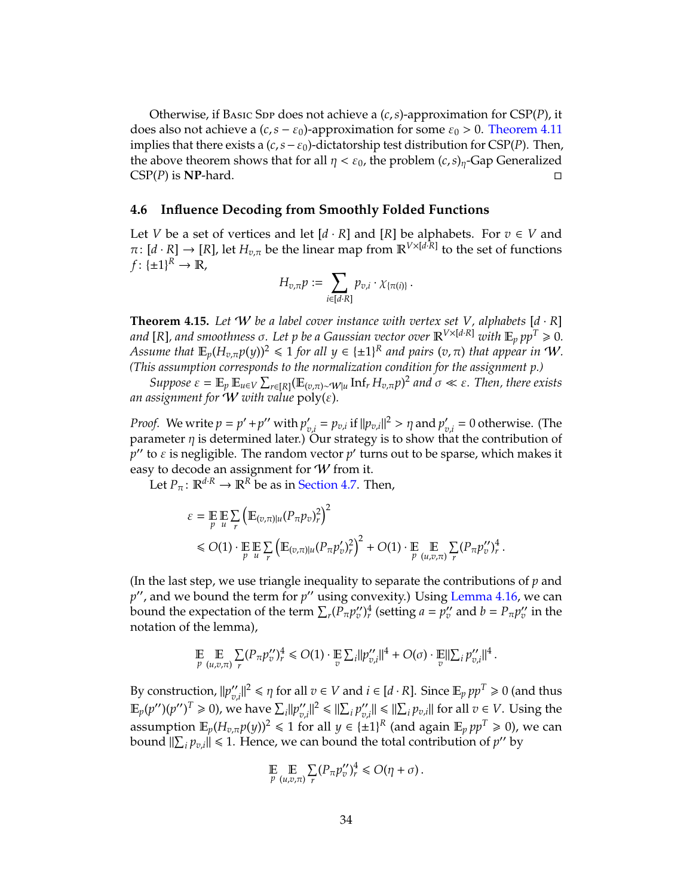Otherwise, if Basic Sdp does not achieve a (*c*,*s*)-approximation for CSP(*P*), it does also not achieve a  $(c, s - \varepsilon_0)$ -approximation for some  $\varepsilon_0 > 0$ . [Theorem 4.11](#page-28-2) implies that there exists a  $(c, s - \varepsilon_0)$ -dictatorship test distribution for CSP(*P*). Then, the above theorem shows that for all  $\eta < \varepsilon_0$ , the problem  $(c, s)_{\eta}$ -Gap Generalized  $CSP(P)$  is **NP**-hard.

### <span id="page-33-0"></span>**4.6 Influence Decoding from Smoothly Folded Functions**

Let *V* be a set of vertices and let  $[d \cdot R]$  and  $[R]$  be alphabets. For  $v \in V$  and  $\pi: [d \cdot R] \to [R]$ , let  $H_{v,\pi}$  be the linear map from  $\mathbb{R}^{V \times [d \cdot R]}$  to the set of functions  $f: \{\pm 1\}^R \to \mathbb{R},$ 

$$
H_{v,\pi}p:=\sum_{i\in [d\cdot R]}p_{v,i}\cdot \chi_{\{\pi(i)\}}\,.
$$

<span id="page-33-1"></span>**Theorem 4.15.** *Let* W *be a label cover instance with vertex set V, alphabets* [*d* · *R*] *and* [*R*]*, and smoothness*  $\sigma$ *. Let*  $p$  *<i>be a Gaussian vector over*  $\mathbb{R}^{V \times [d \cdot R]}$  *with*  $\mathbb{E}_p pp^T \geq 0$ *. Assume that*  $\mathbb{E}_p(H_{v,\pi}p(y))^2 \leq 1$  *for all*  $y \in {\{\pm 1\}}^R$  *and pairs*  $(v,\pi)$  *that appear in W*. *(This assumption corresponds to the normalization condition for the assignment p.)*

 $Suppose \varepsilon = \mathbb{E}_p \mathbb{E}_{u \in V} \sum_{r \in [R]} (\mathbb{E}_{(v,\pi) \sim W|u} \ln f_r H_{v,\pi} p)^2$  and  $\sigma \ll \varepsilon$ . Then, there exists *an assignment for*  $W$  *with value*  $poly(\varepsilon)$ *.* 

*Proof.* We write  $p = p' + p''$  with  $p'_i$  $v_{\nu,i} = p_{v,i}$  if  $||p_{v,i}||^2 > \eta$  and  $p'_{\nu,i}$  $v_{v,i}$  = 0 otherwise. (The parameter  $\eta$  is determined later.) Our strategy is to show that the contribution of *p* to ε is negligible. The random vector *p*<sup>*'*</sup> turns out to be sparse, which makes it easy to decode an assignment for W from it.

Let  $P_{\pi} \colon \mathbb{R}^{d \cdot R} \to \mathbb{R}^{R}$  be as in [Section 4.7.](#page-34-0) Then,

$$
\varepsilon = \mathop{\mathbb{E}}_{p} \mathop{\mathbb{E}}_{u} \sum_{r} \left( \mathbb{E}_{(v,\pi)|u} (P_{\pi} p_{v})_{r}^{2} \right)^{2} \n\leq O(1) \cdot \mathop{\mathbb{E}}_{p} \mathop{\mathbb{E}}_{u} \sum_{r} \left( \mathbb{E}_{(v,\pi)|u} (P_{\pi} p_{v}')_{r}^{2} \right)^{2} + O(1) \cdot \mathop{\mathbb{E}}_{p} \mathop{\mathbb{E}}_{(u,v,\pi)} \sum_{r} (P_{\pi} p_{v}')_{r}^{4}.
$$

(In the last step, we use triangle inequality to separate the contributions of *p* and p'', and we bound the term for p<sup>''</sup> using convexity.) Using [Lemma 4.16,](#page-34-1) we can bound the expectation of the term  $\sum_{r} (\widetilde{P_{\pi}} p''_{v})$ *v*<sup> $\int_{r}^{u}$  (setting *a* =  $p''_v$  and *b* =  $P_{\pi}p''_v$ </sup>  $v^{\prime}$  in the notation of the lemma),

$$
\mathbb{E} \underset{p}{\mathbb{E}} \underset{(u,v,\pi)}{\mathbb{E}} \sum_{r} (P_{\pi} p_{v}^{\prime\prime})_{r}^{4} \leq O(1) \cdot \mathbb{E} \sum_{i} ||p_{v,i}^{\prime\prime}||^{4} + O(\sigma) \cdot \mathbb{E} ||\sum_{i} p_{v,i}^{\prime\prime}||^{4}.
$$

By construction,  $\|p''_n\|$  $v_{\nu,i}''$ ||<sup>2</sup> ≤  $\eta$  for all  $v \in V$  and  $i \in [d \cdot R]$ . Since  $\mathbb{E}_p pp^T \geq 0$  (and thus  $\mathbb{E}_p(p'')(p'')^T \geqslant 0$ ), we have  $\sum_i ||p''_{v'}||$  $||v_{v,i}||^2 \leq ||\sum_i p''_{v,i}||^2$  $\|v_{v,i}\| \leq \|\sum_i p_{v,i}\|$  for all  $v \in V$ . Using the assumption  $\mathbb{E}_p(H_{v,\pi}p(y))^2 \leqslant 1$  for all  $y \in \{\pm 1\}^R$  (and again  $\mathbb{E}_p \, pp^T \geqslant 0$ ), we can bound  $\|\sum_i p_{v,i}\| \leq 1$ . Hence, we can bound the total contribution of *p*'' by

$$
\mathbb{E} \mathop{\mathbb{E}}_{p} \mathop{\mathbb{E}}_{(u,v,\pi)} \sum_{r} (P_{\pi} p''_{v})_{r}^{4} \leq O(\eta + \sigma).
$$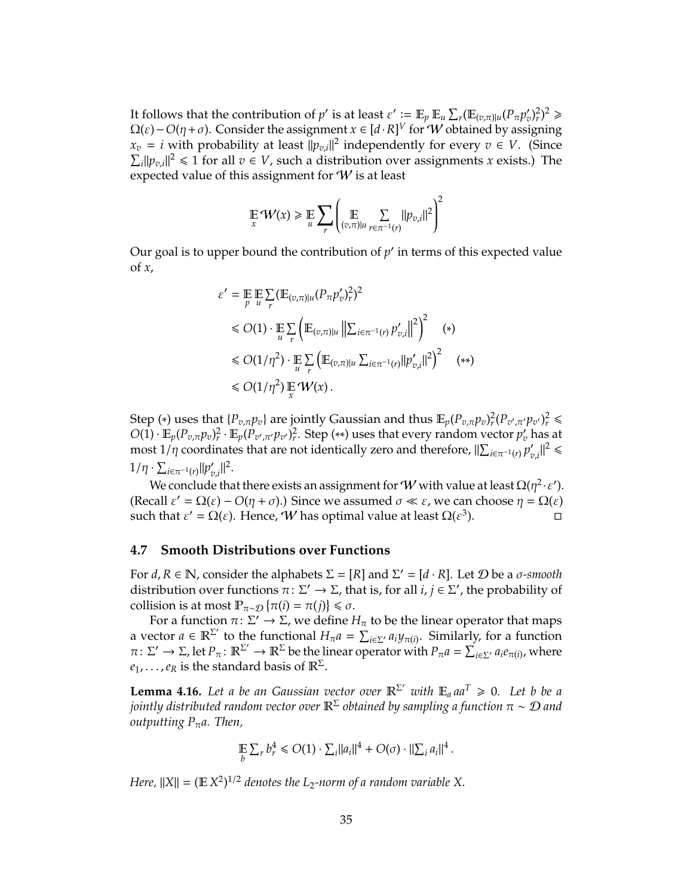It follows that the contribution of  $p'$  is at least  $\varepsilon':=\mathbb{E}_p\,\mathbb{E}_u\sum_{r}(\mathbb{E}_{(v,\pi)|u}(P_\pi p'_v))$  $(v'_v)^2$  >  $\Omega(\varepsilon) - O(\eta + \sigma)$ . Consider the assignment  $x \in [d \cdot R]^V$  for *W* obtained by assigning  $x_v = i$  with probability at least  $||p_{v,i}||^2$  independently for every  $v \in V$ . (Since  $\sum_{i} ||p_{v,i}||^2 \le 1$  for all  $v \in V$ , such a distribution over assignments *x* exists.) The expected value of this assignment for  $W$  is at least

$$
\mathop{\mathbb{E}}_{x} \mathcal{W}(x) \ge \mathop{\mathbb{E}}_{u} \sum_{r} \left( \mathop{\mathbb{E}}_{(v,\pi)|u} \sum_{r \in \pi^{-1}(r)} ||p_{v,i}||^2 \right)^2
$$

Our goal is to upper bound the contribution of  $p'$  in terms of this expected value of *x*,

$$
\varepsilon' = \mathbb{E} \mathbb{E} \sum_{p} (\mathbb{E}_{(v,\pi)|u} (P_{\pi} p'_{v})_{r}^{2})^{2}
$$
  
\n
$$
\leq O(1) \cdot \mathbb{E} \sum_{u} (\mathbb{E}_{(v,\pi)|u} ||\sum_{i \in \pi^{-1}(r)} p'_{v,i}||^{2})^{2} \quad (*)
$$
  
\n
$$
\leq O(1/\eta^{2}) \cdot \mathbb{E} \sum_{u} (\mathbb{E}_{(v,\pi)|u} \sum_{i \in \pi^{-1}(r)} ||p'_{v,i}||^{2})^{2} \quad (*)
$$
  
\n
$$
\leq O(1/\eta^{2}) \mathbb{E} \mathcal{W}(x).
$$

Step (\*) uses that  $\{P_{v,\pi}p_v\}$  are jointly Gaussian and thus  $\mathbb{E}_p(P_{v,\pi}p_v)_r^2(P_{v',\pi'}p_{v'})_r^2 \leqslant$  $O(1) \cdot \mathbb{E}_p(P_{v,\pi}p_v)_r^2 \cdot \mathbb{E}_p(P_{v',\pi'}p_{v'})_r^2$ . Step (\*\*) uses that every random vector  $p'_v$  has at most  $1/\eta$  coordinates that are not identically zero and therefore,  $\sum_{i \in \pi^{-1}(r)} p'_i$  $v_{i}$ <sub> $|l^2 \leq$ </sub>  $1/\eta \cdot \sum_{i \in \pi^{-1}(r)} ||p'_i$  $v_{i}$ ,  $||^{2}$ .

We conclude that there exists an assignment for W with value at least  $\Omega(\eta^2 \cdot \varepsilon')$ . (Recall  $\varepsilon' = \Omega(\varepsilon) - O(\eta + \sigma)$ .) Since we assumed  $\sigma \ll \varepsilon$ , we can choose  $\eta = \Omega(\varepsilon)$ such that  $\varepsilon' = \Omega(\varepsilon)$ . Hence, W has optimal value at least  $\Omega(\varepsilon^3)$ ).

## <span id="page-34-0"></span>**4.7 Smooth Distributions over Functions**

For  $d, R \in \mathbb{N}$ , consider the alphabets  $\Sigma = [R]$  and  $\Sigma' = [d \cdot R]$ . Let  $\mathcal D$  be a  $\sigma$ -smooth distribution over functions  $\pi: \Sigma' \to \Sigma$ , that is, for all  $i, j \in \Sigma'$ , the probability of collision is at most  $\mathbb{P}_{\pi \sim \mathcal{D}}\left\{\pi(i) = \pi(j)\right\} \le \sigma$ .

For a function  $\pi: \Sigma' \to \Sigma$ , we define  $H_{\pi}$  to be the linear operator that maps a vector  $a \in \mathbb{R}^{\Sigma'}$  to the functional  $H_{\pi}a = \sum_{i \in \Sigma'} a_i y_{\pi(i)}$ . Similarly, for a function  $\pi: \Sigma' \to \Sigma$ , let  $P_{\pi}: \mathbb{R}^{\Sigma'} \to \mathbb{R}^{\Sigma}$  be the linear operator with  $P_{\pi}a = \sum_{i \in \Sigma'} a_i e_{\pi(i)}$ , where  $e_1, \ldots, e_R$  is the standard basis of  $\mathbb{R}^{\Sigma}$ .

<span id="page-34-1"></span>**Lemma 4.16.** Let a be an Gaussian vector over  $\mathbb{R}^{\Sigma'}$  with  $\mathbb{E}_a$  aa<sup>T</sup>  $\geq 0$ . Let b be a *jointly distributed random vector over*  $\mathbb{R}^{\Sigma}$  *obtained by sampling a function*  $\pi \sim \mathcal{D}$  *and outputting P*π*a. Then,*

$$
\mathop{\mathbb{E}}_{b} \sum_{r} b_r^4 \leq O(1) \cdot \sum_{i} ||a_i||^4 + O(\sigma) \cdot ||\sum_{i} a_i||^4.
$$

*Here,*  $||X|| = (E X^2)^{1/2}$  denotes the  $L_2$ -norm of a random variable X.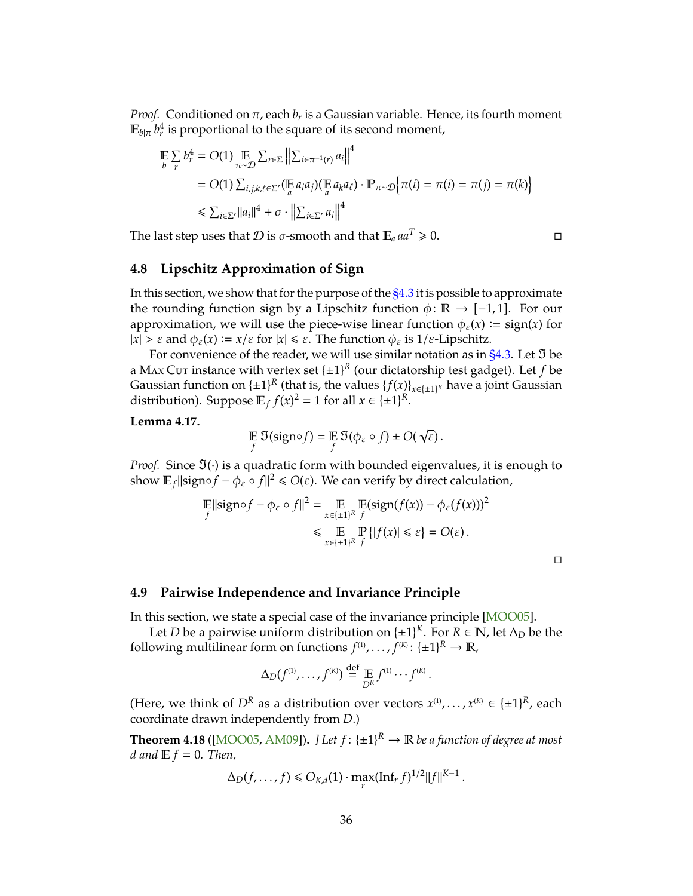<span id="page-35-3"></span>*Proof.* Conditioned on π, each *b<sup>r</sup>* is a Gaussian variable. Hence, its fourth moment  $\mathbb{E}_{b|\pi}$   $b_{r}^{4}$  is proportional to the square of its second moment,

$$
\mathbb{E}\sum_{b} b_{r}^{4} = O(1) \mathbb{E}_{\pi \sim \mathcal{D}} \sum_{r \in \Sigma} \left\| \sum_{i \in \pi^{-1}(r)} a_{i} \right\|^{4}
$$
\n
$$
= O(1) \sum_{i,j,k,\ell \in \Sigma'} (\mathbb{E} a_{i} a_{j}) (\mathbb{E} a_{k} a_{\ell}) \cdot \mathbb{P}_{\pi \sim \mathcal{D}} \left\{ \pi(i) = \pi(i) = \pi(j) = \pi(k) \right\}
$$
\n
$$
\leq \sum_{i \in \Sigma'} ||a_{i}||^{4} + \sigma \cdot \left\| \sum_{i \in \Sigma'} a_{i} \right\|^{4}
$$

The last step uses that  $\mathcal D$  is  $\sigma$ -smooth and that  $\mathbb E_a$  *aa*<sup> $T$ </sup>  $\geq 0$ .

## <span id="page-35-0"></span>**4.8 Lipschitz Approximation of Sign**

In this section, we show that for the purpose of the  $\S4.3$  it is possible to approximate the rounding function sign by a Lipschitz function  $\phi \colon \mathbb{R} \to [-1,1]$ . For our approximation, we will use the piece-wise linear function  $\phi_{\varepsilon}(x) := \text{sign}(x)$  for  $|x| > \varepsilon$  and  $\phi_{\varepsilon}(x) := x/\varepsilon$  for  $|x| \le \varepsilon$ . The function  $\phi_{\varepsilon}$  is  $1/\varepsilon$ -Lipschitz.

For convenience of the reader, we will use similar notation as in  $\S 4.3$ . Let  $\mathfrak I$  be a Max Cu $\tau$  instance with vertex set  $\{\pm 1\}^R$  (our dictatorship test gadget). Let  $f$  be Gaussian function on  $\{\pm 1\}^R$  (that is, the values  $\{f(x)\}_{x\in [\pm 1]^R}$  have a joint Gaussian distribution). Suppose  $\mathbb{E}_f f(x)^2 = 1$  for all  $x \in \{\pm 1\}^R$ .

**Lemma 4.17.**

$$
\mathbb{E}\limits_f \mathfrak{I}(\mathrm{sign}\circ f) = \mathbb{E}\limits_f \mathfrak{I}(\phi_{\varepsilon}\circ f) \pm O(\sqrt{\varepsilon}).
$$

*Proof.* Since  $\mathfrak{I}(\cdot)$  is a quadratic form with bounded eigenvalues, it is enough to show  $\mathbb{E}_f || \text{sign} \circ f - \phi_{\varepsilon} \circ f ||^2 \leq O(\varepsilon)$ . We can verify by direct calculation,

$$
\mathbb{E}||\text{sign} \circ f - \phi_{\varepsilon} \circ f||^2 = \mathbb{E}_{x \in \{\pm 1\}^R} \mathbb{E}(\text{sign}(f(x)) - \phi_{\varepsilon}(f(x)))^2
$$
  
\$\leqslant \mathbb{E} \mathbb{E}\_{x \in \{\pm 1\}^R} \mathbb{P}\{|f(x)| \leqslant \varepsilon\} = O(\varepsilon)\$.

## <span id="page-35-1"></span>**4.9 Pairwise Independence and Invariance Principle**

In this section, we state a special case of the invariance principle [\[MOO05\]](#page-38-7).

Let *D* be a pairwise uniform distribution on  $\{\pm 1\}^K$ . For  $R \in \mathbb{N}$ , let  $\Delta_D$  be the following multilinear form on functions  $f^{(1)}, \ldots, f^{(K)}: \{\pm 1\}^R \to \mathbb{R}$ ,

$$
\Delta_D(f^{(1)},\ldots,f^{(K)})\stackrel{\text{def}}{=} \mathop{\mathbb{E}}_{D^R} f^{(1)}\cdots f^{(K)}.
$$

(Here, we think of  $D^R$  as a distribution over vectors  $x^{(1)},...,x^{(K)} \in {\pm 1}^R$ , each coordinate drawn independently from *D*.)

<span id="page-35-2"></span>**Theorem 4.18** ([\[MOO05,](#page-38-7) [AM09\]](#page-36-4)). *]* Let  $f: {\pm 1}^R \to \mathbb{R}$  be a function of degree at most *d* and  $E f = 0$ *. Then,* 

$$
\Delta_D(f,\ldots,f)\leq O_{K,d}(1)\cdot \max_r (\mathrm{Inf}_r\,f)^{1/2}\|f\|^{K-1}\,.
$$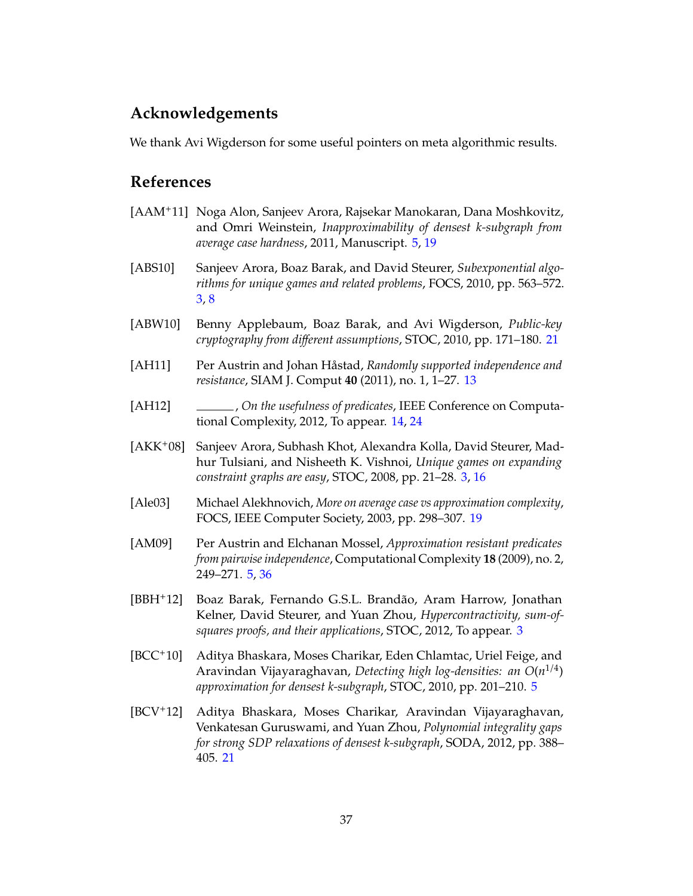## **Acknowledgements**

<span id="page-36-0"></span>We thank Avi Wigderson for some useful pointers on meta algorithmic results.

## **References**

- <span id="page-36-6"></span>[AAM+11] Noga Alon, Sanjeev Arora, Rajsekar Manokaran, Dana Moshkovitz, and Omri Weinstein, *Inapproximability of densest k-subgraph from average case hardness*, 2011, Manuscript. [5,](#page-4-0) [19](#page-18-1)
- <span id="page-36-1"></span>[ABS10] Sanjeev Arora, Boaz Barak, and David Steurer, *Subexponential algorithms for unique games and related problems*, FOCS, 2010, pp. 563–572. [3,](#page-2-2) [8](#page-7-2)
- <span id="page-36-11"></span>[ABW10] Benny Applebaum, Boaz Barak, and Avi Wigderson, *Public-key cryptography from di*ff*erent assumptions*, STOC, 2010, pp. 171–180. [21](#page-20-1)
- <span id="page-36-7"></span>[AH11] Per Austrin and Johan Håstad, *Randomly supported independence and resistance*, SIAM J. Comput **40** (2011), no. 1, 1–27. [13](#page-12-2)
- <span id="page-36-8"></span>[AH12] , *On the usefulness of predicates*, IEEE Conference on Computational Complexity, 2012, To appear. [14,](#page-13-2) [24](#page-23-3)
- <span id="page-36-3"></span>[AKK+08] Sanjeev Arora, Subhash Khot, Alexandra Kolla, David Steurer, Madhur Tulsiani, and Nisheeth K. Vishnoi, *Unique games on expanding constraint graphs are easy*, STOC, 2008, pp. 21–28. [3,](#page-2-2) [16](#page-15-1)
- <span id="page-36-9"></span>[Ale03] Michael Alekhnovich, *More on average case vs approximation complexity*, FOCS, IEEE Computer Society, 2003, pp. 298–307. [19](#page-18-1)
- <span id="page-36-4"></span>[AM09] Per Austrin and Elchanan Mossel, *Approximation resistant predicates from pairwise independence*, Computational Complexity **18** (2009), no. 2, 249–271. [5,](#page-4-0) [36](#page-35-3)
- <span id="page-36-2"></span>[BBH+12] Boaz Barak, Fernando G.S.L. Brandão, Aram Harrow, Jonathan Kelner, David Steurer, and Yuan Zhou, *Hypercontractivity, sum-ofsquares proofs, and their applications*, STOC, 2012, To appear. [3](#page-2-2)
- <span id="page-36-5"></span>[BCC+10] Aditya Bhaskara, Moses Charikar, Eden Chlamtac, Uriel Feige, and Aravindan Vijayaraghavan, *Detecting high log-densities: an O*(*n* 1/4 ) *approximation for densest k-subgraph*, STOC, 2010, pp. 201–210. [5](#page-4-0)
- <span id="page-36-10"></span>[BCV+12] Aditya Bhaskara, Moses Charikar, Aravindan Vijayaraghavan, Venkatesan Guruswami, and Yuan Zhou, *Polynomial integrality gaps for strong SDP relaxations of densest k-subgraph*, SODA, 2012, pp. 388– 405. [21](#page-20-1)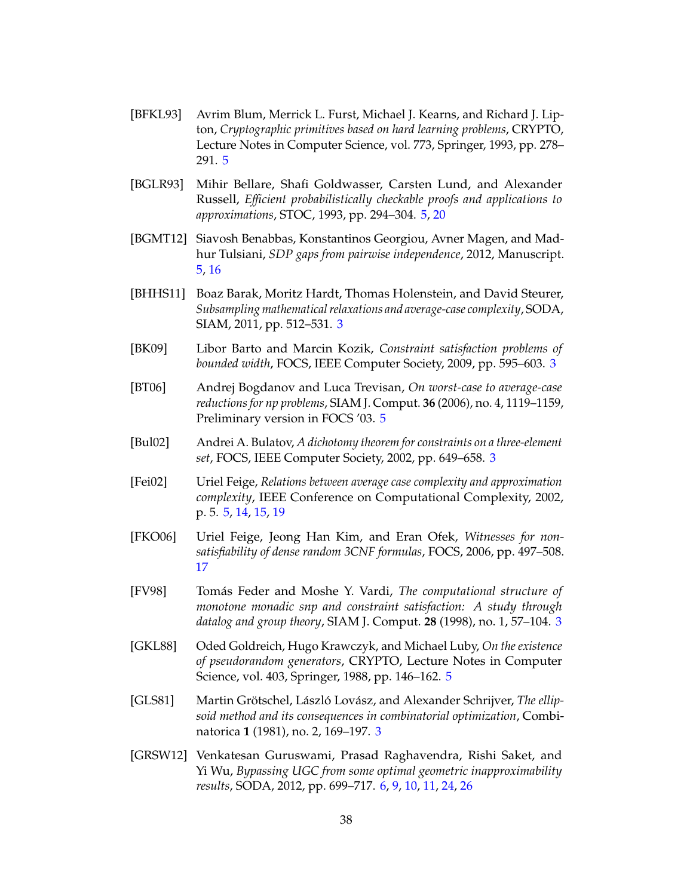- <span id="page-37-8"></span>[BFKL93] Avrim Blum, Merrick L. Furst, Michael J. Kearns, and Richard J. Lipton, *Cryptographic primitives based on hard learning problems*, CRYPTO, Lecture Notes in Computer Science, vol. 773, Springer, 1993, pp. 278– 291. [5](#page-4-0)
- <span id="page-37-10"></span>[BGLR93] Mihir Bellare, Shafi Goldwasser, Carsten Lund, and Alexander Russell, *E*ffi*cient probabilistically checkable proofs and applications to approximations*, STOC, 1993, pp. 294–304. [5,](#page-4-0) [20](#page-19-2)
- <span id="page-37-9"></span>[BGMT12] Siavosh Benabbas, Konstantinos Georgiou, Avner Magen, and Madhur Tulsiani, *SDP gaps from pairwise independence*, 2012, Manuscript. [5,](#page-4-0) [16](#page-15-1)
- <span id="page-37-4"></span>[BHHS11] Boaz Barak, Moritz Hardt, Thomas Holenstein, and David Steurer, *Subsampling mathematical relaxations and average-case complexity*, SODA, SIAM, 2011, pp. 512–531. [3](#page-2-2)
- <span id="page-37-3"></span>[BK09] Libor Barto and Marcin Kozik, *Constraint satisfaction problems of bounded width*, FOCS, IEEE Computer Society, 2009, pp. 595–603. [3](#page-2-2)
- <span id="page-37-5"></span>[BT06] Andrej Bogdanov and Luca Trevisan, *On worst-case to average-case reductions for np problems*, SIAM J. Comput. **36** (2006), no. 4, 1119–1159, Preliminary version in FOCS '03. [5](#page-4-0)
- <span id="page-37-2"></span>[Bul02] Andrei A. Bulatov, *A dichotomy theorem for constraints on a three-element set*, FOCS, IEEE Computer Society, 2002, pp. 649–658. [3](#page-2-2)
- <span id="page-37-6"></span>[Fei02] Uriel Feige, *Relations between average case complexity and approximation complexity*, IEEE Conference on Computational Complexity, 2002, p. 5. [5,](#page-4-0) [14,](#page-13-2) [15,](#page-14-1) [19](#page-18-1)
- <span id="page-37-12"></span>[FKO06] Uriel Feige, Jeong Han Kim, and Eran Ofek, *Witnesses for nonsatisfiability of dense random 3CNF formulas*, FOCS, 2006, pp. 497–508. [17](#page-16-2)
- <span id="page-37-1"></span>[FV98] Tomás Feder and Moshe Y. Vardi, *The computational structure of monotone monadic snp and constraint satisfaction: A study through datalog and group theory*, SIAM J. Comput. **28** (1998), no. 1, 57–104. [3](#page-2-2)
- <span id="page-37-7"></span>[GKL88] Oded Goldreich, Hugo Krawczyk, and Michael Luby, *On the existence of pseudorandom generators*, CRYPTO, Lecture Notes in Computer Science, vol. 403, Springer, 1988, pp. 146–162. [5](#page-4-0)
- <span id="page-37-0"></span>[GLS81] Martin Grötschel, László Lovász, and Alexander Schrijver, *The ellipsoid method and its consequences in combinatorial optimization*, Combinatorica **1** (1981), no. 2, 169–197. [3](#page-2-2)
- <span id="page-37-11"></span>[GRSW12] Venkatesan Guruswami, Prasad Raghavendra, Rishi Saket, and Yi Wu, *Bypassing UGC from some optimal geometric inapproximability results*, SODA, 2012, pp. 699–717. [6,](#page-5-1) [9,](#page-8-1) [10,](#page-9-2) [11,](#page-10-1) [24,](#page-23-3) [26](#page-25-1)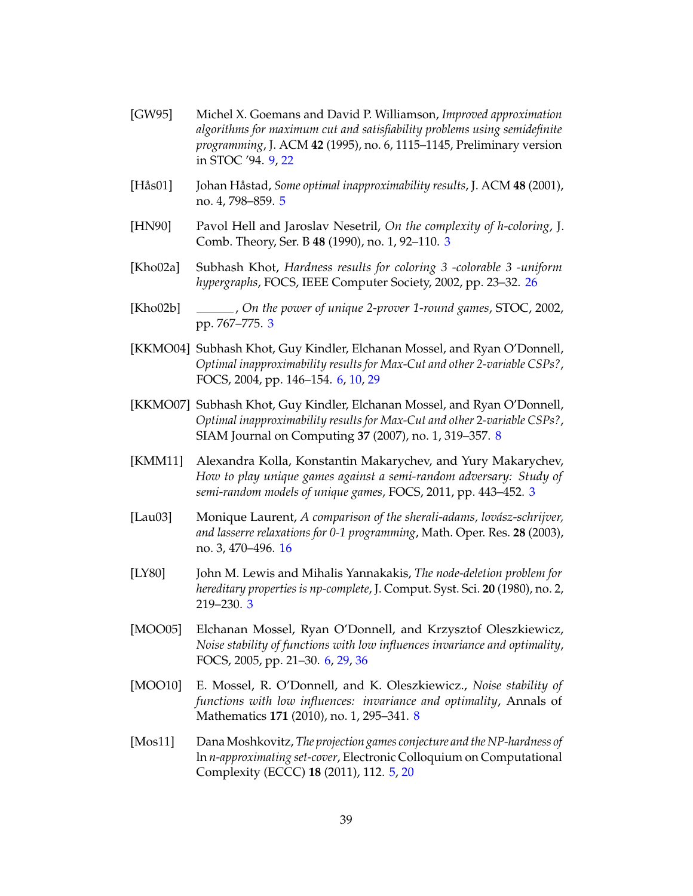- <span id="page-38-10"></span>[GW95] Michel X. Goemans and David P. Williamson, *Improved approximation algorithms for maximum cut and satisfiability problems using semidefinite programming*, J. ACM **42** (1995), no. 6, 1115–1145, Preliminary version in STOC '94. [9,](#page-8-1) [22](#page-21-3)
- <span id="page-38-4"></span>[Hås01] Johan Håstad, *Some optimal inapproximability results*, J. ACM **48** (2001), no. 4, 798–859. [5](#page-4-0)
- <span id="page-38-1"></span>[HN90] Pavol Hell and Jaroslav Nesetril, *On the complexity of h-coloring*, J. Comb. Theory, Ser. B **48** (1990), no. 1, 92–110. [3](#page-2-2)
- <span id="page-38-12"></span>[Kho02a] Subhash Khot, *Hardness results for coloring 3 -colorable 3 -uniform hypergraphs*, FOCS, IEEE Computer Society, 2002, pp. 23–32. [26](#page-25-1)
- <span id="page-38-2"></span>[Kho02b] , *On the power of unique 2-prover 1-round games*, STOC, 2002, pp. 767–775. [3](#page-2-2)
- <span id="page-38-6"></span>[KKMO04] Subhash Khot, Guy Kindler, Elchanan Mossel, and Ryan O'Donnell, *Optimal inapproximability results for Max-Cut and other 2-variable CSPs?*, FOCS, 2004, pp. 146–154. [6,](#page-5-1) [10,](#page-9-2) [29](#page-28-3)
- <span id="page-38-8"></span>[KKMO07] Subhash Khot, Guy Kindler, Elchanan Mossel, and Ryan O'Donnell, *Optimal inapproximability results for Max-Cut and other* 2*-variable CSPs?*, SIAM Journal on Computing **37** (2007), no. 1, 319–357. [8](#page-7-2)
- <span id="page-38-3"></span>[KMM11] Alexandra Kolla, Konstantin Makarychev, and Yury Makarychev, *How to play unique games against a semi-random adversary: Study of semi-random models of unique games*, FOCS, 2011, pp. 443–452. [3](#page-2-2)
- <span id="page-38-11"></span>[Lau03] Monique Laurent, *A comparison of the sherali-adams, lovász-schrijver, and lasserre relaxations for 0-1 programming*, Math. Oper. Res. **28** (2003), no. 3, 470–496. [16](#page-15-1)
- <span id="page-38-0"></span>[LY80] John M. Lewis and Mihalis Yannakakis, *The node-deletion problem for hereditary properties is np-complete*, J. Comput. Syst. Sci. **20** (1980), no. 2, 219–230. [3](#page-2-2)
- <span id="page-38-7"></span>[MOO05] Elchanan Mossel, Ryan O'Donnell, and Krzysztof Oleszkiewicz, *Noise stability of functions with low influences invariance and optimality*, FOCS, 2005, pp. 21–30. [6,](#page-5-1) [29,](#page-28-3) [36](#page-35-3)
- <span id="page-38-9"></span>[MOO10] E. Mossel, R. O'Donnell, and K. Oleszkiewicz., *Noise stability of functions with low influences: invariance and optimality*, Annals of Mathematics **171** (2010), no. 1, 295–341. [8](#page-7-2)
- <span id="page-38-5"></span>[Mos11] Dana Moshkovitz, *The projection games conjecture and the NP-hardness of* ln *n-approximating set-cover*, Electronic Colloquium on Computational Complexity (ECCC) **18** (2011), 112. [5,](#page-4-0) [20](#page-19-2)